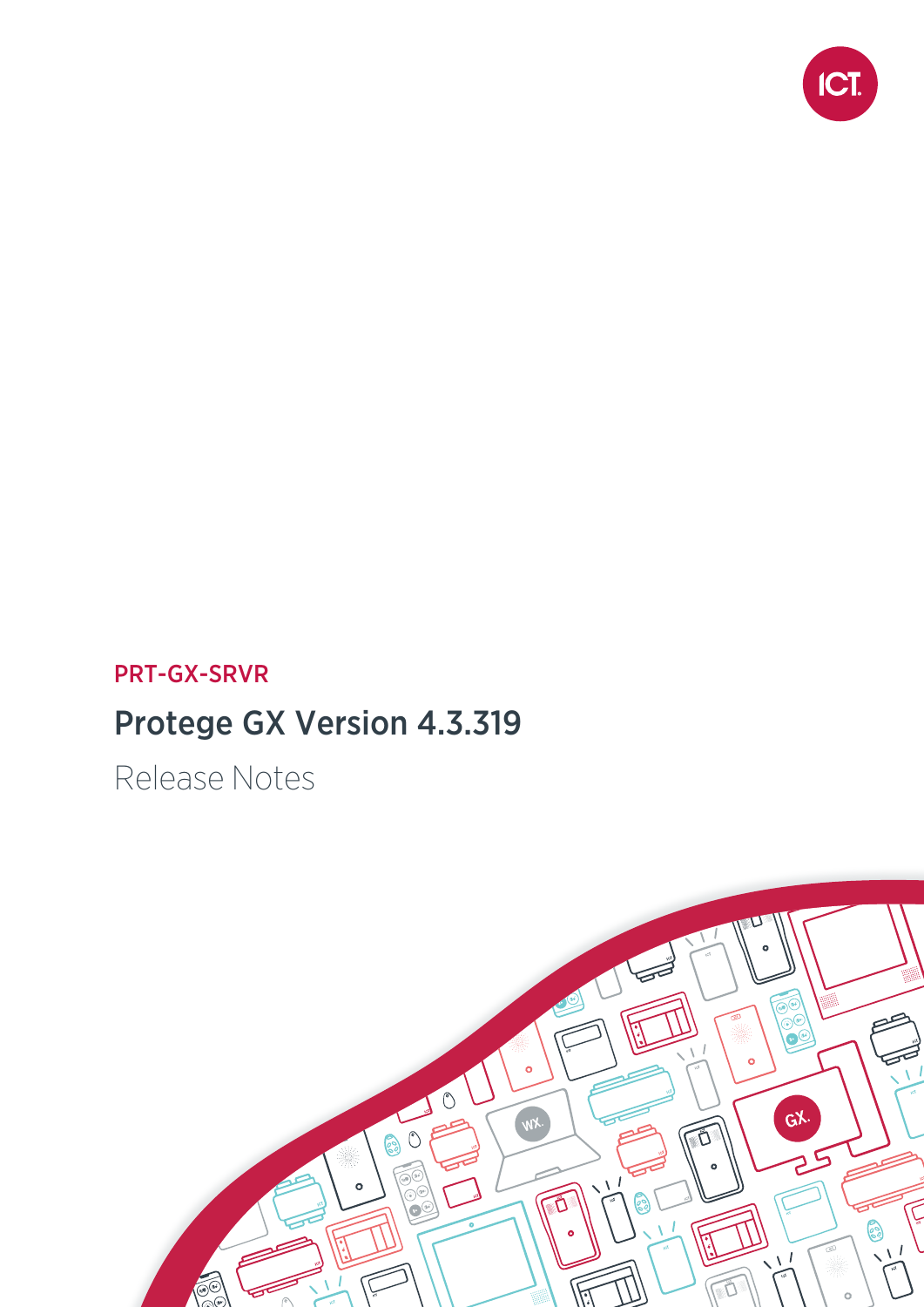

## PRT-GX-SRVR

# Protege GX Version 4.3.319

Release Notes

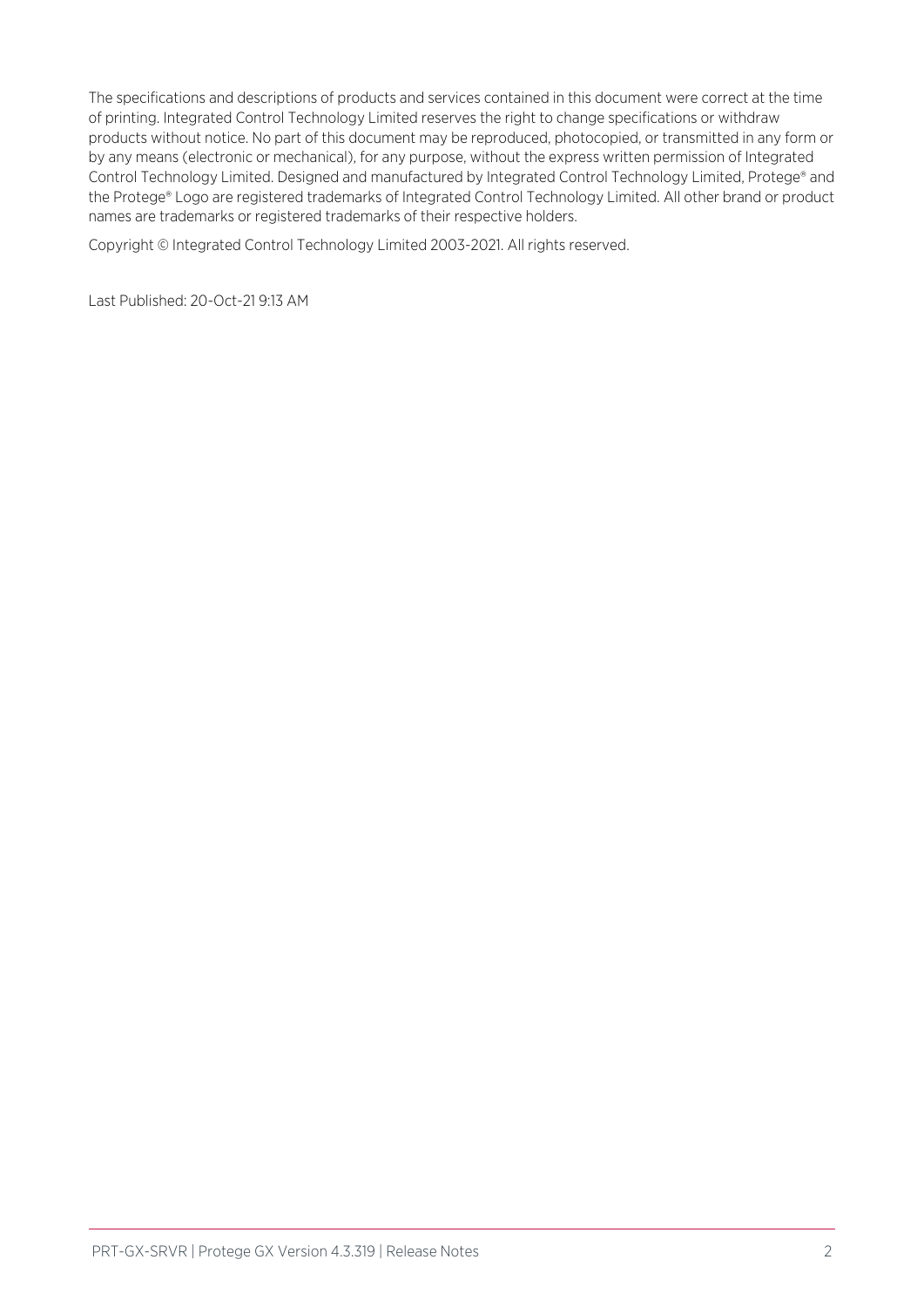The specifications and descriptions of products and services contained in this document were correct at the time of printing. Integrated Control Technology Limited reserves the right to change specifications or withdraw products without notice. No part of this document may be reproduced, photocopied, or transmitted in any form or by any means (electronic or mechanical), for any purpose, without the express written permission of Integrated Control Technology Limited. Designed and manufactured by Integrated Control Technology Limited, Protege® and the Protege® Logo are registered trademarks of Integrated Control Technology Limited. All other brand or product names are trademarks or registered trademarks of their respective holders.

Copyright © Integrated Control Technology Limited 2003-2021. All rights reserved.

Last Published: 20-Oct-21 9:13 AM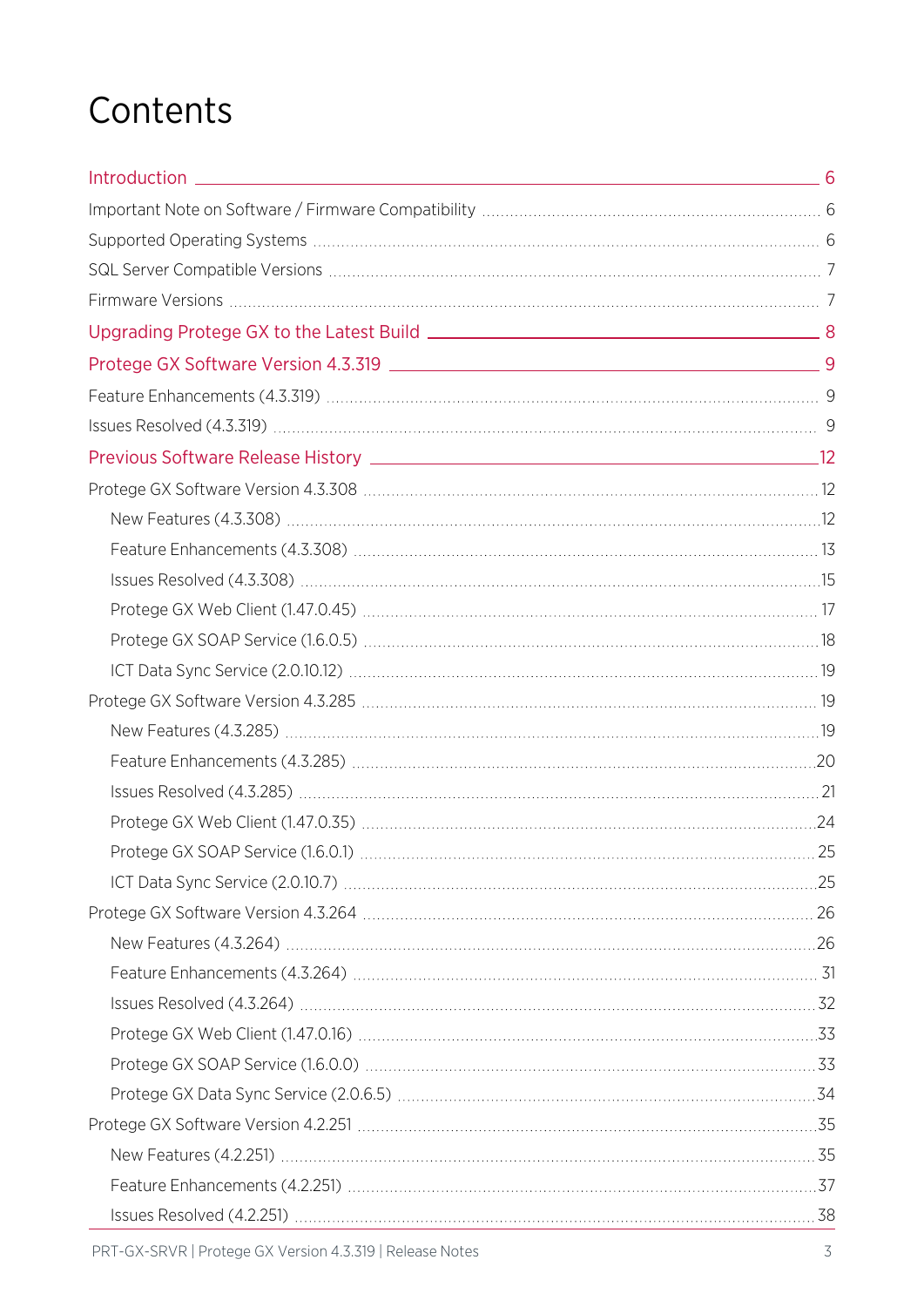# **Contents**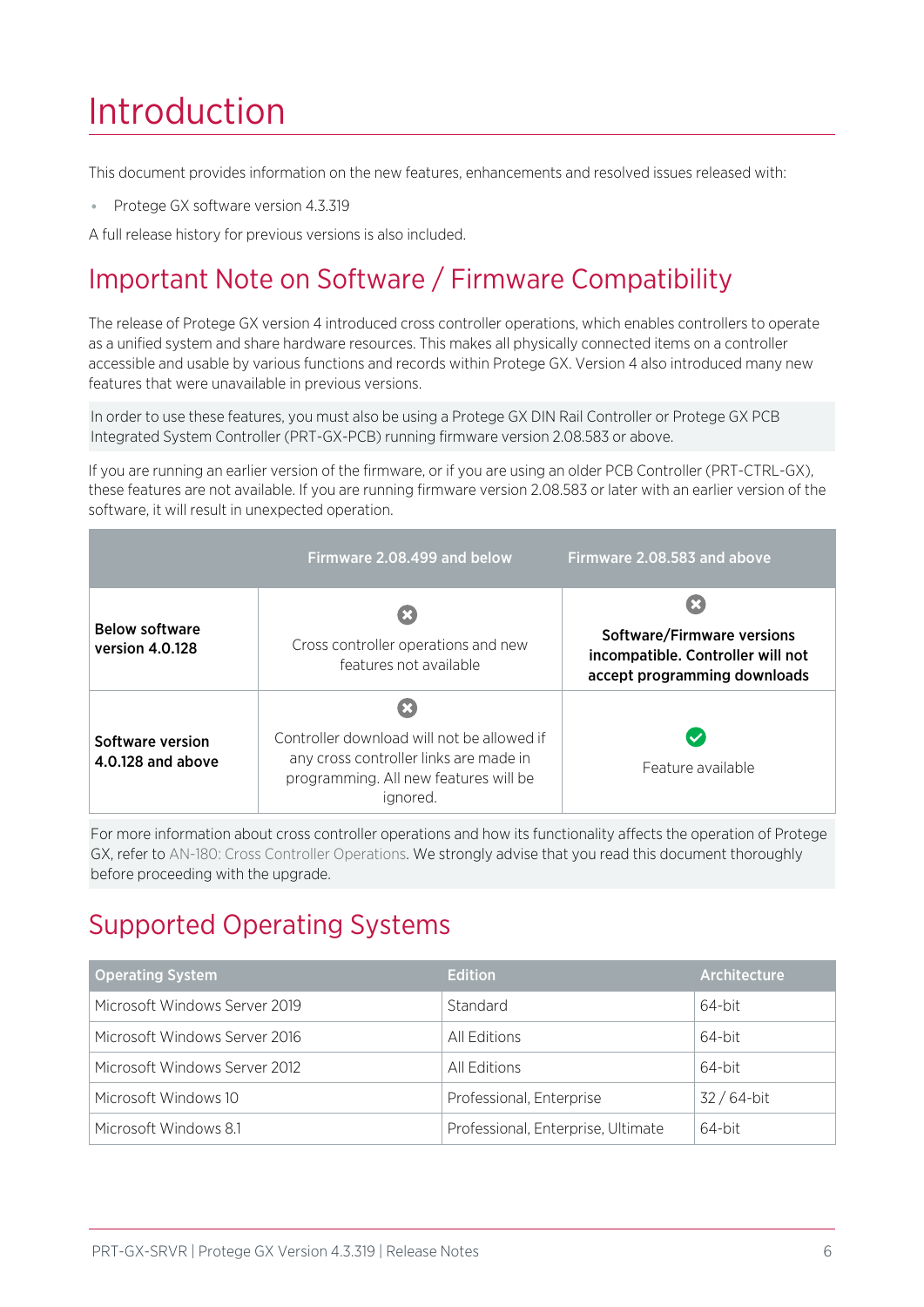# <span id="page-5-0"></span>Introduction

This document provides information on the new features, enhancements and resolved issues released with:

⦁ Protege GX software version 4.3.319

<span id="page-5-1"></span>A full release history for previous versions is also included.

## Important Note on Software / Firmware Compatibility

The release of Protege GX version 4 introduced cross controller operations, which enables controllers to operate as a unified system and share hardware resources. This makes all physically connected items on a controller accessible and usable by various functions and records within Protege GX. Version 4 also introduced many new features that were unavailable in previous versions.

In order to use these features, you must also be using a Protege GX DIN Rail Controller or Protege GX PCB Integrated System Controller (PRT-GX-PCB) running firmware version 2.08.583 or above.

If you are running an earlier version of the firmware, or if you are using an older PCB Controller (PRT-CTRL-GX), these features are not available. If you are running firmware version 2.08.583 or later with an earlier version of the software, it will result in unexpected operation.

|                                          | Firmware 2.08.499 and below                                                                                                               | Firmware 2.08.583 and above                                                                     |
|------------------------------------------|-------------------------------------------------------------------------------------------------------------------------------------------|-------------------------------------------------------------------------------------------------|
| <b>Below software</b><br>version 4.0.128 | Cross controller operations and new<br>features not available                                                                             | Software/Firmware versions<br>incompatible. Controller will not<br>accept programming downloads |
| Software version<br>4.0.128 and above    | Controller download will not be allowed if<br>any cross controller links are made in<br>programming. All new features will be<br>ignored. | Feature available                                                                               |

For more information about cross controller operations and how its functionality affects the operation of Protege GX, refer to AN-180: Cross Controller Operations. We strongly advise that you read this document thoroughly before proceeding with the upgrade.

## <span id="page-5-2"></span>Supported Operating Systems

| <b>Operating System</b>       | <b>Edition</b>                     | Architecture |
|-------------------------------|------------------------------------|--------------|
| Microsoft Windows Server 2019 | Standard                           | 64-bit       |
| Microsoft Windows Server 2016 | All Editions                       | 64-bit       |
| Microsoft Windows Server 2012 | All Editions                       | 64-bit       |
| Microsoft Windows 10          | Professional, Enterprise           | $32/64$ -bit |
| Microsoft Windows 8.1         | Professional, Enterprise, Ultimate | 64-bit       |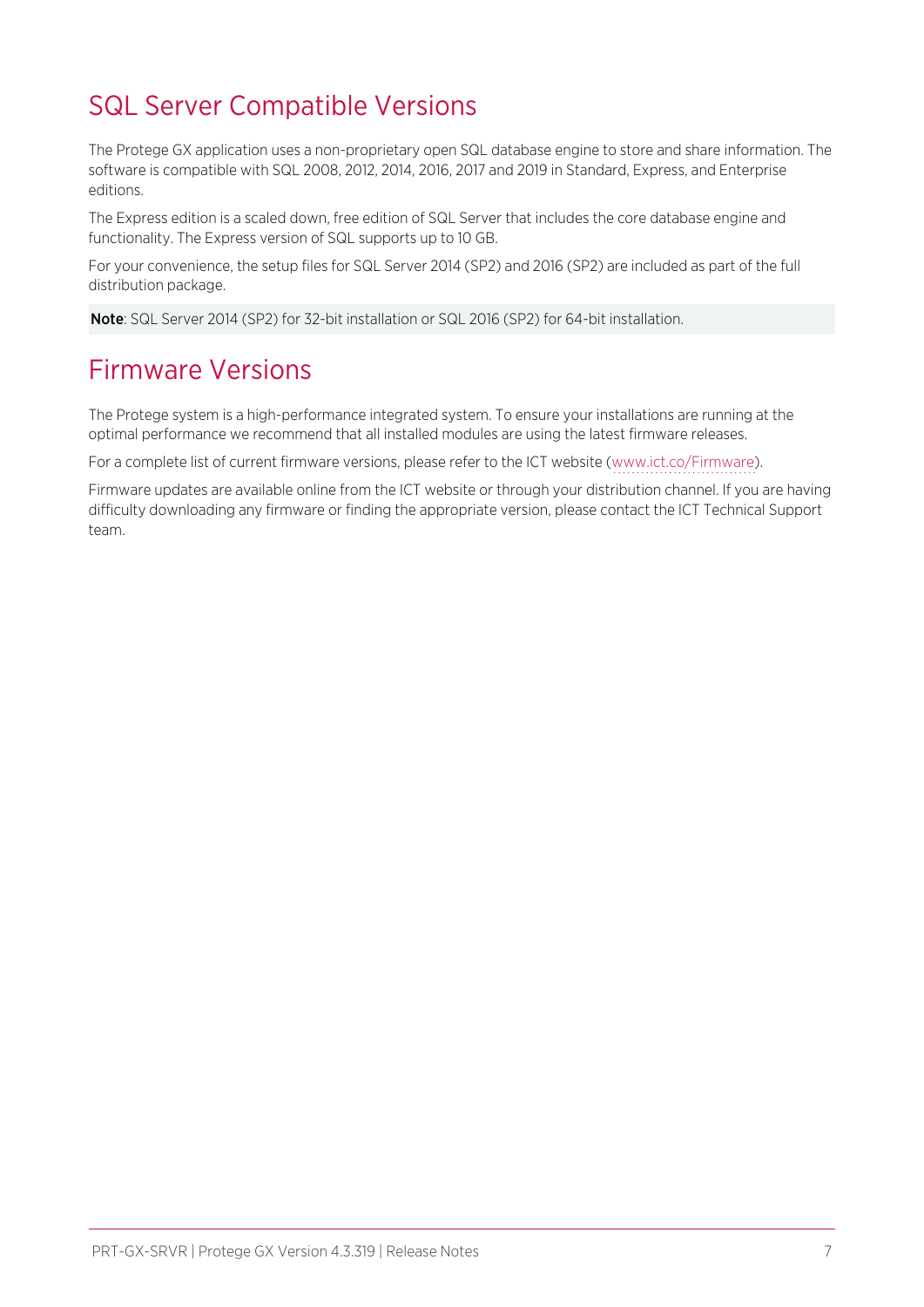## <span id="page-6-0"></span>SQL Server Compatible Versions

The Protege GX application uses a non-proprietary open SQL database engine to store and share information. The software is compatible with SQL 2008, 2012, 2014, 2016, 2017 and 2019 in Standard, Express, and Enterprise editions.

The Express edition is a scaled down, free edition of SQL Server that includes the core database engine and functionality. The Express version of SQL supports up to 10 GB.

For your convenience, the setup files for SQL Server 2014 (SP2) and 2016 (SP2) are included as part of the full distribution package.

<span id="page-6-1"></span>Note: SQL Server 2014 (SP2) for 32-bit installation or SQL 2016 (SP2) for 64-bit installation.

## Firmware Versions

The Protege system is a high-performance integrated system. To ensure your installations are running at the optimal performance we recommend that all installed modules are using the latest firmware releases.

For a complete list of current firmware versions, please refer to the ICT website [\(www.ict.co/Firmware](http://www.ict.co/Firmware)).

Firmware updates are available online from the ICT website or through your distribution channel. If you are having difficulty downloading any firmware or finding the appropriate version, please contact the ICT Technical Support team.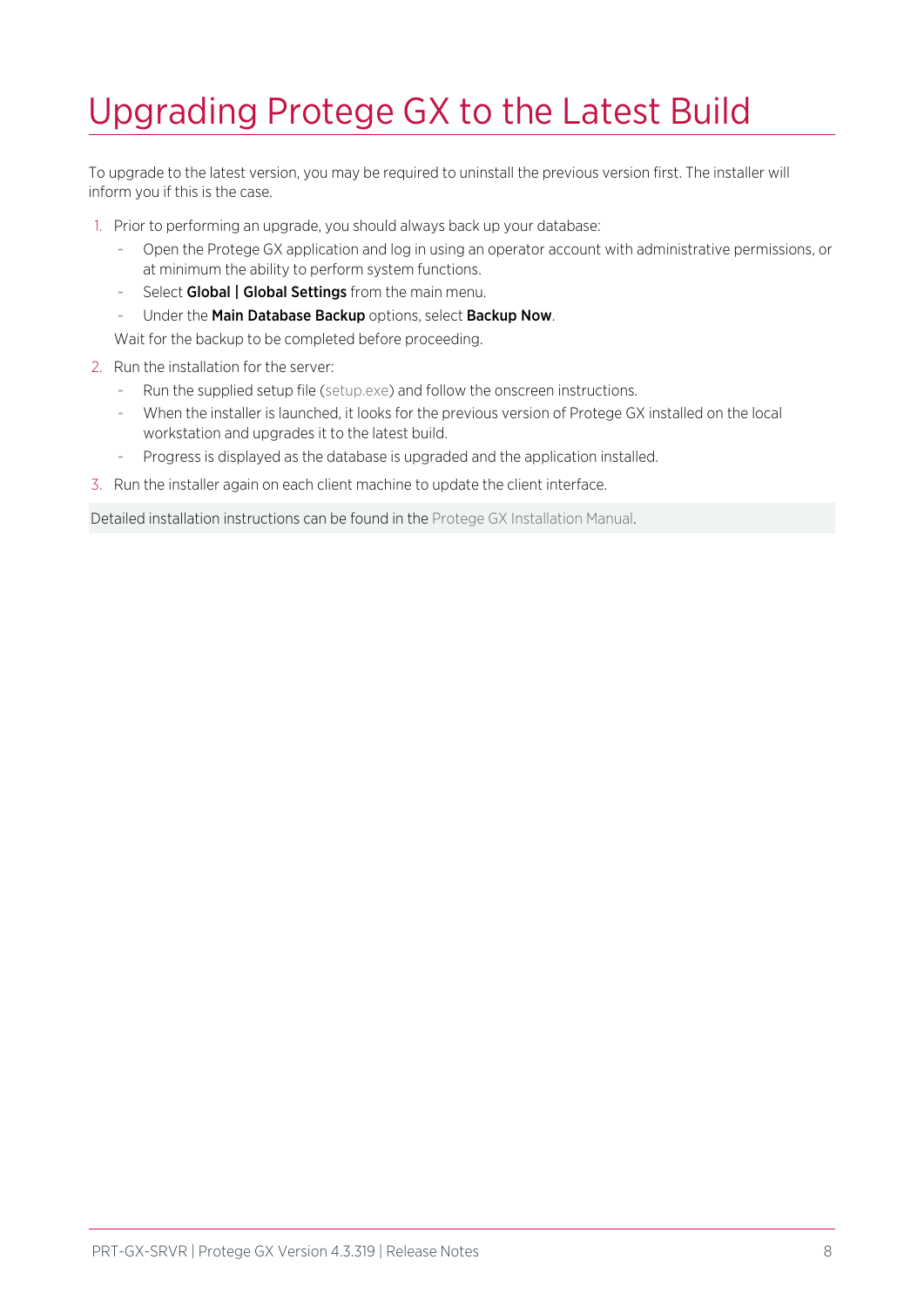# <span id="page-7-0"></span>Upgrading Protege GX to the Latest Build

To upgrade to the latest version, you may be required to uninstall the previous version first. The installer will inform you if this is the case.

- 1. Prior to performing an upgrade, you should always back up your database:
	- Open the Protege GX application and log in using an operator account with administrative permissions, or at minimum the ability to perform system functions.
	- Select Global | Global Settings from the main menu.
	- Under the Main Database Backup options, select Backup Now.

Wait for the backup to be completed before proceeding.

- 2. Run the installation for the server:
	- Run the supplied setup file (setup.exe) and follow the onscreen instructions.
	- When the installer is launched, it looks for the previous version of Protege GX installed on the local workstation and upgrades it to the latest build.
	- Progress is displayed as the database is upgraded and the application installed.
- 3. Run the installer again on each client machine to update the client interface.

Detailed installation instructions can be found in the Protege GX Installation Manual.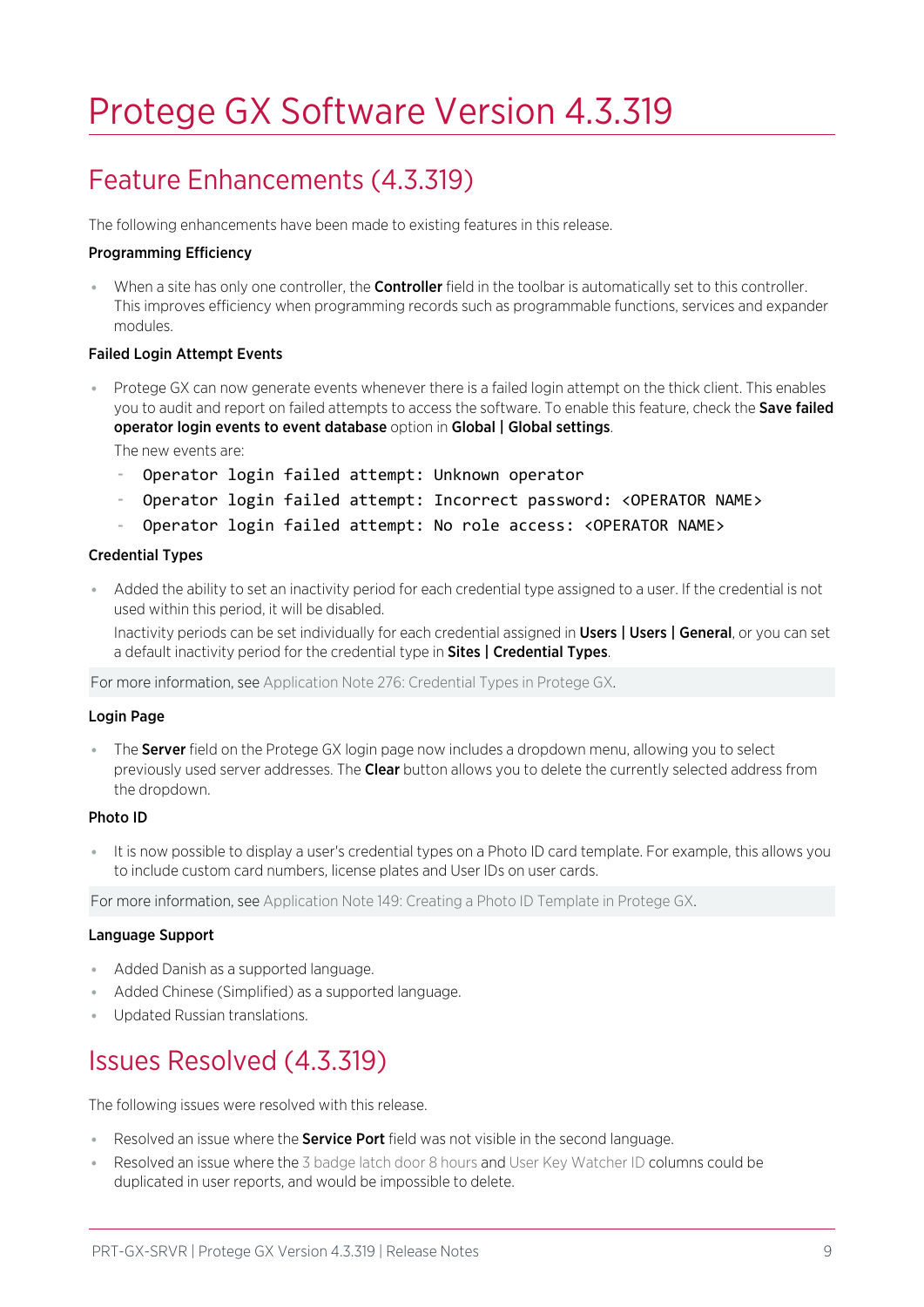# <span id="page-8-0"></span>Protege GX Software Version 4.3.319

## <span id="page-8-1"></span>Feature Enhancements (4.3.319)

The following enhancements have been made to existing features in this release.

#### Programming Efficiency

When a site has only one controller, the **Controller** field in the toolbar is automatically set to this controller. This improves efficiency when programming records such as programmable functions, services and expander modules.

#### Failed Login Attempt Events

⦁ Protege GX can now generate events whenever there is a failed login attempt on the thick client. This enables you to audit and report on failed attempts to access the software. To enable this feature, check the Save failed operator login events to event database option in Global | Global settings.

The new events are:

- Operator login failed attempt: Unknown operator
- Operator login failed attempt: Incorrect password: <OPERATOR NAME>
- Operator login failed attempt: No role access: <OPERATOR NAME>

#### Credential Types

Added the ability to set an inactivity period for each credential type assigned to a user. If the credential is not used within this period, it will be disabled.

Inactivity periods can be set individually for each credential assigned in Users | Users | General, or you can set a default inactivity period for the credential type in Sites | Credential Types.

For more information, see Application Note 276: Credential Types in Protege GX.

#### Login Page

• The Server field on the Protege GX login page now includes a dropdown menu, allowing you to select previously used server addresses. The Clear button allows you to delete the currently selected address from the dropdown.

#### Photo ID

It is now possible to display a user's credential types on a Photo ID card template. For example, this allows you to include custom card numbers, license plates and User IDs on user cards.

For more information, see Application Note 149: Creating a Photo ID Template in Protege GX.

#### Language Support

- ⦁ Added Danish as a supported language.
- Added Chinese (Simplified) as a supported language.
- <span id="page-8-2"></span>⦁ Updated Russian translations.

## Issues Resolved (4.3.319)

The following issues were resolved with this release.

- Resolved an issue where the **Service Port** field was not visible in the second language.
- ⦁ Resolved an issue where the 3 badge latch door 8 hours and User Key Watcher ID columns could be duplicated in user reports, and would be impossible to delete.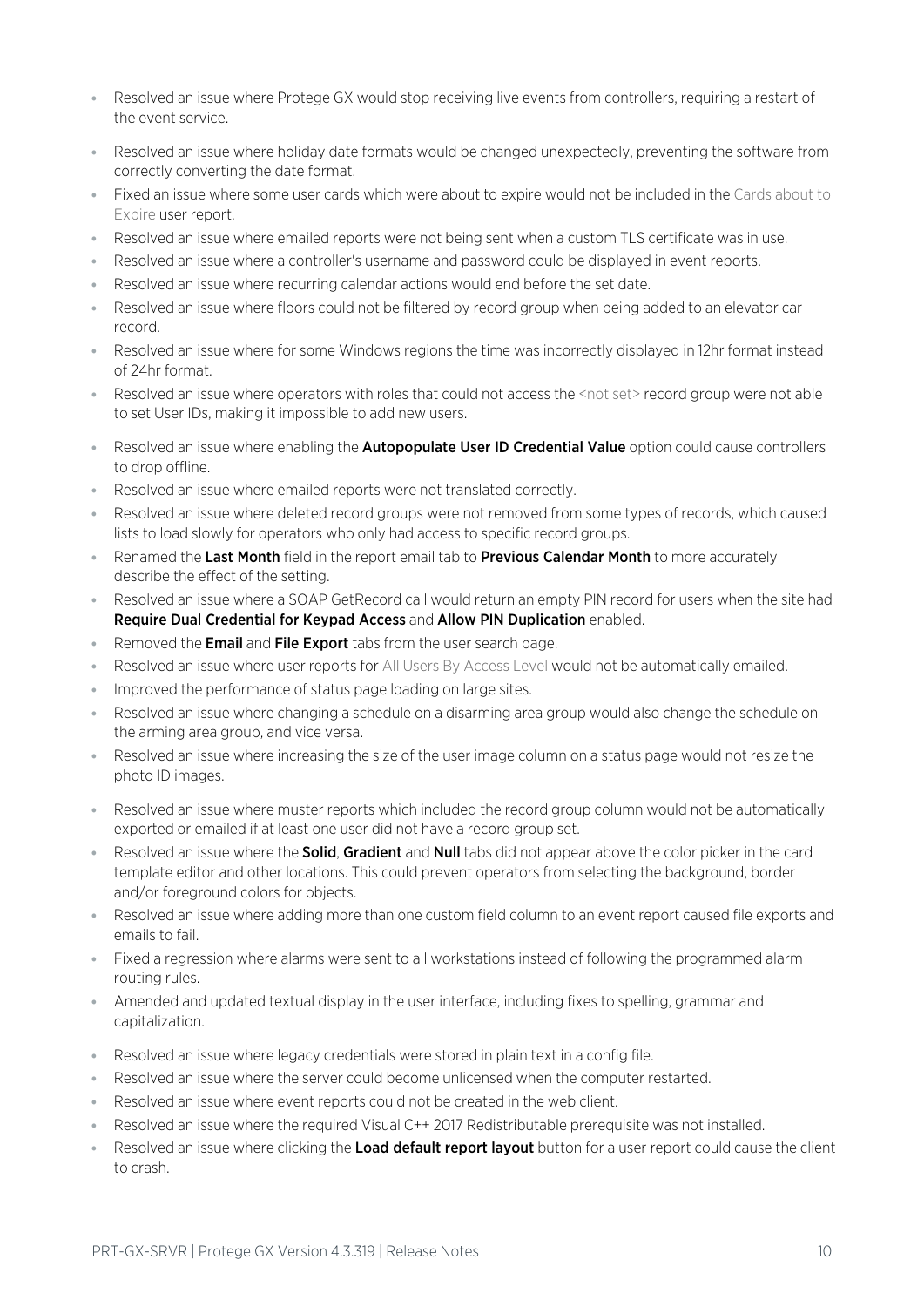- ⦁ Resolved an issue where Protege GX would stop receiving live events from controllers, requiring a restart of the event service.
- ⦁ Resolved an issue where holiday date formats would be changed unexpectedly, preventing the software from correctly converting the date format.
- ⦁ Fixed an issue where some user cards which were about to expire would not be included in the Cards about to Expire user report.
- Resolved an issue where emailed reports were not being sent when a custom TLS certificate was in use.
- ⦁ Resolved an issue where a controller's username and password could be displayed in event reports.
- ⦁ Resolved an issue where recurring calendar actions would end before the set date.
- ⦁ Resolved an issue where floors could not be filtered by record group when being added to an elevator car record.
- ⦁ Resolved an issue where for some Windows regions the time was incorrectly displayed in 12hr format instead of 24hr format.
- ⦁ Resolved an issue where operators with roles that could not access the <not set> record group were not able to set User IDs, making it impossible to add new users.
- Resolved an issue where enabling the **Autopopulate User ID Credential Value** option could cause controllers to drop offline.
- ⦁ Resolved an issue where emailed reports were not translated correctly.
- Resolved an issue where deleted record groups were not removed from some types of records, which caused lists to load slowly for operators who only had access to specific record groups.
- Renamed the Last Month field in the report email tab to Previous Calendar Month to more accurately describe the effect of the setting.
- ⦁ Resolved an issue where a SOAP GetRecord call would return an empty PIN record for users when the site had Require Dual Credential for Keypad Access and Allow PIN Duplication enabled.
- Removed the **Email** and File Export tabs from the user search page.
- Resolved an issue where user reports for All Users By Access Level would not be automatically emailed.
- Improved the performance of status page loading on large sites.
- Resolved an issue where changing a schedule on a disarming area group would also change the schedule on the arming area group, and vice versa.
- ⦁ Resolved an issue where increasing the size of the user image column on a status page would not resize the photo ID images.
- ⦁ Resolved an issue where muster reports which included the record group column would not be automatically exported or emailed if at least one user did not have a record group set.
- Resolved an issue where the **Solid, Gradient** and **Null** tabs did not appear above the color picker in the card template editor and other locations. This could prevent operators from selecting the background, border and/or foreground colors for objects.
- ⦁ Resolved an issue where adding more than one custom field column to an event report caused file exports and emails to fail.
- ⦁ Fixed a regression where alarms were sent to all workstations instead of following the programmed alarm routing rules.
- ⦁ Amended and updated textual display in the user interface, including fixes to spelling, grammar and capitalization.
- ⦁ Resolved an issue where legacy credentials were stored in plain text in a config file.
- ⦁ Resolved an issue where the server could become unlicensed when the computer restarted.
- Resolved an issue where event reports could not be created in the web client.
- Resolved an issue where the required Visual C++ 2017 Redistributable prerequisite was not installed.
- Resolved an issue where clicking the Load default report layout button for a user report could cause the client to crash.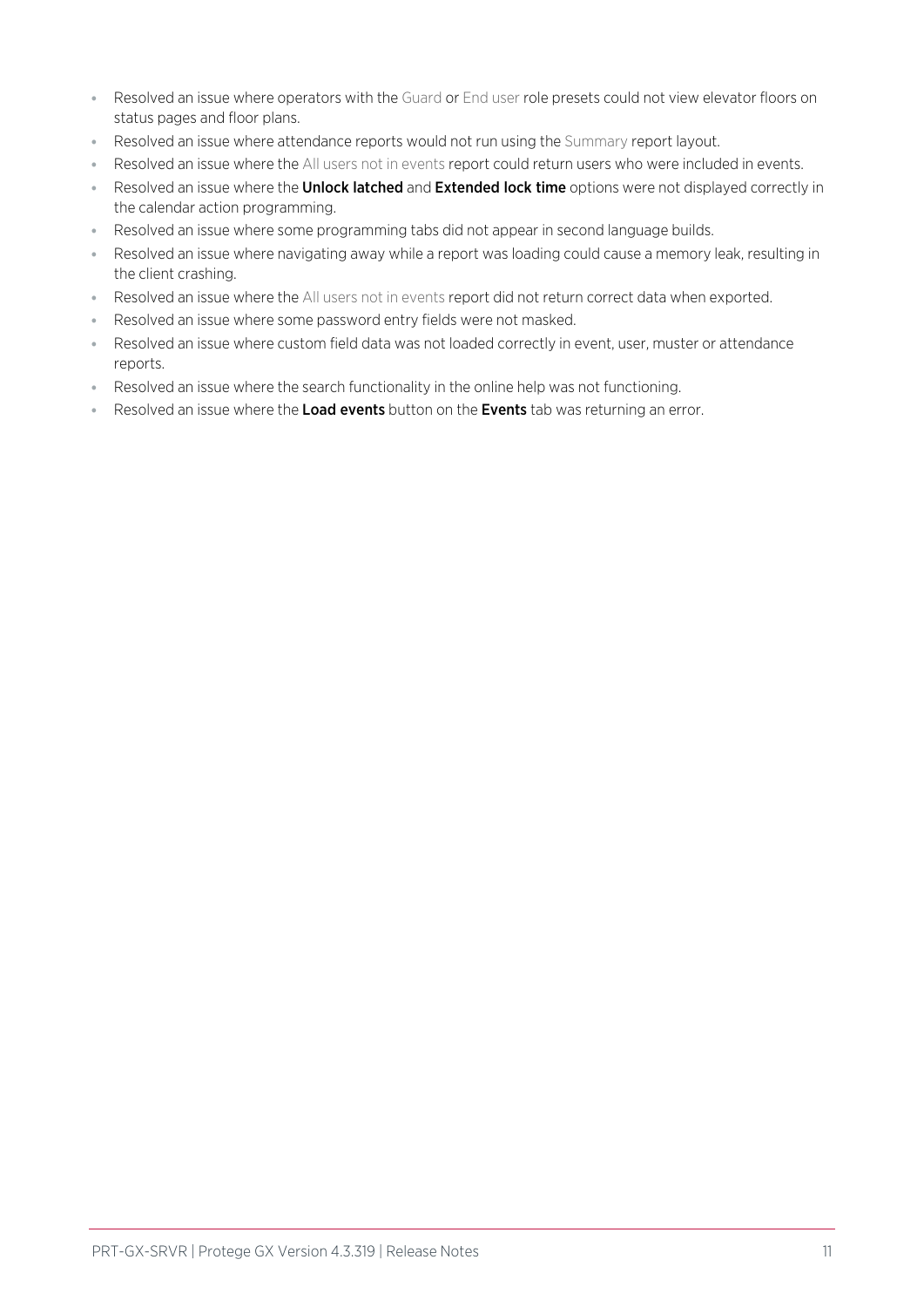- ⦁ Resolved an issue where operators with the Guard or End user role presets could not view elevator floors on status pages and floor plans.
- ⦁ Resolved an issue where attendance reports would not run using the Summary report layout.
- ⦁ Resolved an issue where the All users not in events report could return users who were included in events.
- Resolved an issue where the **Unlock latched** and **Extended lock time** options were not displayed correctly in the calendar action programming.
- ⦁ Resolved an issue where some programming tabs did not appear in second language builds.
- ⦁ Resolved an issue where navigating away while a report was loading could cause a memory leak, resulting in the client crashing.
- ⦁ Resolved an issue where the All users not in events report did not return correct data when exported.
- ⦁ Resolved an issue where some password entry fields were not masked.
- ⦁ Resolved an issue where custom field data was not loaded correctly in event, user, muster or attendance reports.
- ⦁ Resolved an issue where the search functionality in the online help was not functioning.
- Resolved an issue where the Load events button on the Events tab was returning an error.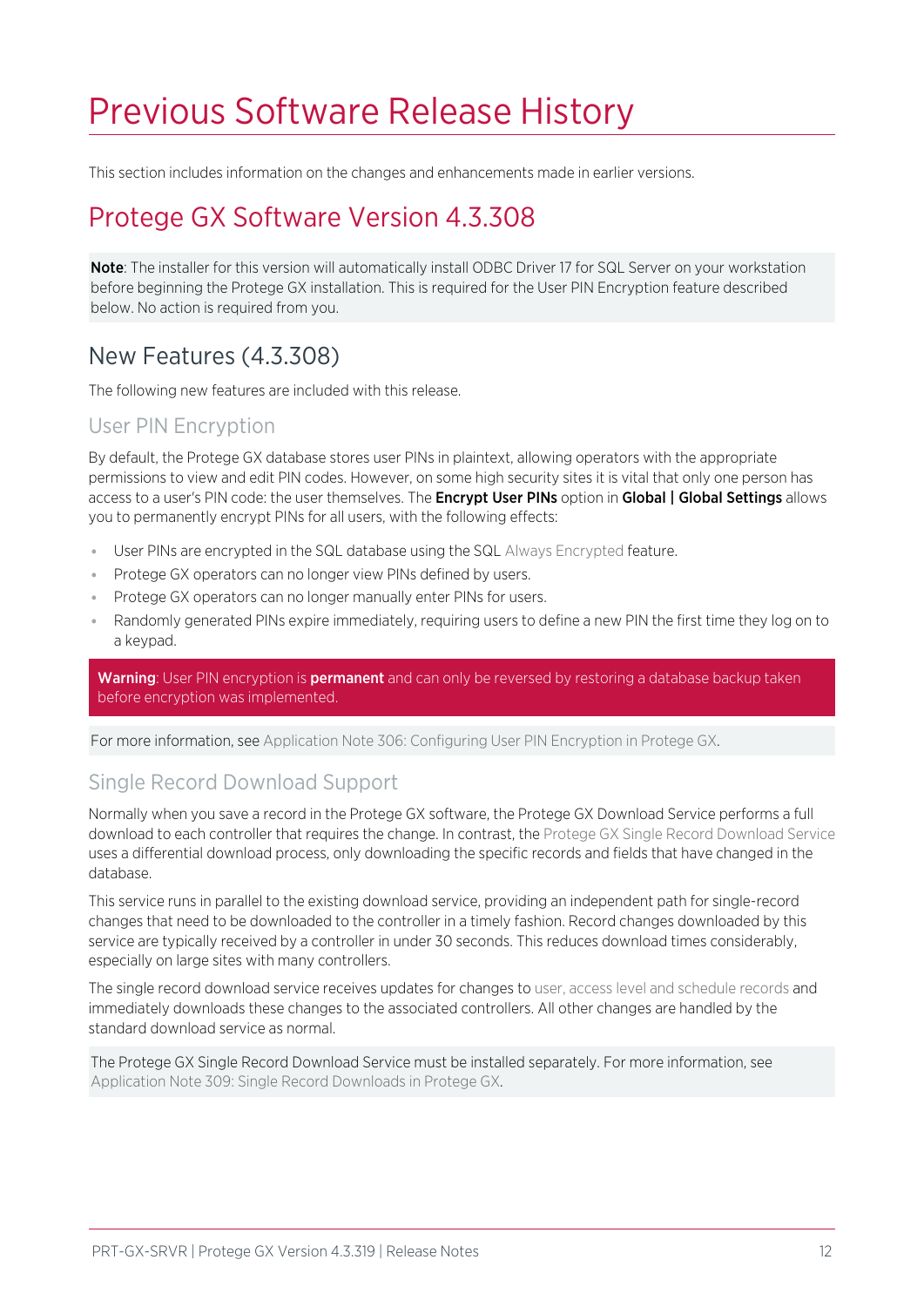# <span id="page-11-0"></span>Previous Software Release History

<span id="page-11-1"></span>This section includes information on the changes and enhancements made in earlier versions.

## Protege GX Software Version 4.3.308

Note: The installer for this version will automatically install ODBC Driver 17 for SQL Server on your workstation before beginning the Protege GX installation. This is required for the User PIN Encryption feature described below. No action is required from you.

## <span id="page-11-2"></span>New Features (4.3.308)

The following new features are included with this release.

### User PIN Encryption

By default, the Protege GX database stores user PINs in plaintext, allowing operators with the appropriate permissions to view and edit PIN codes. However, on some high security sites it is vital that only one person has access to a user's PIN code: the user themselves. The **Encrypt User PINs** option in Global | Global Settings allows you to permanently encrypt PINs for all users, with the following effects:

- ⦁ User PINs are encrypted in the SQL database using the SQL Always Encrypted feature.
- Protege GX operators can no longer view PINs defined by users.
- Protege GX operators can no longer manually enter PINs for users.
- ⦁ Randomly generated PINs expire immediately, requiring users to define a new PIN the first time they log on to a keypad.

Warning: User PIN encryption is permanent and can only be reversed by restoring a database backup taken before encryption was implemented.

For more information, see Application Note 306: Configuring User PIN Encryption in Protege GX.

## Single Record Download Support

Normally when you save a record in the Protege GX software, the Protege GX Download Service performs a full download to each controller that requires the change. In contrast, the Protege GX Single Record Download Service uses a differential download process, only downloading the specific records and fields that have changed in the database.

This service runs in parallel to the existing download service, providing an independent path for single-record changes that need to be downloaded to the controller in a timely fashion. Record changes downloaded by this service are typically received by a controller in under 30 seconds. This reduces download times considerably, especially on large sites with many controllers.

The single record download service receives updates for changes to user, access level and schedule records and immediately downloads these changes to the associated controllers. All other changes are handled by the standard download service as normal.

The Protege GX Single Record Download Service must be installed separately. For more information, see Application Note 309: Single Record Downloads in Protege GX.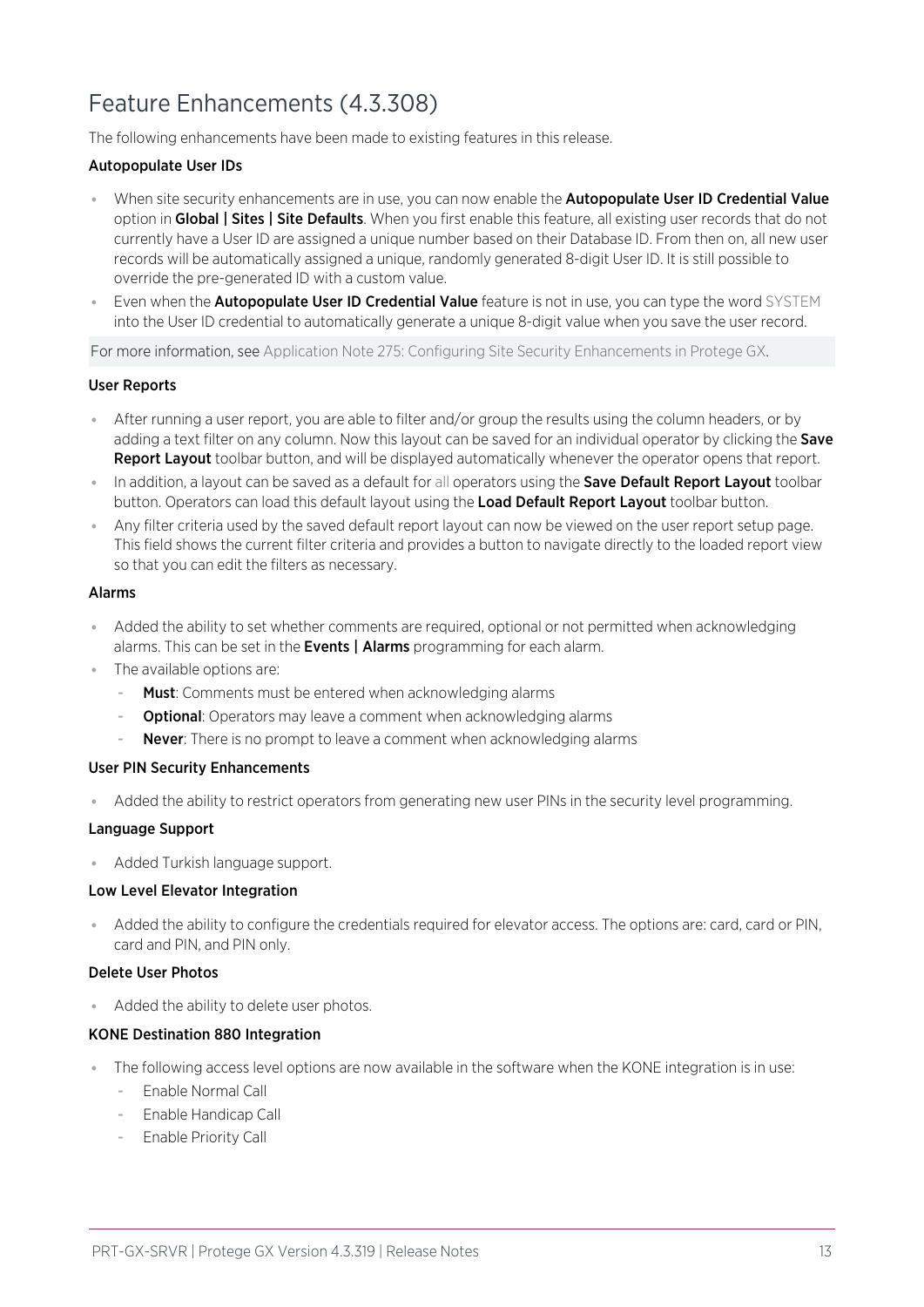## <span id="page-12-0"></span>Feature Enhancements (4.3.308)

The following enhancements have been made to existing features in this release.

#### Autopopulate User IDs

- When site security enhancements are in use, you can now enable the **Autopopulate User ID Credential Value** option in Global | Sites | Site Defaults. When you first enable this feature, all existing user records that do not currently have a User ID are assigned a unique number based on their Database ID. From then on, all new user records will be automatically assigned a unique, randomly generated 8-digit User ID. It is still possible to override the pre-generated ID with a custom value.
- **Even when the Autopopulate User ID Credential Value** feature is not in use, you can type the word SYSTEM into the User ID credential to automatically generate a unique 8-digit value when you save the user record.

For more information, see Application Note 275: Configuring Site Security Enhancements in Protege GX.

#### User Reports

- ⦁ After running a user report, you are able to filter and/or group the results using the column headers, or by adding a text filter on any column. Now this layout can be saved for an individual operator by clicking the **Save** Report Layout toolbar button, and will be displayed automatically whenever the operator opens that report.
- In addition, a layout can be saved as a default for all operators using the Save Default Report Layout toolbar button. Operators can load this default layout using the Load Default Report Layout toolbar button.
- ⦁ Any filter criteria used by the saved default report layout can now be viewed on the user report setup page. This field shows the current filter criteria and provides a button to navigate directly to the loaded report view so that you can edit the filters as necessary.

#### Alarms

- ⦁ Added the ability to set whether comments are required, optional or not permitted when acknowledging alarms. This can be set in the **Events | Alarms** programming for each alarm.
- ⦁ The available options are:
	- Must: Comments must be entered when acknowledging alarms
	- Optional: Operators may leave a comment when acknowledging alarms
	- Never: There is no prompt to leave a comment when acknowledging alarms

#### User PIN Security Enhancements

⦁ Added the ability to restrict operators from generating new user PINs in the security level programming.

#### Language Support

⦁ Added Turkish language support.

#### Low Level Elevator Integration

⦁ Added the ability to configure the credentials required for elevator access. The options are: card, card or PIN, card and PIN, and PIN only.

#### Delete User Photos

⦁ Added the ability to delete user photos.

#### KONE Destination 880 Integration

- The following access level options are now available in the software when the KONE integration is in use:
	- Enable Normal Call
	- Enable Handicap Call
	- Enable Priority Call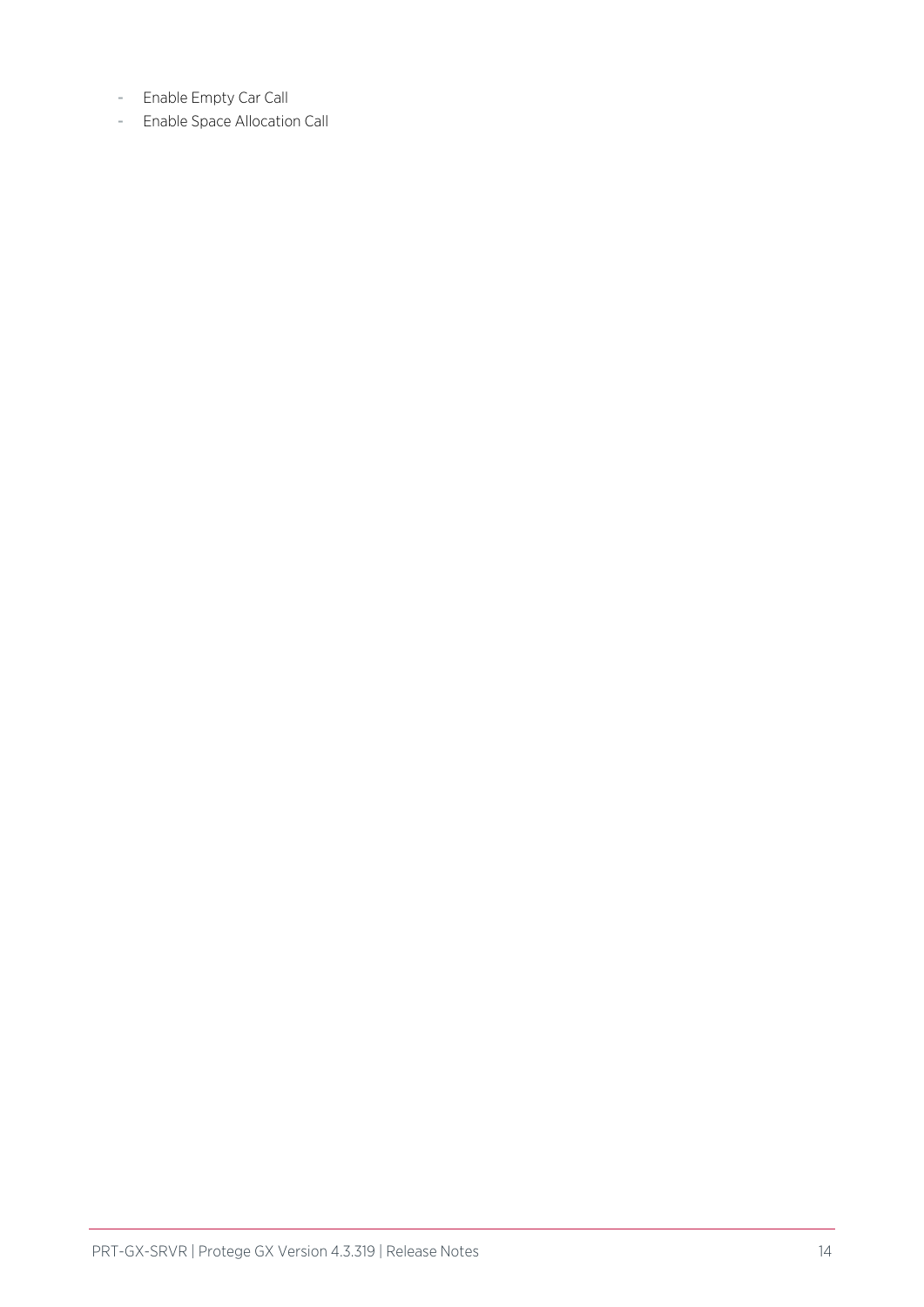- Enable Empty Car Call
- Enable Space Allocation Call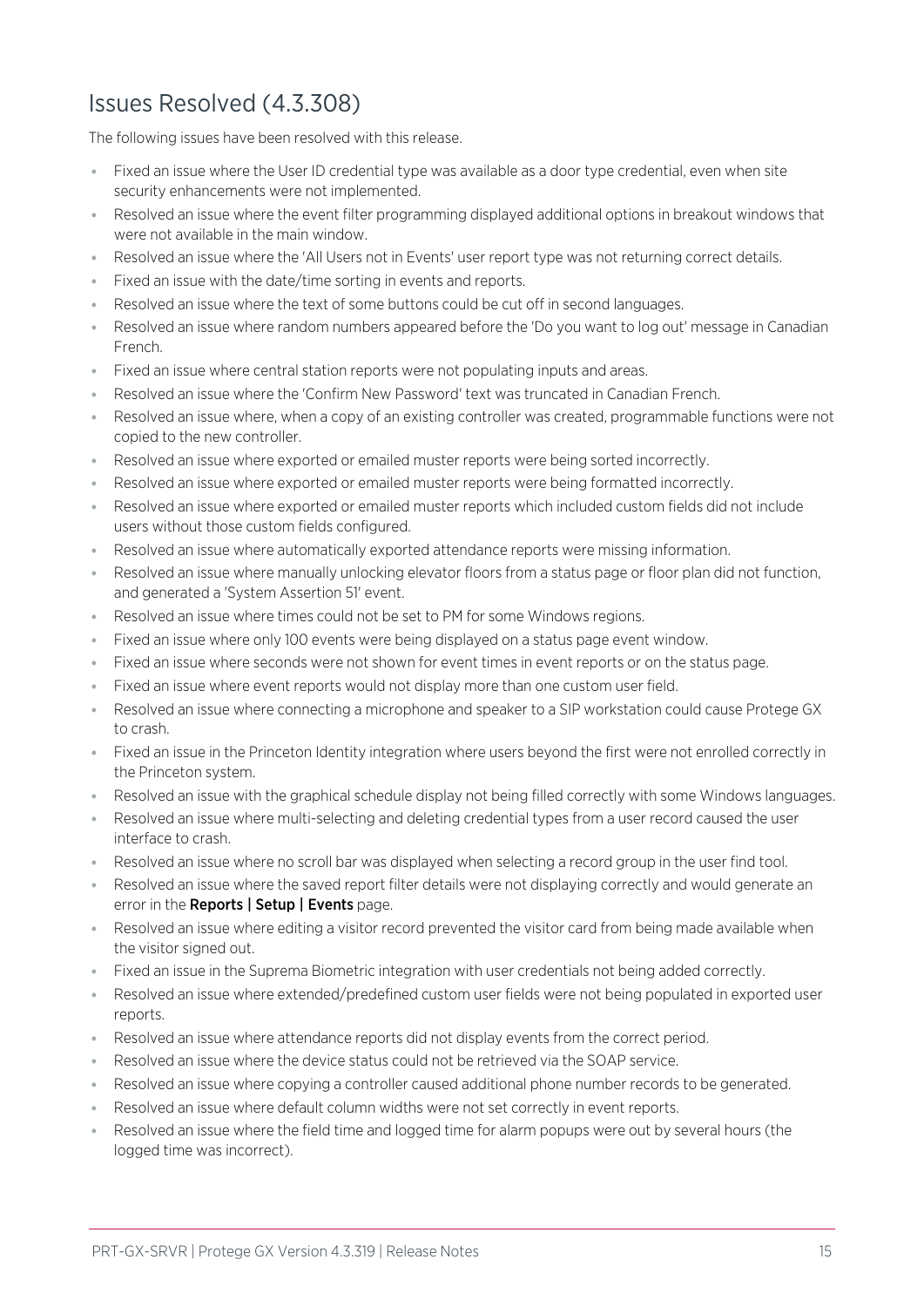## <span id="page-14-0"></span>Issues Resolved (4.3.308)

The following issues have been resolved with this release.

- ⦁ Fixed an issue where the User ID credential type was available as a door type credential, even when site security enhancements were not implemented.
- ⦁ Resolved an issue where the event filter programming displayed additional options in breakout windows that were not available in the main window.
- ⦁ Resolved an issue where the 'All Users not in Events' user report type was not returning correct details.
- ⦁ Fixed an issue with the date/time sorting in events and reports.
- ⦁ Resolved an issue where the text of some buttons could be cut off in second languages.
- ⦁ Resolved an issue where random numbers appeared before the 'Do you want to log out' message in Canadian French.
- ⦁ Fixed an issue where central station reports were not populating inputs and areas.
- ⦁ Resolved an issue where the 'Confirm New Password' text was truncated in Canadian French.
- ⦁ Resolved an issue where, when a copy of an existing controller was created, programmable functions were not copied to the new controller.
- ⦁ Resolved an issue where exported or emailed muster reports were being sorted incorrectly.
- Resolved an issue where exported or emailed muster reports were being formatted incorrectly.
- ⦁ Resolved an issue where exported or emailed muster reports which included custom fields did not include users without those custom fields configured.
- ⦁ Resolved an issue where automatically exported attendance reports were missing information.
- ⦁ Resolved an issue where manually unlocking elevator floors from a status page or floor plan did not function, and generated a 'System Assertion 51' event.
- ⦁ Resolved an issue where times could not be set to PM for some Windows regions.
- Fixed an issue where only 100 events were being displayed on a status page event window.
- ⦁ Fixed an issue where seconds were not shown for event times in event reports or on the status page.
- ⦁ Fixed an issue where event reports would not display more than one custom user field.
- ⦁ Resolved an issue where connecting a microphone and speaker to a SIP workstation could cause Protege GX to crash.
- ⦁ Fixed an issue in the Princeton Identity integration where users beyond the first were not enrolled correctly in the Princeton system.
- ⦁ Resolved an issue with the graphical schedule display not being filled correctly with some Windows languages.
- Resolved an issue where multi-selecting and deleting credential types from a user record caused the user interface to crash.
- ⦁ Resolved an issue where no scroll bar was displayed when selecting a record group in the user find tool.
- ⦁ Resolved an issue where the saved report filter details were not displaying correctly and would generate an error in the Reports | Setup | Events page.
- ⦁ Resolved an issue where editing a visitor record prevented the visitor card from being made available when the visitor signed out.
- ⦁ Fixed an issue in the Suprema Biometric integration with user credentials not being added correctly.
- ⦁ Resolved an issue where extended/predefined custom user fields were not being populated in exported user reports.
- ⦁ Resolved an issue where attendance reports did not display events from the correct period.
- ⦁ Resolved an issue where the device status could not be retrieved via the SOAP service.
- Resolved an issue where copying a controller caused additional phone number records to be generated.
- Resolved an issue where default column widths were not set correctly in event reports.
- Resolved an issue where the field time and logged time for alarm popups were out by several hours (the logged time was incorrect).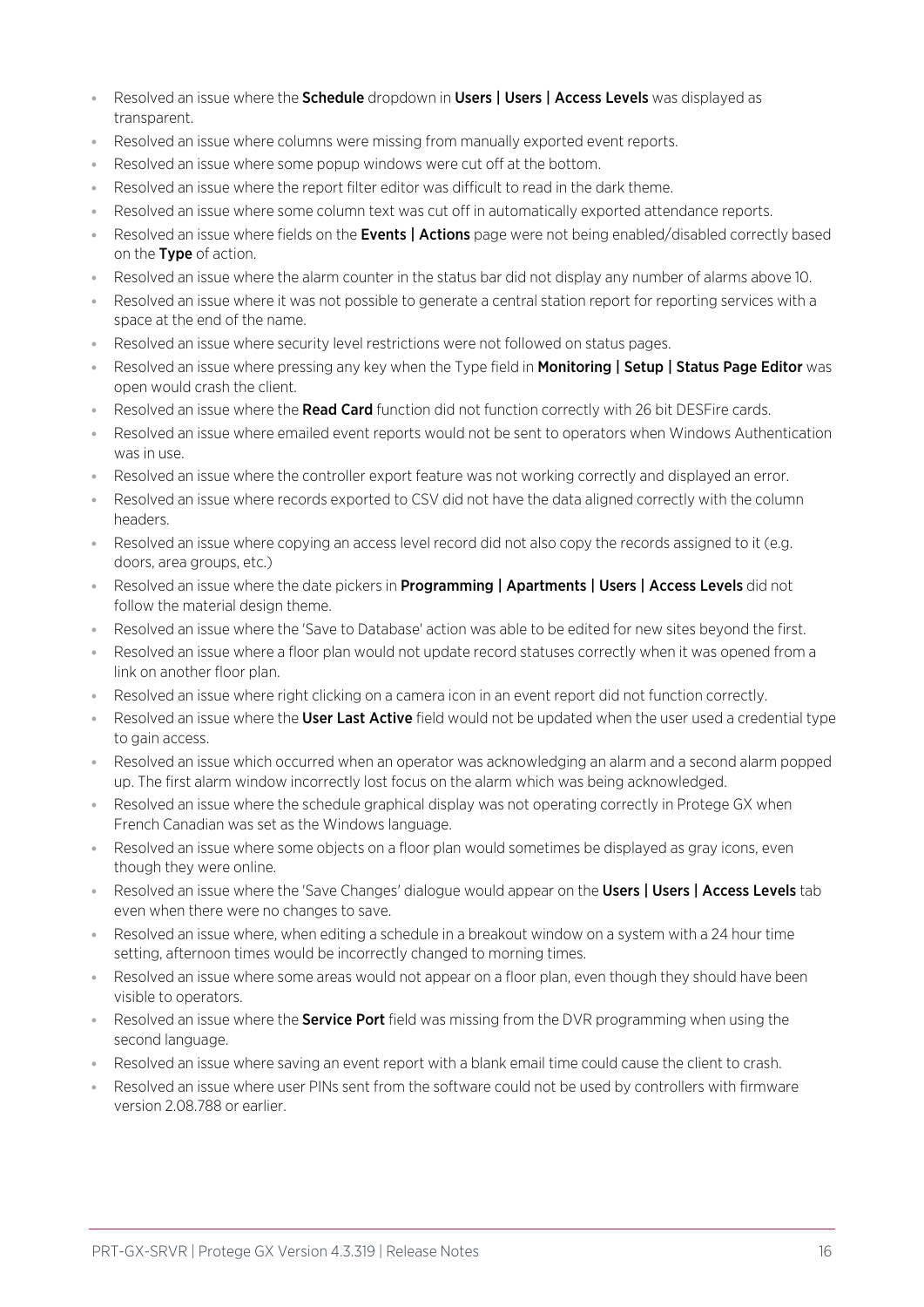- Resolved an issue where the **Schedule** dropdown in Users | Users | Access Levels was displayed as transparent.
- Resolved an issue where columns were missing from manually exported event reports.
- Resolved an issue where some popup windows were cut off at the bottom.
- Resolved an issue where the report filter editor was difficult to read in the dark theme.
- ⦁ Resolved an issue where some column text was cut off in automatically exported attendance reports.
- Resolved an issue where fields on the **Events | Actions** page were not being enabled/disabled correctly based on the Type of action.
- Resolved an issue where the alarm counter in the status bar did not display any number of alarms above 10.
- Resolved an issue where it was not possible to generate a central station report for reporting services with a space at the end of the name.
- ⦁ Resolved an issue where security level restrictions were not followed on status pages.
- Resolved an issue where pressing any key when the Type field in **Monitoring | Setup | Status Page Editor** was open would crash the client.
- Resolved an issue where the Read Card function did not function correctly with 26 bit DESFire cards.
- ⦁ Resolved an issue where emailed event reports would not be sent to operators when Windows Authentication was in use.
- ⦁ Resolved an issue where the controller export feature was not working correctly and displayed an error.
- ⦁ Resolved an issue where records exported to CSV did not have the data aligned correctly with the column headers.
- ⦁ Resolved an issue where copying an access level record did not also copy the records assigned to it (e.g. doors, area groups, etc.)
- Resolved an issue where the date pickers in **Programming | Apartments | Users | Access Levels** did not follow the material design theme.
- ⦁ Resolved an issue where the 'Save to Database' action was able to be edited for new sites beyond the first.
- ⦁ Resolved an issue where a floor plan would not update record statuses correctly when it was opened from a link on another floor plan.
- ⦁ Resolved an issue where right clicking on a camera icon in an event report did not function correctly.
- Resolved an issue where the User Last Active field would not be updated when the user used a credential type to gain access.
- ⦁ Resolved an issue which occurred when an operator was acknowledging an alarm and a second alarm popped up. The first alarm window incorrectly lost focus on the alarm which was being acknowledged.
- Resolved an issue where the schedule graphical display was not operating correctly in Protege GX when French Canadian was set as the Windows language.
- ⦁ Resolved an issue where some objects on a floor plan would sometimes be displayed as gray icons, even though they were online.
- . Resolved an issue where the 'Save Changes' dialogue would appear on the Users | Users | Access Levels tab even when there were no changes to save.
- ⦁ Resolved an issue where, when editing a schedule in a breakout window on a system with a 24 hour time setting, afternoon times would be incorrectly changed to morning times.
- Resolved an issue where some areas would not appear on a floor plan, even though they should have been visible to operators.
- Resolved an issue where the **Service Port** field was missing from the DVR programming when using the second language.
- ⦁ Resolved an issue where saving an event report with a blank email time could cause the client to crash.
- ⦁ Resolved an issue where user PINs sent from the software could not be used by controllers with firmware version 2.08.788 or earlier.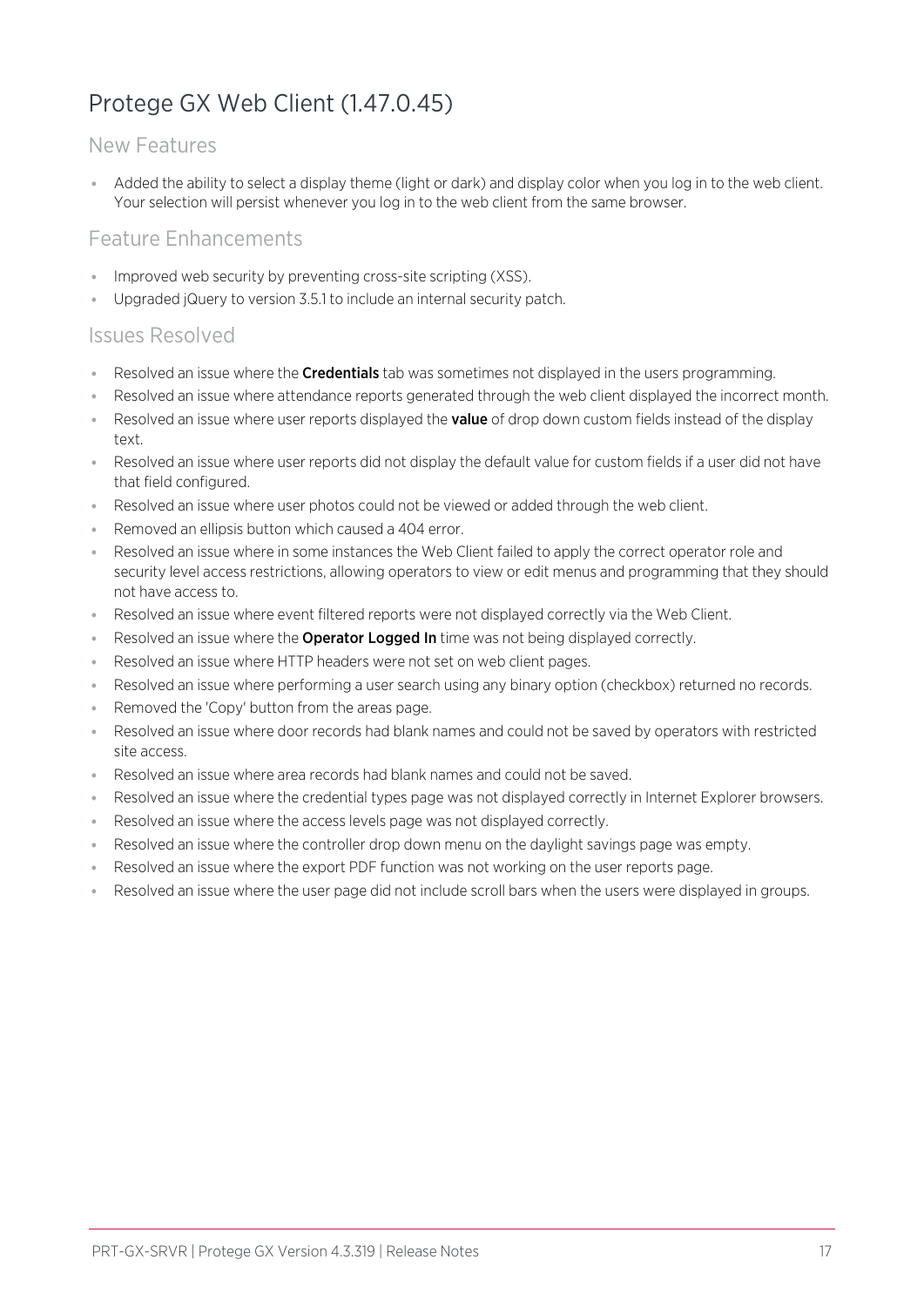## <span id="page-16-0"></span>Protege GX Web Client (1.47.0.45)

### New Features

⦁ Added the ability to select a display theme (light or dark) and display color when you log in to the web client. Your selection will persist whenever you log in to the web client from the same browser.

### Feature Enhancements

- ⦁ Improved web security by preventing cross-site scripting (XSS).
- ⦁ Upgraded jQuery to version 3.5.1 to include an internal security patch.

### Issues Resolved

- Exesolved an issue where the **Credentials** tab was sometimes not displayed in the users programming.
- ⦁ Resolved an issue where attendance reports generated through the web client displayed the incorrect month.
- Resolved an issue where user reports displayed the **value** of drop down custom fields instead of the display text.
- ⦁ Resolved an issue where user reports did not display the default value for custom fields if a user did not have that field configured.
- ⦁ Resolved an issue where user photos could not be viewed or added through the web client.
- ⦁ Removed an ellipsis button which caused a 404 error.
- ⦁ Resolved an issue where in some instances the Web Client failed to apply the correct operator role and security level access restrictions, allowing operators to view or edit menus and programming that they should not have access to.
- ⦁ Resolved an issue where event filtered reports were not displayed correctly via the Web Client.
- Resolved an issue where the **Operator Logged In** time was not being displayed correctly.
- Resolved an issue where HTTP headers were not set on web client pages.
- Resolved an issue where performing a user search using any binary option (checkbox) returned no records.
- Removed the 'Copy' button from the areas page.
- Resolved an issue where door records had blank names and could not be saved by operators with restricted site access.
- ⦁ Resolved an issue where area records had blank names and could not be saved.
- Resolved an issue where the credential types page was not displayed correctly in Internet Explorer browsers.
- Resolved an issue where the access levels page was not displayed correctly.
- Resolved an issue where the controller drop down menu on the daylight savings page was empty.
- ⦁ Resolved an issue where the export PDF function was not working on the user reports page.
- ⦁ Resolved an issue where the user page did not include scroll bars when the users were displayed in groups.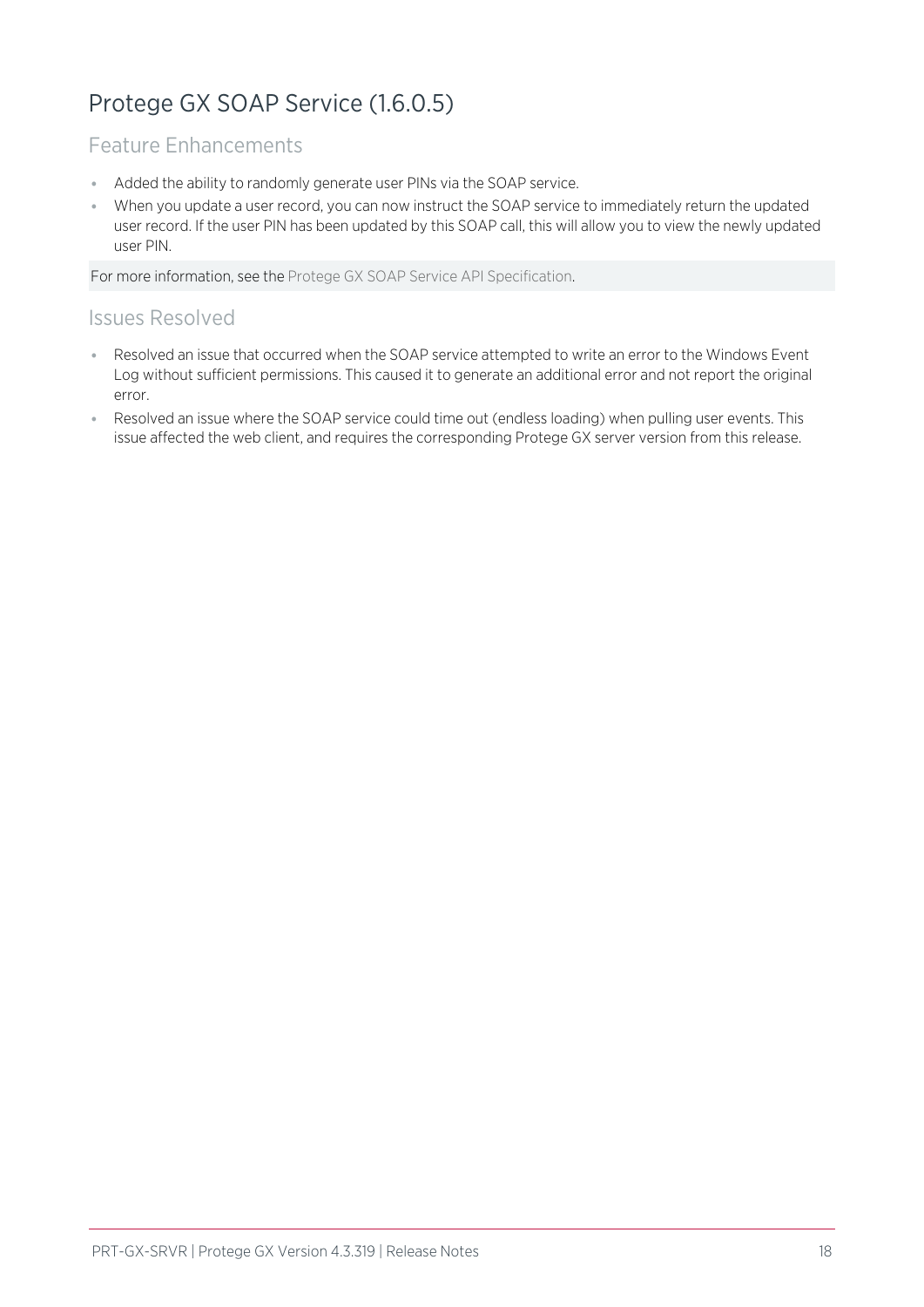## <span id="page-17-0"></span>Protege GX SOAP Service (1.6.0.5)

## Feature Enhancements

- ⦁ Added the ability to randomly generate user PINs via the SOAP service.
- ⦁ When you update a user record, you can now instruct the SOAP service to immediately return the updated user record. If the user PIN has been updated by this SOAP call, this will allow you to view the newly updated user PIN.

For more information, see the Protege GX SOAP Service API Specification.

## Issues Resolved

- ⦁ Resolved an issue that occurred when the SOAP service attempted to write an error to the Windows Event Log without sufficient permissions. This caused it to generate an additional error and not report the original error.
- Resolved an issue where the SOAP service could time out (endless loading) when pulling user events. This issue affected the web client, and requires the corresponding Protege GX server version from this release.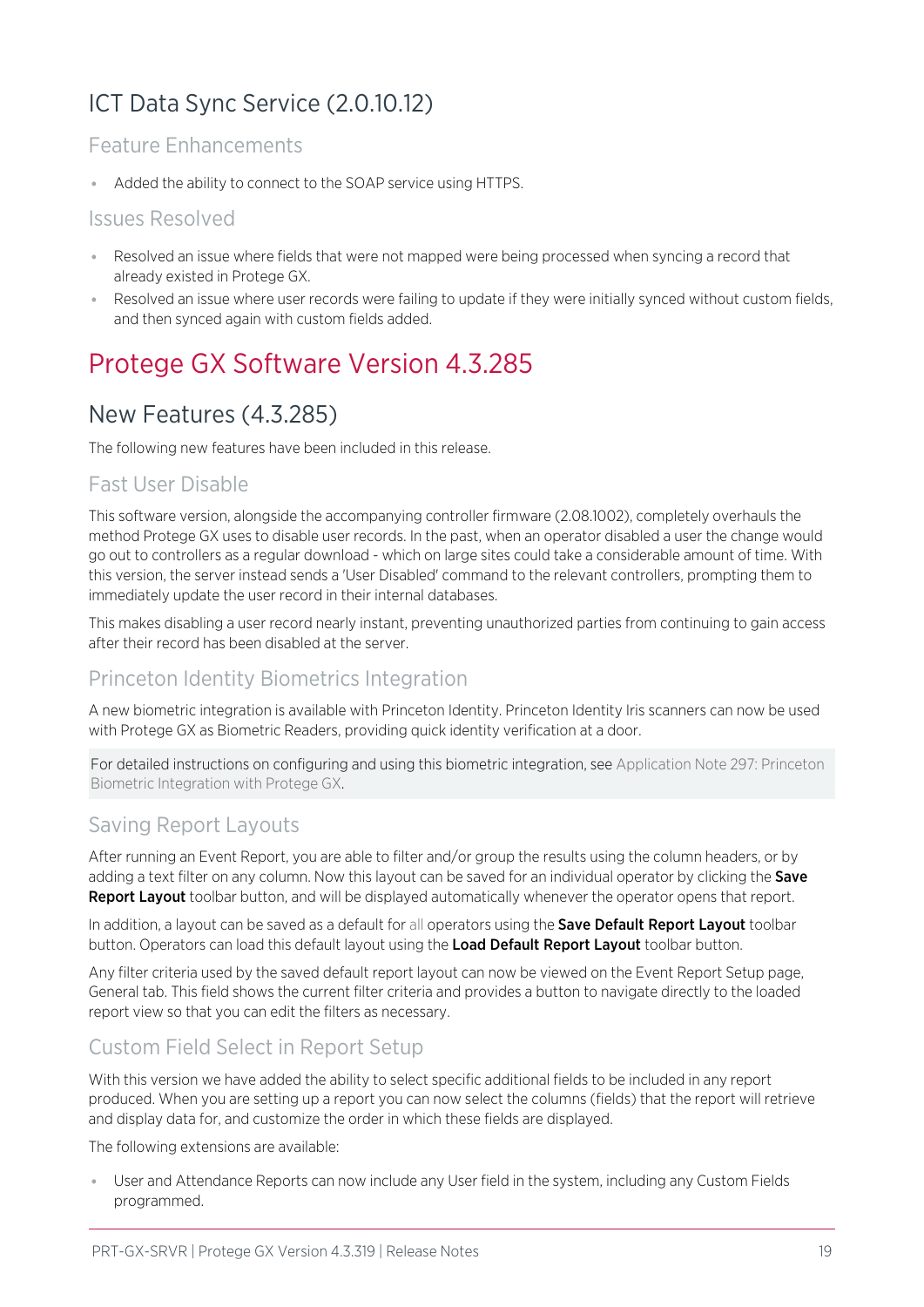## <span id="page-18-0"></span>ICT Data Sync Service (2.0.10.12)

## Feature Enhancements

⦁ Added the ability to connect to the SOAP service using HTTPS.

### Issues Resolved

- ⦁ Resolved an issue where fields that were not mapped were being processed when syncing a record that already existed in Protege GX.
- <span id="page-18-1"></span>⦁ Resolved an issue where user records were failing to update if they were initially synced without custom fields, and then synced again with custom fields added.

## <span id="page-18-2"></span>Protege GX Software Version 4.3.285

## New Features (4.3.285)

The following new features have been included in this release.

### Fast User Disable

This software version, alongside the accompanying controller firmware (2.08.1002), completely overhauls the method Protege GX uses to disable user records. In the past, when an operator disabled a user the change would go out to controllers as a regular download - which on large sites could take a considerable amount of time. With this version, the server instead sends a 'User Disabled' command to the relevant controllers, prompting them to immediately update the user record in their internal databases.

This makes disabling a user record nearly instant, preventing unauthorized parties from continuing to gain access after their record has been disabled at the server.

### Princeton Identity Biometrics Integration

A new biometric integration is available with Princeton Identity. Princeton Identity Iris scanners can now be used with Protege GX as Biometric Readers, providing quick identity verification at a door.

For detailed instructions on configuring and using this biometric integration, see Application Note 297: Princeton Biometric Integration with Protege GX.

### Saving Report Layouts

After running an Event Report, you are able to filter and/or group the results using the column headers, or by adding a text filter on any column. Now this layout can be saved for an individual operator by clicking the Save Report Layout toolbar button, and will be displayed automatically whenever the operator opens that report.

In addition, a layout can be saved as a default for all operators using the Save Default Report Layout toolbar button. Operators can load this default layout using the Load Default Report Layout toolbar button.

Any filter criteria used by the saved default report layout can now be viewed on the Event Report Setup page, General tab. This field shows the current filter criteria and provides a button to navigate directly to the loaded report view so that you can edit the filters as necessary.

## Custom Field Select in Report Setup

With this version we have added the ability to select specific additional fields to be included in any report produced. When you are setting up a report you can now select the columns (fields) that the report will retrieve and display data for, and customize the order in which these fields are displayed.

The following extensions are available:

User and Attendance Reports can now include any User field in the system, including any Custom Fields programmed.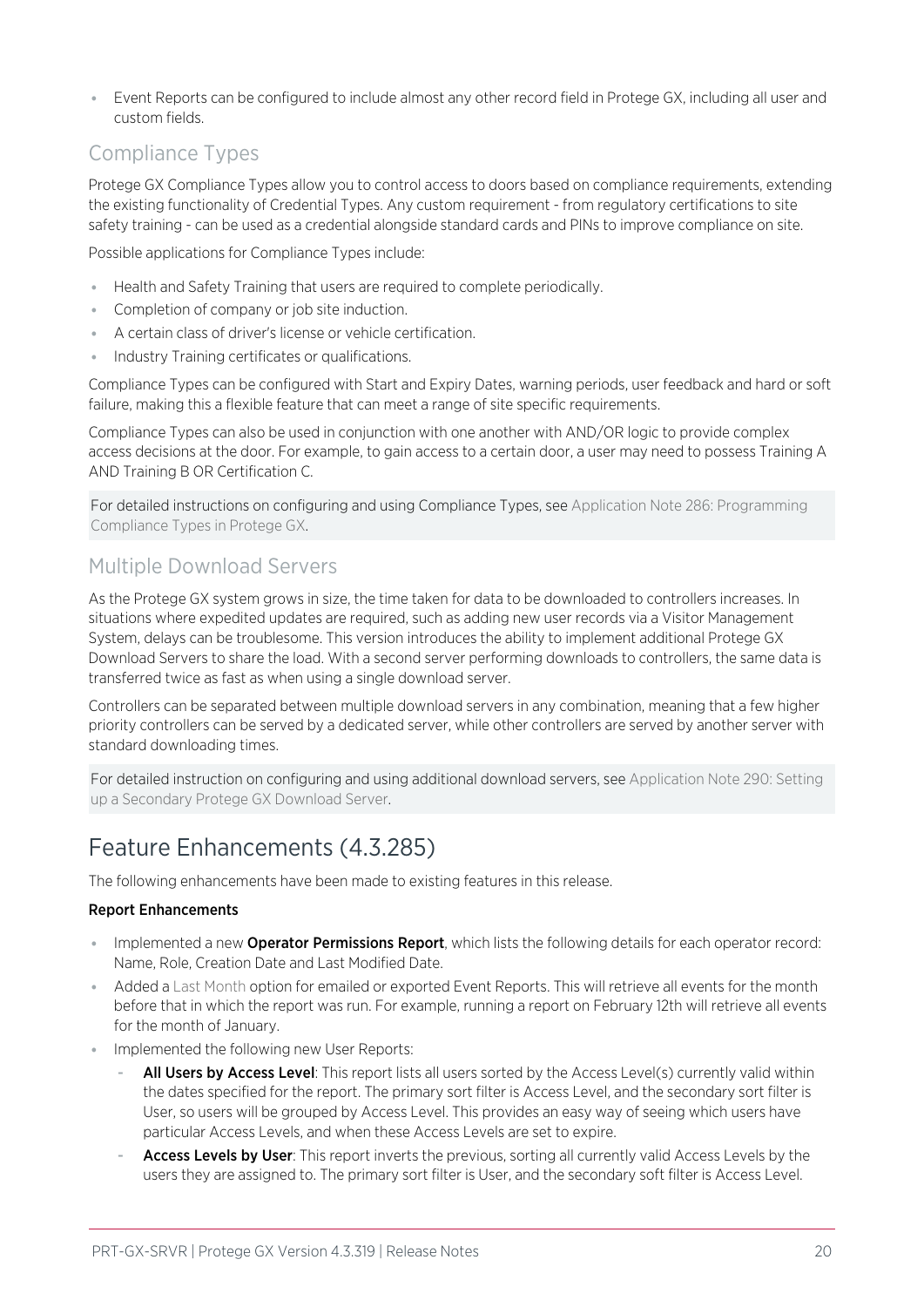⦁ Event Reports can be configured to include almost any other record field in Protege GX, including all user and custom fields.

## Compliance Types

Protege GX Compliance Types allow you to control access to doors based on compliance requirements, extending the existing functionality of Credential Types. Any custom requirement - from regulatory certifications to site safety training - can be used as a credential alongside standard cards and PINs to improve compliance on site.

Possible applications for Compliance Types include:

- ⦁ Health and Safety Training that users are required to complete periodically.
- Completion of company or job site induction.
- ⦁ A certain class of driver's license or vehicle certification.
- ⦁ Industry Training certificates or qualifications.

Compliance Types can be configured with Start and Expiry Dates, warning periods, user feedback and hard or soft failure, making this a flexible feature that can meet a range of site specific requirements.

Compliance Types can also be used in conjunction with one another with AND/OR logic to provide complex access decisions at the door. For example, to gain access to a certain door, a user may need to possess Training A AND Training B OR Certification C.

For detailed instructions on configuring and using Compliance Types, see Application Note 286: Programming Compliance Types in Protege GX.

### Multiple Download Servers

As the Protege GX system grows in size, the time taken for data to be downloaded to controllers increases. In situations where expedited updates are required, such as adding new user records via a Visitor Management System, delays can be troublesome. This version introduces the ability to implement additional Protege GX Download Servers to share the load. With a second server performing downloads to controllers, the same data is transferred twice as fast as when using a single download server.

Controllers can be separated between multiple download servers in any combination, meaning that a few higher priority controllers can be served by a dedicated server, while other controllers are served by another server with standard downloading times.

For detailed instruction on configuring and using additional download servers, see Application Note 290: Setting up a Secondary Protege GX Download Server.

## <span id="page-19-0"></span>Feature Enhancements (4.3.285)

The following enhancements have been made to existing features in this release.

### Report Enhancements

- **Implemented a new Operator Permissions Report**, which lists the following details for each operator record: Name, Role, Creation Date and Last Modified Date.
- ⦁ Added a Last Month option for emailed or exported Event Reports. This will retrieve all events for the month before that in which the report was run. For example, running a report on February 12th will retrieve all events for the month of January.
- Implemented the following new User Reports:
	- All Users by Access Level: This report lists all users sorted by the Access Level(s) currently valid within the dates specified for the report. The primary sort filter is Access Level, and the secondary sort filter is User, so users will be grouped by Access Level. This provides an easy way of seeing which users have particular Access Levels, and when these Access Levels are set to expire.
	- Access Levels by User: This report inverts the previous, sorting all currently valid Access Levels by the users they are assigned to. The primary sort filter is User, and the secondary soft filter is Access Level.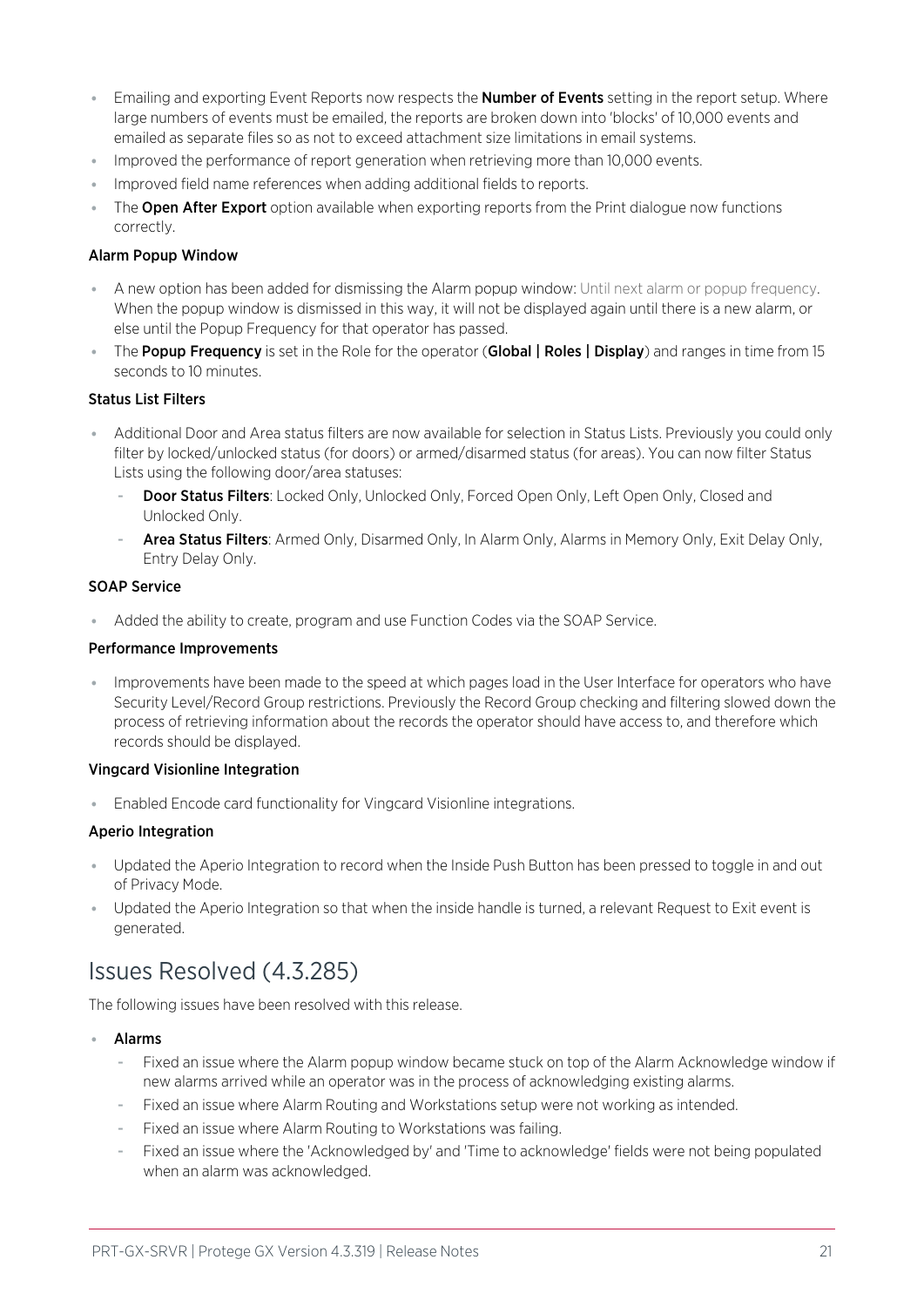- **Emailing and exporting Event Reports now respects the Number of Events setting in the report setup. Where** large numbers of events must be emailed, the reports are broken down into 'blocks' of 10,000 events and emailed as separate files so as not to exceed attachment size limitations in email systems.
- ⦁ Improved the performance of report generation when retrieving more than 10,000 events.
- ⦁ Improved field name references when adding additional fields to reports.
- The **Open After Export** option available when exporting reports from the Print dialogue now functions correctly.

#### Alarm Popup Window

- ⦁ A new option has been added for dismissing the Alarm popup window: Until next alarm or popup frequency. When the popup window is dismissed in this way, it will not be displayed again until there is a new alarm, or else until the Popup Frequency for that operator has passed.
- The Popup Frequency is set in the Role for the operator (Global | Roles | Display) and ranges in time from 15 seconds to 10 minutes.

#### Status List Filters

- ⦁ Additional Door and Area status filters are now available for selection in Status Lists. Previously you could only filter by locked/unlocked status (for doors) or armed/disarmed status (for areas). You can now filter Status Lists using the following door/area statuses:
	- **Door Status Filters:** Locked Only, Unlocked Only, Forced Open Only, Left Open Only, Closed and Unlocked Only.
	- Area Status Filters: Armed Only, Disarmed Only, In Alarm Only, Alarms in Memory Only, Exit Delay Only, Entry Delay Only.

#### SOAP Service

⦁ Added the ability to create, program and use Function Codes via the SOAP Service.

#### Performance Improvements

⦁ Improvements have been made to the speed at which pages load in the User Interface for operators who have Security Level/Record Group restrictions. Previously the Record Group checking and filtering slowed down the process of retrieving information about the records the operator should have access to, and therefore which records should be displayed.

#### Vingcard Visionline Integration

⦁ Enabled Encode card functionality for Vingcard Visionline integrations.

### Aperio Integration

- ⦁ Updated the Aperio Integration to record when the Inside Push Button has been pressed to toggle in and out of Privacy Mode.
- <span id="page-20-0"></span>⦁ Updated the Aperio Integration so that when the inside handle is turned, a relevant Request to Exit event is generated.

## Issues Resolved (4.3.285)

The following issues have been resolved with this release.

- **Alarms** 
	- Fixed an issue where the Alarm popup window became stuck on top of the Alarm Acknowledge window if new alarms arrived while an operator was in the process of acknowledging existing alarms.
	- Fixed an issue where Alarm Routing and Workstations setup were not working as intended.
	- Fixed an issue where Alarm Routing to Workstations was failing.
	- Fixed an issue where the 'Acknowledged by' and 'Time to acknowledge' fields were not being populated when an alarm was acknowledged.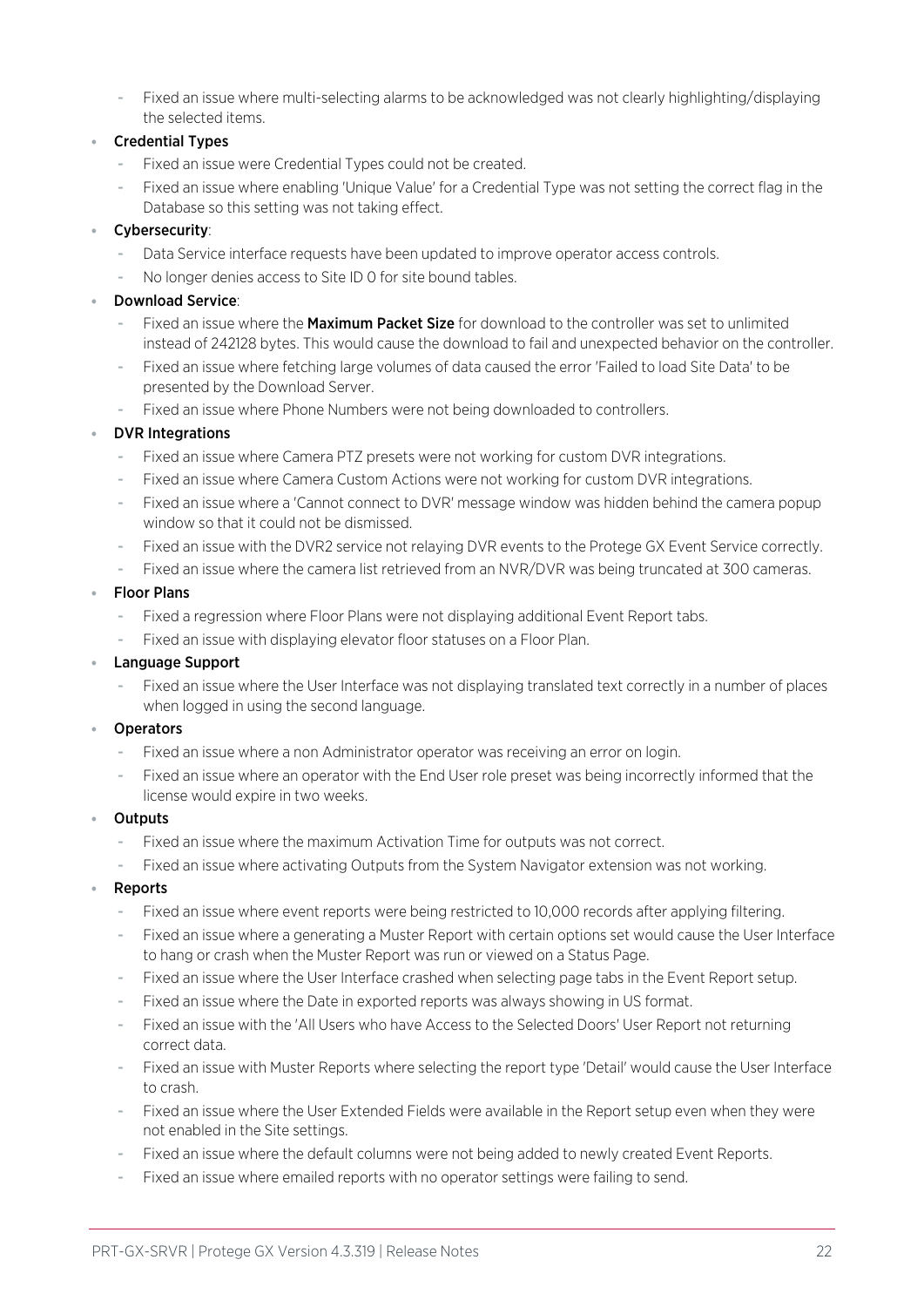Fixed an issue where multi-selecting alarms to be acknowledged was not clearly highlighting/displaying the selected items.

### ⦁ Credential Types

- Fixed an issue were Credential Types could not be created.
- Fixed an issue where enabling 'Unique Value' for a Credential Type was not setting the correct flag in the Database so this setting was not taking effect.

### ⦁ Cybersecurity:

- Data Service interface requests have been updated to improve operator access controls.
- No longer denies access to Site ID 0 for site bound tables.

### ⦁ Download Service:

- Fixed an issue where the **Maximum Packet Size** for download to the controller was set to unlimited instead of 242128 bytes. This would cause the download to fail and unexpected behavior on the controller.
- Fixed an issue where fetching large volumes of data caused the error 'Failed to load Site Data' to be presented by the Download Server.
- Fixed an issue where Phone Numbers were not being downloaded to controllers.

### ⦁ DVR Integrations

- Fixed an issue where Camera PTZ presets were not working for custom DVR integrations.
- Fixed an issue where Camera Custom Actions were not working for custom DVR integrations.
- Fixed an issue where a 'Cannot connect to DVR' message window was hidden behind the camera popup window so that it could not be dismissed.
- Fixed an issue with the DVR2 service not relaying DVR events to the Protege GX Event Service correctly.
- Fixed an issue where the camera list retrieved from an NVR/DVR was being truncated at 300 cameras.

#### ⦁ Floor Plans

- Fixed a regression where Floor Plans were not displaying additional Event Report tabs.
- Fixed an issue with displaying elevator floor statuses on a Floor Plan.

#### ⦁ Language Support

Fixed an issue where the User Interface was not displaying translated text correctly in a number of places when logged in using the second language.

### **Operators**

- Fixed an issue where a non Administrator operator was receiving an error on login.
- Fixed an issue where an operator with the End User role preset was being incorrectly informed that the license would expire in two weeks.

#### **Outputs**

- Fixed an issue where the maximum Activation Time for outputs was not correct.
- Fixed an issue where activating Outputs from the System Navigator extension was not working.

### **Reports**

- Fixed an issue where event reports were being restricted to 10,000 records after applying filtering.
- Fixed an issue where a generating a Muster Report with certain options set would cause the User Interface to hang or crash when the Muster Report was run or viewed on a Status Page.
- Fixed an issue where the User Interface crashed when selecting page tabs in the Event Report setup.
- Fixed an issue where the Date in exported reports was always showing in US format.
- Fixed an issue with the 'All Users who have Access to the Selected Doors' User Report not returning correct data.
- Fixed an issue with Muster Reports where selecting the report type 'Detail' would cause the User Interface to crash.
- Fixed an issue where the User Extended Fields were available in the Report setup even when they were not enabled in the Site settings.
- Fixed an issue where the default columns were not being added to newly created Event Reports.
- Fixed an issue where emailed reports with no operator settings were failing to send.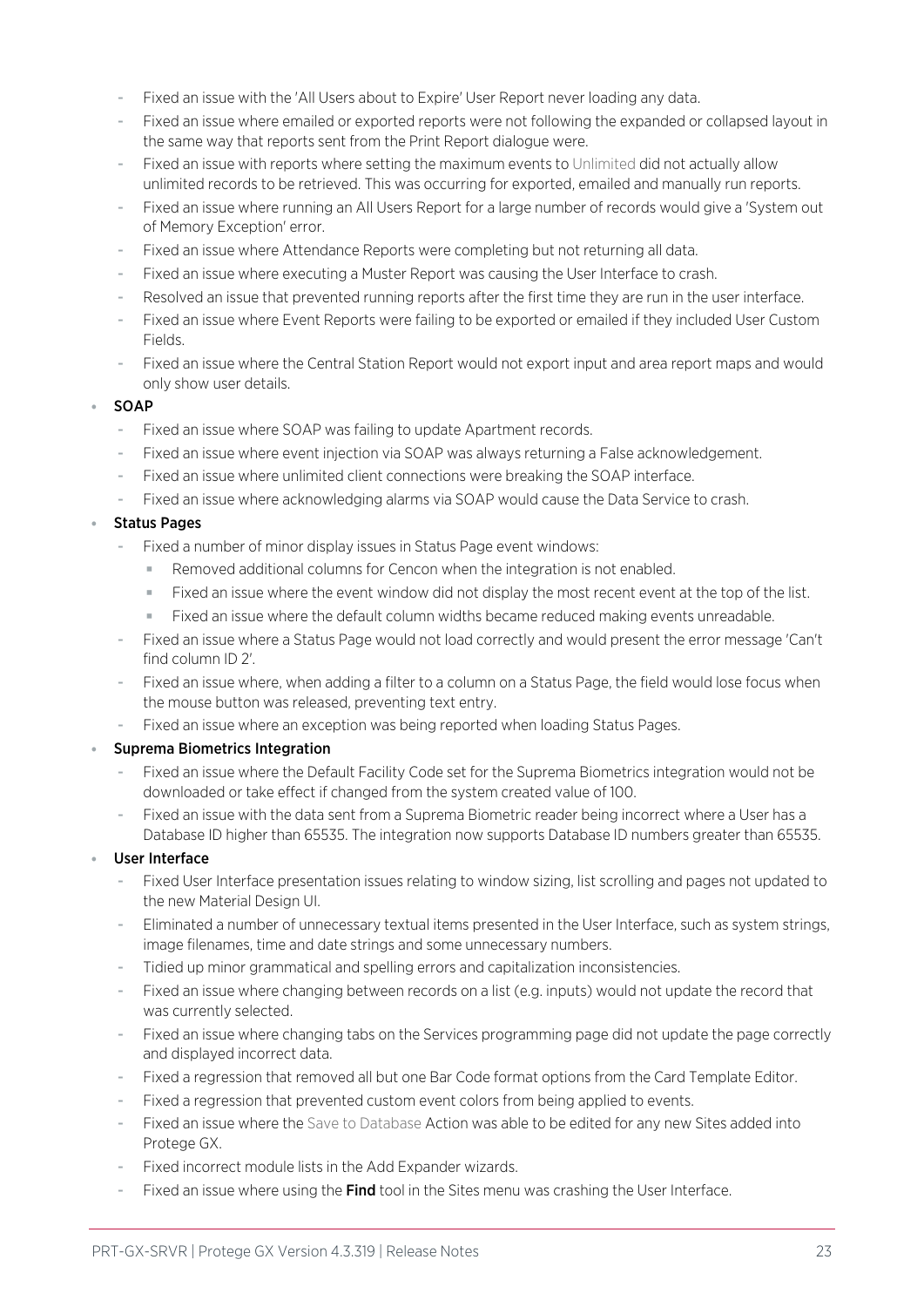- Fixed an issue with the 'All Users about to Expire' User Report never loading any data.
- Fixed an issue where emailed or exported reports were not following the expanded or collapsed layout in the same way that reports sent from the Print Report dialogue were.
- Fixed an issue with reports where setting the maximum events to Unlimited did not actually allow unlimited records to be retrieved. This was occurring for exported, emailed and manually run reports.
- Fixed an issue where running an All Users Report for a large number of records would give a 'System out of Memory Exception' error.
- Fixed an issue where Attendance Reports were completing but not returning all data.
- Fixed an issue where executing a Muster Report was causing the User Interface to crash.
- Resolved an issue that prevented running reports after the first time they are run in the user interface.
- Fixed an issue where Event Reports were failing to be exported or emailed if they included User Custom Fields.
- Fixed an issue where the Central Station Report would not export input and area report maps and would only show user details.

#### ⦁ SOAP

- Fixed an issue where SOAP was failing to update Apartment records.
- Fixed an issue where event injection via SOAP was always returning a False acknowledgement.
- Fixed an issue where unlimited client connections were breaking the SOAP interface.
- Fixed an issue where acknowledging alarms via SOAP would cause the Data Service to crash.

### ⦁ Status Pages

- Fixed a number of minor display issues in Status Page event windows:
	- Removed additional columns for Cencon when the integration is not enabled.
	- Fixed an issue where the event window did not display the most recent event at the top of the list.
	- Fixed an issue where the default column widths became reduced making events unreadable.
- Fixed an issue where a Status Page would not load correctly and would present the error message 'Can't find column ID 2'.
- Fixed an issue where, when adding a filter to a column on a Status Page, the field would lose focus when the mouse button was released, preventing text entry.
- Fixed an issue where an exception was being reported when loading Status Pages.

### ⦁ Suprema Biometrics Integration

- Fixed an issue where the Default Facility Code set for the Suprema Biometrics integration would not be downloaded or take effect if changed from the system created value of 100.
- Fixed an issue with the data sent from a Suprema Biometric reader being incorrect where a User has a Database ID higher than 65535. The integration now supports Database ID numbers greater than 65535.

### User Interface

- Fixed User Interface presentation issues relating to window sizing, list scrolling and pages not updated to the new Material Design UI.
- Eliminated a number of unnecessary textual items presented in the User Interface, such as system strings, image filenames, time and date strings and some unnecessary numbers.
- Tidied up minor grammatical and spelling errors and capitalization inconsistencies.
- Fixed an issue where changing between records on a list (e.g. inputs) would not update the record that was currently selected.
- Fixed an issue where changing tabs on the Services programming page did not update the page correctly and displayed incorrect data.
- Fixed a regression that removed all but one Bar Code format options from the Card Template Editor.
- Fixed a regression that prevented custom event colors from being applied to events.
- Fixed an issue where the Save to Database Action was able to be edited for any new Sites added into Protege GX.
- Fixed incorrect module lists in the Add Expander wizards.
- Fixed an issue where using the Find tool in the Sites menu was crashing the User Interface.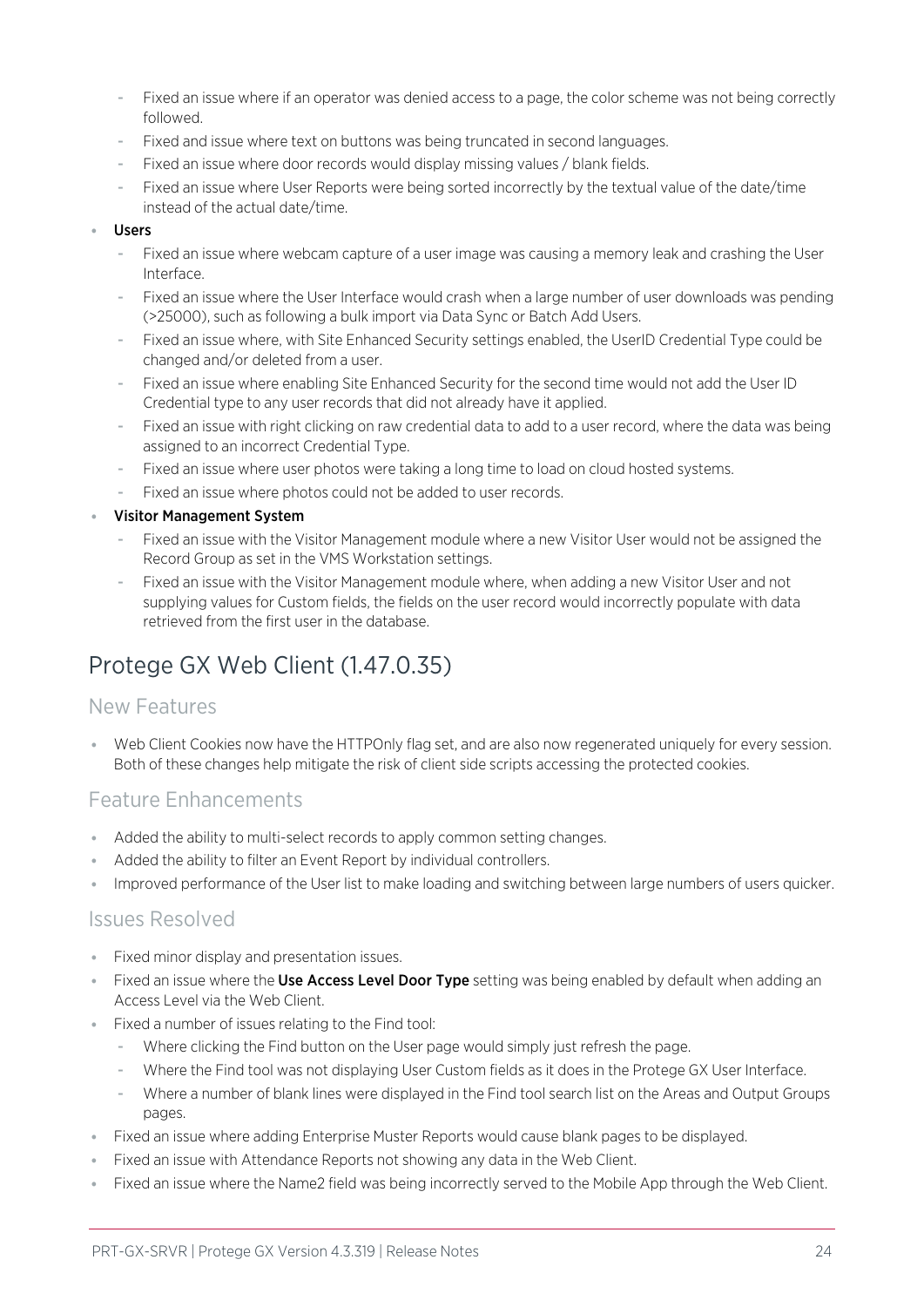- Fixed an issue where if an operator was denied access to a page, the color scheme was not being correctly followed.
- Fixed and issue where text on buttons was being truncated in second languages.
- Fixed an issue where door records would display missing values / blank fields.
- Fixed an issue where User Reports were being sorted incorrectly by the textual value of the date/time instead of the actual date/time.

#### **Users**

- Fixed an issue where webcam capture of a user image was causing a memory leak and crashing the User Interface.
- Fixed an issue where the User Interface would crash when a large number of user downloads was pending (>25000), such as following a bulk import via Data Sync or Batch Add Users.
- Fixed an issue where, with Site Enhanced Security settings enabled, the UserID Credential Type could be changed and/or deleted from a user.
- Fixed an issue where enabling Site Enhanced Security for the second time would not add the User ID Credential type to any user records that did not already have it applied.
- Fixed an issue with right clicking on raw credential data to add to a user record, where the data was being assigned to an incorrect Credential Type.
- Fixed an issue where user photos were taking a long time to load on cloud hosted systems.
- Fixed an issue where photos could not be added to user records.

#### ⦁ Visitor Management System

- Fixed an issue with the Visitor Management module where a new Visitor User would not be assigned the Record Group as set in the VMS Workstation settings.
- Fixed an issue with the Visitor Management module where, when adding a new Visitor User and not supplying values for Custom fields, the fields on the user record would incorrectly populate with data retrieved from the first user in the database.

## <span id="page-23-0"></span>Protege GX Web Client (1.47.0.35)

### New Features

⦁ Web Client Cookies now have the HTTPOnly flag set, and are also now regenerated uniquely for every session. Both of these changes help mitigate the risk of client side scripts accessing the protected cookies.

### Feature Enhancements

- ⦁ Added the ability to multi-select records to apply common setting changes.
- ⦁ Added the ability to filter an Event Report by individual controllers.
- ⦁ Improved performance of the User list to make loading and switching between large numbers of users quicker.

### Issues Resolved

- ⦁ Fixed minor display and presentation issues.
- Fixed an issue where the Use Access Level Door Type setting was being enabled by default when adding an Access Level via the Web Client.
- ⦁ Fixed a number of issues relating to the Find tool:
	- Where clicking the Find button on the User page would simply just refresh the page.
	- Where the Find tool was not displaying User Custom fields as it does in the Protege GX User Interface.
	- Where a number of blank lines were displayed in the Find tool search list on the Areas and Output Groups pages.
- ⦁ Fixed an issue where adding Enterprise Muster Reports would cause blank pages to be displayed.
- ⦁ Fixed an issue with Attendance Reports not showing any data in the Web Client.
- ⦁ Fixed an issue where the Name2 field was being incorrectly served to the Mobile App through the Web Client.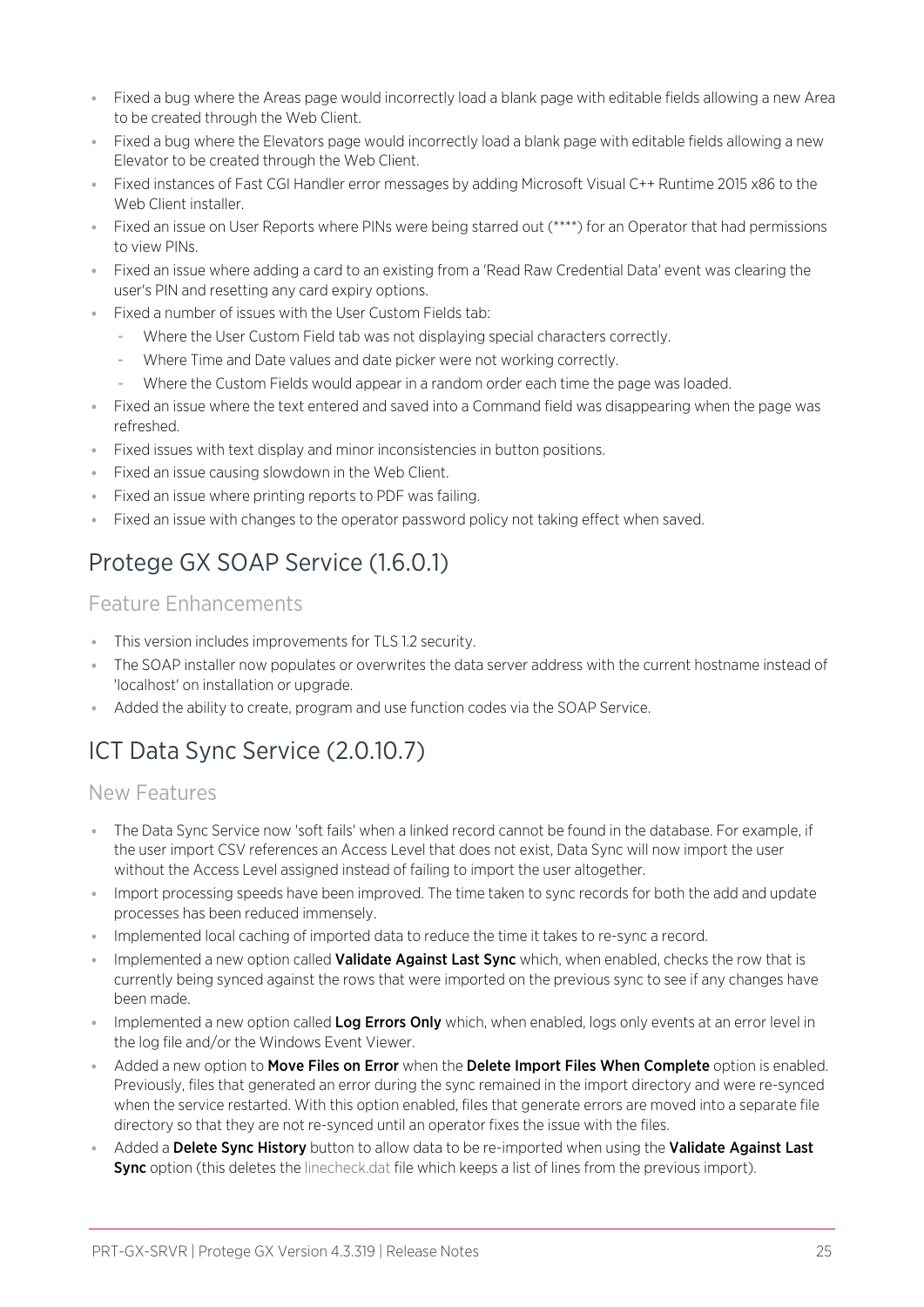- ⦁ Fixed a bug where the Areas page would incorrectly load a blank page with editable fields allowing a new Area to be created through the Web Client.
- ⦁ Fixed a bug where the Elevators page would incorrectly load a blank page with editable fields allowing a new Elevator to be created through the Web Client.
- ⦁ Fixed instances of Fast CGI Handler error messages by adding Microsoft Visual C++ Runtime 2015 x86 to the Web Client installer.
- ⦁ Fixed an issue on User Reports where PINs were being starred out (\*\*\*\*) for an Operator that had permissions to view PINs.
- ⦁ Fixed an issue where adding a card to an existing from a 'Read Raw Credential Data' event was clearing the user's PIN and resetting any card expiry options.
- Fixed a number of issues with the User Custom Fields tab:
	- Where the User Custom Field tab was not displaying special characters correctly.
	- Where Time and Date values and date picker were not working correctly.
	- Where the Custom Fields would appear in a random order each time the page was loaded.
- ⦁ Fixed an issue where the text entered and saved into a Command field was disappearing when the page was refreshed.
- ⦁ Fixed issues with text display and minor inconsistencies in button positions.
- ⦁ Fixed an issue causing slowdown in the Web Client.
- ⦁ Fixed an issue where printing reports to PDF was failing.
- <span id="page-24-0"></span>⦁ Fixed an issue with changes to the operator password policy not taking effect when saved.

## Protege GX SOAP Service (1.6.0.1)

### Feature Enhancements

- ⦁ This version includes improvements for TLS 1.2 security.
- ⦁ The SOAP installer now populates or overwrites the data server address with the current hostname instead of 'localhost' on installation or upgrade.
- <span id="page-24-1"></span>⦁ Added the ability to create, program and use function codes via the SOAP Service.

## ICT Data Sync Service (2.0.10.7)

### New Features

- ⦁ The Data Sync Service now 'soft fails' when a linked record cannot be found in the database. For example, if the user import CSV references an Access Level that does not exist, Data Sync will now import the user without the Access Level assigned instead of failing to import the user altogether.
- ⦁ Import processing speeds have been improved. The time taken to sync records for both the add and update processes has been reduced immensely.
- ⦁ Implemented local caching of imported data to reduce the time it takes to re-sync a record.
- **Implemented a new option called Validate Against Last Sync** which, when enabled, checks the row that is currently being synced against the rows that were imported on the previous sync to see if any changes have been made.
- **Implemented a new option called Log Errors Only** which, when enabled, logs only events at an error level in the log file and/or the Windows Event Viewer.
- Added a new option to Move Files on Error when the Delete Import Files When Complete option is enabled. Previously, files that generated an error during the sync remained in the import directory and were re-synced when the service restarted. With this option enabled, files that generate errors are moved into a separate file directory so that they are not re-synced until an operator fixes the issue with the files.
- Added a Delete Sync History button to allow data to be re-imported when using the Validate Against Last Sync option (this deletes the linecheck.dat file which keeps a list of lines from the previous import).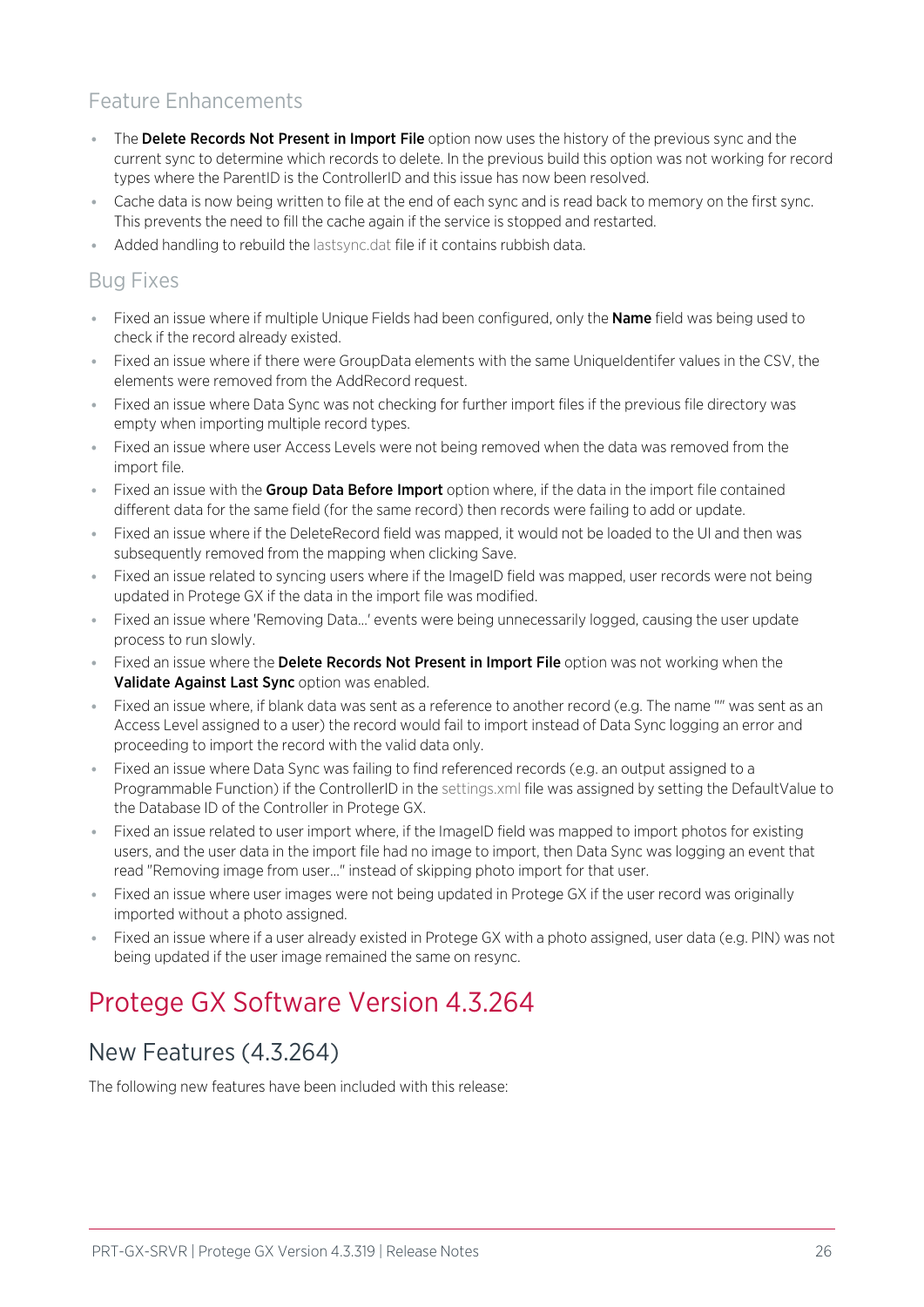## Feature Enhancements

- The Delete Records Not Present in Import File option now uses the history of the previous sync and the current sync to determine which records to delete. In the previous build this option was not working for record types where the ParentID is the ControllerID and this issue has now been resolved.
- ⦁ Cache data is now being written to file at the end of each sync and is read back to memory on the first sync. This prevents the need to fill the cache again if the service is stopped and restarted.
- ⦁ Added handling to rebuild the lastsync.dat file if it contains rubbish data.

### Bug Fixes

- Fixed an issue where if multiple Unique Fields had been configured, only the **Name** field was being used to check if the record already existed.
- ⦁ Fixed an issue where if there were GroupData elements with the same UniqueIdentifer values in the CSV, the elements were removed from the AddRecord request.
- ⦁ Fixed an issue where Data Sync was not checking for further import files if the previous file directory was empty when importing multiple record types.
- ⦁ Fixed an issue where user Access Levels were not being removed when the data was removed from the import file.
- Fixed an issue with the Group Data Before Import option where, if the data in the import file contained different data for the same field (for the same record) then records were failing to add or update.
- ⦁ Fixed an issue where if the DeleteRecord field was mapped, it would not be loaded to the UI and then was subsequently removed from the mapping when clicking Save.
- Fixed an issue related to syncing users where if the ImageID field was mapped, user records were not being updated in Protege GX if the data in the import file was modified.
- ⦁ Fixed an issue where 'Removing Data...' events were being unnecessarily logged, causing the user update process to run slowly.
- Fixed an issue where the Delete Records Not Present in Import File option was not working when the Validate Against Last Sync option was enabled.
- ⦁ Fixed an issue where, if blank data was sent as a reference to another record (e.g. The name "" was sent as an Access Level assigned to a user) the record would fail to import instead of Data Sync logging an error and proceeding to import the record with the valid data only.
- Fixed an issue where Data Sync was failing to find referenced records (e.g. an output assigned to a Programmable Function) if the ControllerID in the settings.xml file was assigned by setting the DefaultValue to the Database ID of the Controller in Protege GX.
- ⦁ Fixed an issue related to user import where, if the ImageID field was mapped to import photos for existing users, and the user data in the import file had no image to import, then Data Sync was logging an event that read "Removing image from user..." instead of skipping photo import for that user.
- ⦁ Fixed an issue where user images were not being updated in Protege GX if the user record was originally imported without a photo assigned.
- <span id="page-25-0"></span>⦁ Fixed an issue where if a user already existed in Protege GX with a photo assigned, user data (e.g. PIN) was not being updated if the user image remained the same on resync.

## <span id="page-25-1"></span>Protege GX Software Version 4.3.264

## New Features (4.3.264)

The following new features have been included with this release: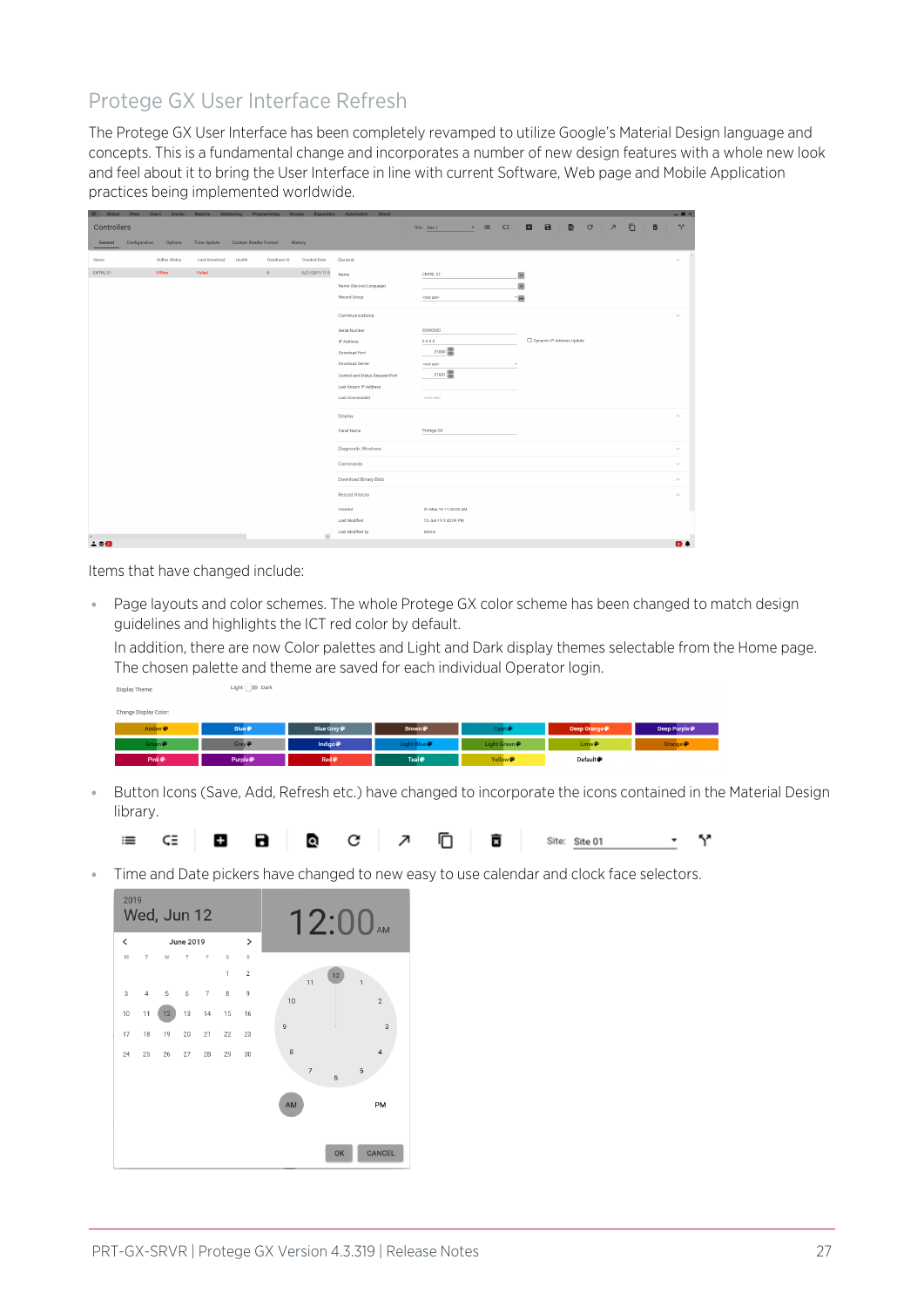## Protege GX User Interface Refresh

The Protege GX User Interface has been completely revamped to utilize Google's Material Design language and concepts. This is a fundamental change and incorporates a number of new design features with a whole new look and feel about it to bring the User Interface in line with current Software, Web page and Mobile Application practices being implemented worldwide.

| Global<br>n i | Users Events<br>Sites    | Reports            | Monitoring                  | Programming | Expanders<br>Groups | Automation                      | About |                        |                   |                          |                           |           |                                          |   | $ \blacksquare$ $\times$ |
|---------------|--------------------------|--------------------|-----------------------------|-------------|---------------------|---------------------------------|-------|------------------------|-------------------|--------------------------|---------------------------|-----------|------------------------------------------|---|--------------------------|
| Controllers   |                          |                    |                             |             |                     |                                 |       | Site: Site 1<br>$\sim$ | $\equiv$<br>$C =$ | $\blacksquare$           | $\blacksquare$            | $\bullet$ | $\mathbf{C}$<br>$\overline{\phantom{a}}$ | O | $\mathbb{S}^n$<br>盲      |
| General       | Configuration<br>Options | <b>Time Update</b> | <b>Custom Reader Format</b> |             | History             |                                 |       |                        |                   |                          |                           |           |                                          |   |                          |
|               |                          |                    |                             |             |                     |                                 |       |                        |                   |                          |                           |           |                                          |   |                          |
| Name          | Online Status            | Last Download      | Health                      | Database ID | Created Date        | General                         |       |                        |                   |                          |                           |           |                                          |   | $\widehat{\phantom{a}}$  |
| CNTRL 01      | <b>Offline</b>           | Failed             |                             | $\circ$     | 5/21/2019 11:3      | Name                            |       | CNTRL 01               |                   | $\overline{\phantom{a}}$ |                           |           |                                          |   |                          |
|               |                          |                    |                             |             |                     | Name (Second Language)          |       |                        |                   | $\sim$                   |                           |           |                                          |   |                          |
|               |                          |                    |                             |             |                     | Record Group                    |       | <not set=""></not>     |                   | 18                       |                           |           |                                          |   |                          |
|               |                          |                    |                             |             |                     | Communications                  |       |                        |                   |                          |                           |           |                                          |   | $\widehat{\phantom{a}}$  |
|               |                          |                    |                             |             |                     | Serial Number                   |       | 00000000               |                   |                          |                           |           |                                          |   |                          |
|               |                          |                    |                             |             |                     | IP Address                      |       | 0.0.0.0                |                   |                          | Dynamic IP Address Update |           |                                          |   |                          |
|               |                          |                    |                             |             |                     | Download Port                   |       | 21000                  |                   |                          |                           |           |                                          |   |                          |
|               |                          |                    |                             |             |                     | Download Server                 |       | <not set=""></not>     |                   | ×                        |                           |           |                                          |   |                          |
|               |                          |                    |                             |             |                     | Control and Status Request Port |       | 21001                  |                   |                          |                           |           |                                          |   |                          |
|               |                          |                    |                             |             |                     | Last Known IP Address           |       |                        |                   |                          |                           |           |                                          |   |                          |
|               |                          |                    |                             |             |                     | Last Downloaded                 |       | <not set=""></not>     |                   |                          |                           |           |                                          |   |                          |
|               |                          |                    |                             |             |                     | Display                         |       |                        |                   |                          |                           |           |                                          |   | $\wedge$                 |
|               |                          |                    |                             |             |                     | Panel Name                      |       | Protege GX             |                   |                          |                           |           |                                          |   |                          |
|               |                          |                    |                             |             |                     | Diagnostic Windows              |       |                        |                   |                          |                           |           |                                          |   | $\checkmark$             |
|               |                          |                    |                             |             |                     |                                 |       |                        |                   |                          |                           |           |                                          |   |                          |
|               |                          |                    |                             |             |                     | Commands                        |       |                        |                   |                          |                           |           |                                          |   | $\checkmark$             |
|               |                          |                    |                             |             |                     | Download Binary Blob            |       |                        |                   |                          |                           |           |                                          |   | $\sim$                   |
|               |                          |                    |                             |             |                     | Record History                  |       |                        |                   |                          |                           |           |                                          |   | $\wedge$                 |
|               |                          |                    |                             |             |                     | Created                         |       | 21-May-19 11:35:05 AM  |                   |                          |                           |           |                                          |   |                          |
|               |                          |                    |                             |             |                     | Last Modified                   |       | 12-Jun-19 3:40:09 PM   |                   |                          |                           |           |                                          |   |                          |
|               |                          |                    |                             |             | $\rightarrow$       | Last Modified by                |       | Admin                  |                   |                          |                           |           |                                          |   |                          |
| 2.80          |                          |                    |                             |             |                     |                                 |       |                        |                   |                          |                           |           |                                          |   | $\bullet$                |

Items that have changed include:

and and the

Light **Dark** 

● Page layouts and color schemes. The whole Protege GX color scheme has been changed to match design guidelines and highlights the ICT red color by default.

In addition, there are now Color palettes and Light and Dark display themes selectable from the Home page. The chosen palette and theme are saved for each individual Operator login.

| Pink <sup>®</sup>     | Purple ®          | Red <sup>®</sup> | Teal <sup>®</sup> | Yellow <sup>®</sup> | Default @   |                     |
|-----------------------|-------------------|------------------|-------------------|---------------------|-------------|---------------------|
| Green @               | Grey <sup>®</sup> | Indigo $\bullet$ | Light Blue        | Light Green         | $Lime$ $P$  | Orange <sup>®</sup> |
| Amber <sup>®</sup>    | <b>Blue</b>       | Blue Grey        | Brown @           | <b>Cyan</b>         | Deep Orange | Deep Purple         |
| Change Display Color: |                   |                  |                   |                     |             |                     |
|                       | ____              |                  |                   |                     |             |                     |

⦁ Button Icons (Save, Add, Refresh etc.) have changed to incorporate the icons contained in the Material Design library.



⦁ Time and Date pickers have changed to new easy to use calendar and clock face selectors.

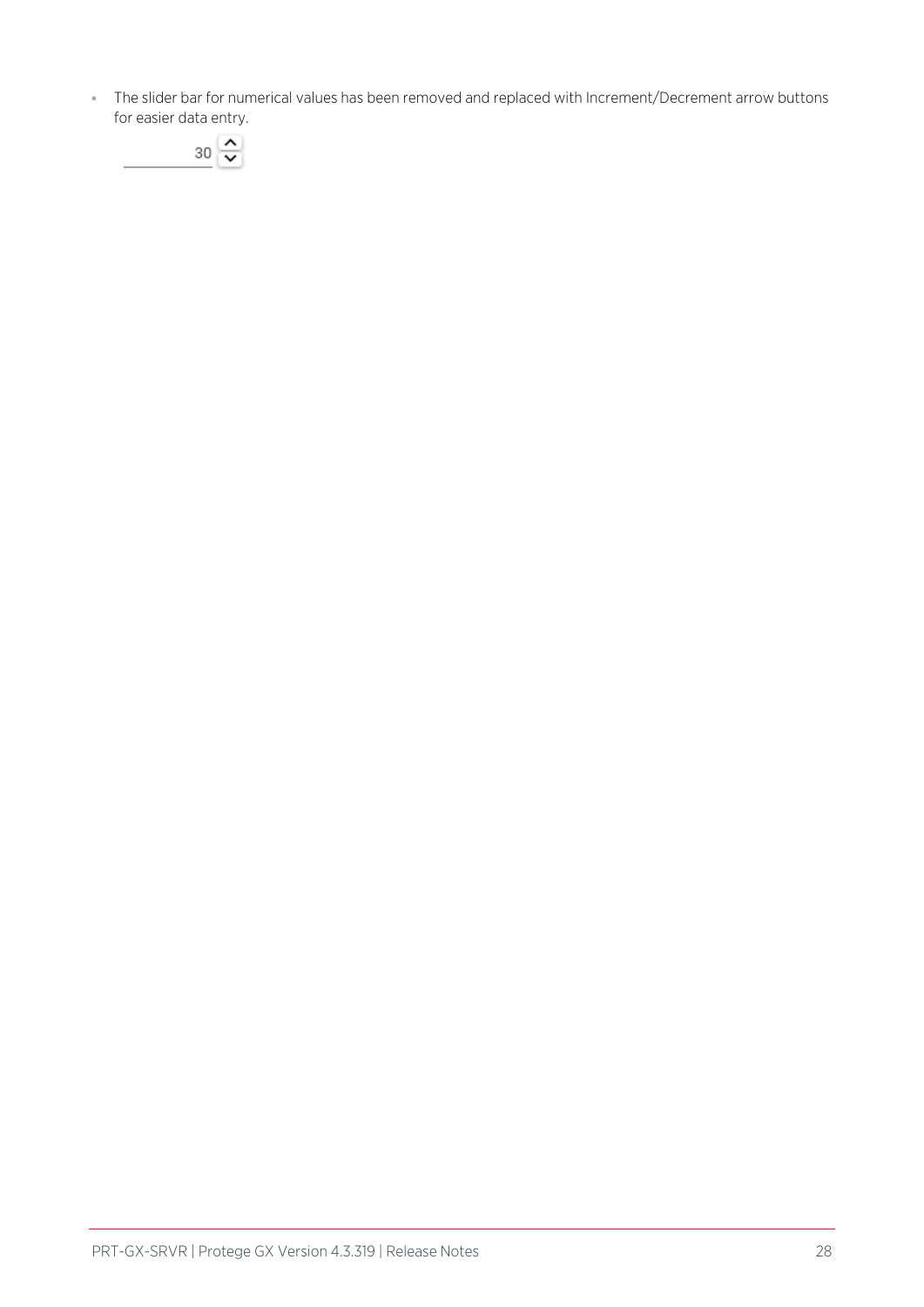⦁ The slider bar for numerical values has been removed and replaced with Increment/Decrement arrow buttons for easier data entry.

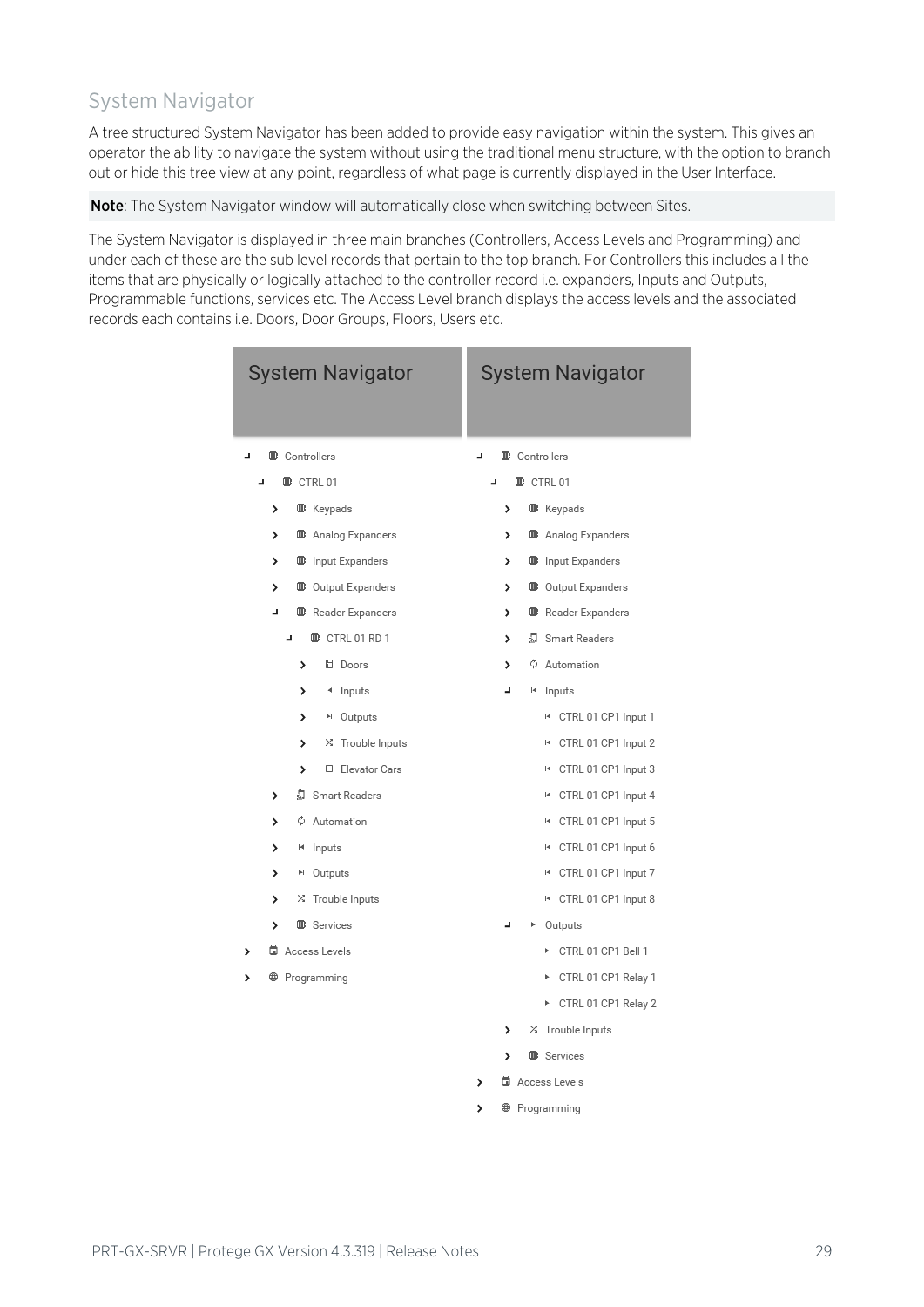## System Navigator

A tree structured System Navigator has been added to provide easy navigation within the system. This gives an operator the ability to navigate the system without using the traditional menu structure, with the option to branch out or hide this tree view at any point, regardless of what page is currently displayed in the User Interface.

Note: The System Navigator window will automatically close when switching between Sites.

The System Navigator is displayed in three main branches (Controllers, Access Levels and Programming) and under each of these are the sub level records that pertain to the top branch. For Controllers this includes all the items that are physically or logically attached to the controller record i.e. expanders, Inputs and Outputs, Programmable functions, services etc. The Access Level branch displays the access levels and the associated records each contains i.e. Doors, Door Groups, Floors, Users etc.

| <b>System Navigator</b> |   |                      |                      |                               |  |    |    |                      | <b>System Navigator</b>         |
|-------------------------|---|----------------------|----------------------|-------------------------------|--|----|----|----------------------|---------------------------------|
| ᆚ                       |   | <b>D</b> Controllers |                      |                               |  | J, |    | <b>B</b> Controllers |                                 |
| L,                      |   |                      | <b>B</b> CTRL 01     |                               |  | J, |    | <b>B</b> CTRL 01     |                                 |
|                         | > |                      | <b>B</b> Keypads     |                               |  |    | >  |                      | <b>B</b> Keypads                |
|                         | > |                      |                      | <sup>1</sup> Analog Expanders |  |    | >  |                      | <sup>1</sup> Analog Expanders   |
|                         | > |                      |                      | <b>D</b> Input Expanders      |  |    | >  |                      | <sup>10</sup> Input Expanders   |
|                         | > |                      |                      | <b>D</b> Output Expanders     |  |    | >  |                      | <b>D</b> Output Expanders       |
|                         | ٠ |                      |                      | <b>B</b> Reader Expanders     |  |    | >  |                      | <b>B</b> Reader Expanders       |
|                         |   | J,                   |                      | <b>B</b> CTRL 01 RD 1         |  |    | >  |                      | ्री Smart Readers               |
|                         |   | >                    |                      | <b>日</b> Doors                |  |    | >  |                      | $\phi$ Automation               |
|                         |   | >                    |                      | 14 Inputs                     |  |    | L, |                      | <sup>14</sup> Inputs            |
|                         |   | >                    |                      | ▶ Outputs                     |  |    |    |                      | I4 CTRL 01 CP1 Input 1          |
|                         |   | >                    |                      | X Trouble Inputs              |  |    |    |                      | I4 CTRL 01 CP1 Input 2          |
|                         |   | >                    |                      | □ Elevator Cars               |  |    |    |                      | I4 CTRL 01 CP1 Input 3          |
|                         | > |                      |                      | ♪ Smart Readers               |  |    |    |                      | I4 CTRL 01 CP1 Input 4          |
|                         | > |                      |                      | ♦ Automation                  |  |    |    |                      | I4 CTRL 01 CP1 Input 5          |
|                         | > |                      | 14 Inputs            |                               |  |    |    |                      | I4 CTRL 01 CP1 Input 6          |
|                         | > |                      | <sup>⊳</sup> Outputs |                               |  |    |    |                      | I4 CTRL 01 CP1 Input 7          |
|                         | > |                      |                      | X Trouble Inputs              |  |    |    |                      | I4 CTRL 01 CP1 Input 8          |
|                         | > |                      | <b>B</b> Services    |                               |  |    | J, |                      | <sup>⊳</sup> Outputs            |
|                         |   | d Access Levels      |                      |                               |  |    |    |                      | M CTRL 01 CP1 Bell 1            |
|                         |   | <b>B</b> Programming |                      |                               |  |    |    |                      | ™ CTRL 01 CP1 Relay 1           |
|                         |   |                      |                      |                               |  |    |    |                      | ™ CTRL 01 CP1 Relay 2           |
|                         |   |                      |                      |                               |  |    | >  |                      | X Trouble Inputs                |
|                         |   |                      |                      |                               |  |    | >  |                      | <b>B</b> Services               |
|                         |   |                      |                      |                               |  | >  |    |                      | di Access Levels                |
|                         |   |                      |                      |                               |  | >  |    |                      | <b><sup>@</sup></b> Programming |
|                         |   |                      |                      |                               |  |    |    |                      |                                 |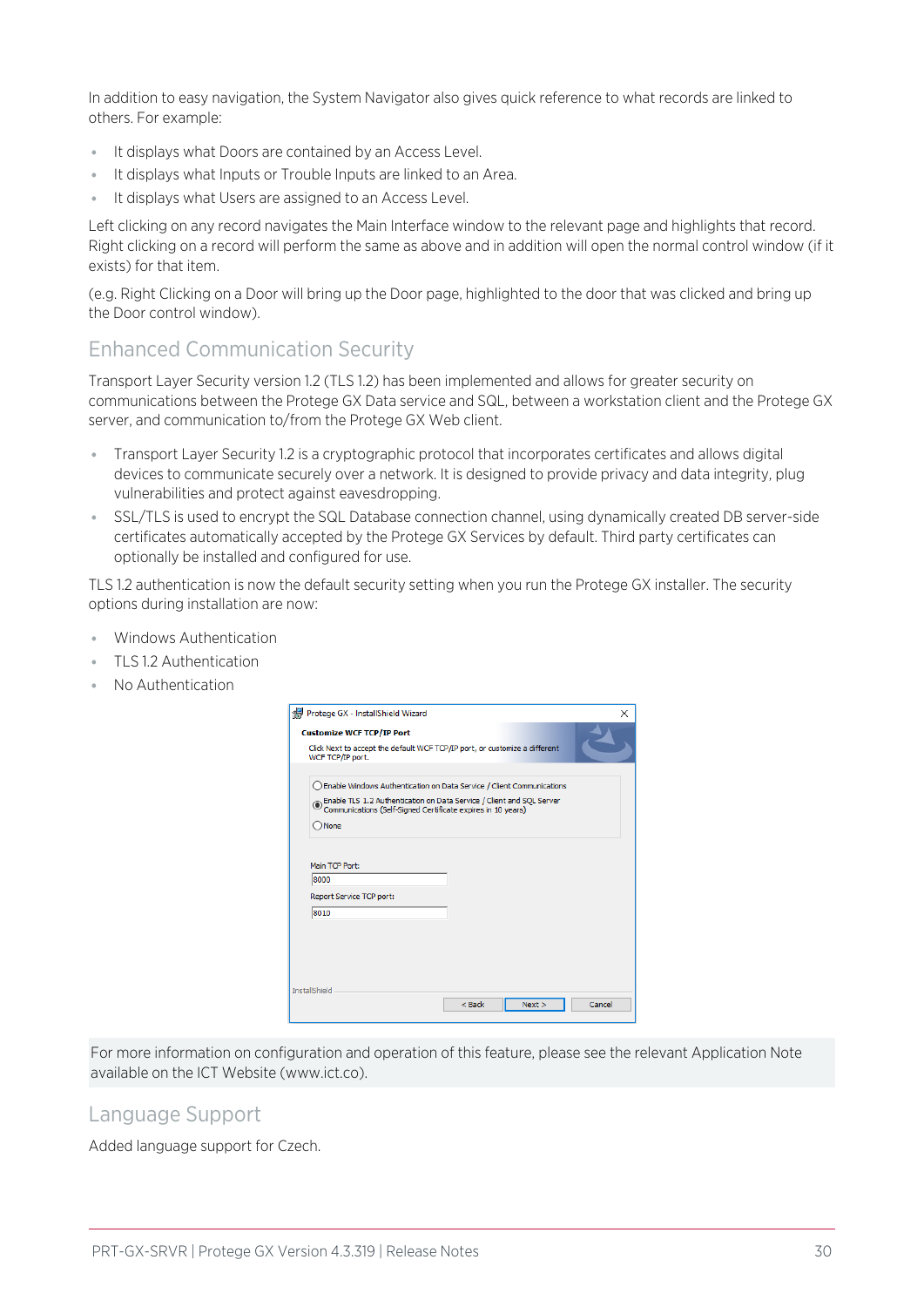In addition to easy navigation, the System Navigator also gives quick reference to what records are linked to others. For example:

- ⦁ It displays what Doors are contained by an Access Level.
- It displays what Inputs or Trouble Inputs are linked to an Area.
- ⦁ It displays what Users are assigned to an Access Level.

Left clicking on any record navigates the Main Interface window to the relevant page and highlights that record. Right clicking on a record will perform the same as above and in addition will open the normal control window (if it exists) for that item.

(e.g. Right Clicking on a Door will bring up the Door page, highlighted to the door that was clicked and bring up the Door control window).

### Enhanced Communication Security

Transport Layer Security version 1.2 (TLS 1.2) has been implemented and allows for greater security on communications between the Protege GX Data service and SQL, between a workstation client and the Protege GX server, and communication to/from the Protege GX Web client.

- ⦁ Transport Layer Security 1.2 is a cryptographic protocol that incorporates certificates and allows digital devices to communicate securely over a network. It is designed to provide privacy and data integrity, plug vulnerabilities and protect against eavesdropping.
- ⦁ SSL/TLS is used to encrypt the SQL Database connection channel, using dynamically created DB server-side certificates automatically accepted by the Protege GX Services by default. Third party certificates can optionally be installed and configured for use.

TLS 1.2 authentication is now the default security setting when you run the Protege GX installer. The security options during installation are now:

- ⦁ Windows Authentication
- ⦁ TLS 1.2 Authentication
- No Authentication

| Protege GX - InstallShield Wizard                                                                                                         |        |        |        |
|-------------------------------------------------------------------------------------------------------------------------------------------|--------|--------|--------|
| <b>Customize WCF TCP/IP Port</b>                                                                                                          |        |        |        |
| Click Next to accept the default WCF TCP/IP port, or customize a different<br>WCF TCP/IP port.                                            |        |        |        |
| ◯ Enable Windows Authentication on Data Service / Client Communications                                                                   |        |        |        |
| ◉ Enable TLS 1.2 Authentication on Data Service / Client and SQL Server<br>© Communications (Self-Signed Certificate expires in 10 years) |        |        |        |
| $\bigcirc$ None                                                                                                                           |        |        |        |
|                                                                                                                                           |        |        |        |
|                                                                                                                                           |        |        |        |
| Main TCP Port:                                                                                                                            |        |        |        |
| 18000                                                                                                                                     |        |        |        |
| Report Service TCP port:                                                                                                                  |        |        |        |
| 8010                                                                                                                                      |        |        |        |
|                                                                                                                                           |        |        |        |
|                                                                                                                                           |        |        |        |
|                                                                                                                                           |        |        |        |
|                                                                                                                                           |        |        |        |
| <b>InstallShield</b>                                                                                                                      | < Back | Next > | Cancel |

For more information on configuration and operation of this feature, please see the relevant Application Note available on the ICT Website (www.ict.co).

### Language Support

Added language support for Czech.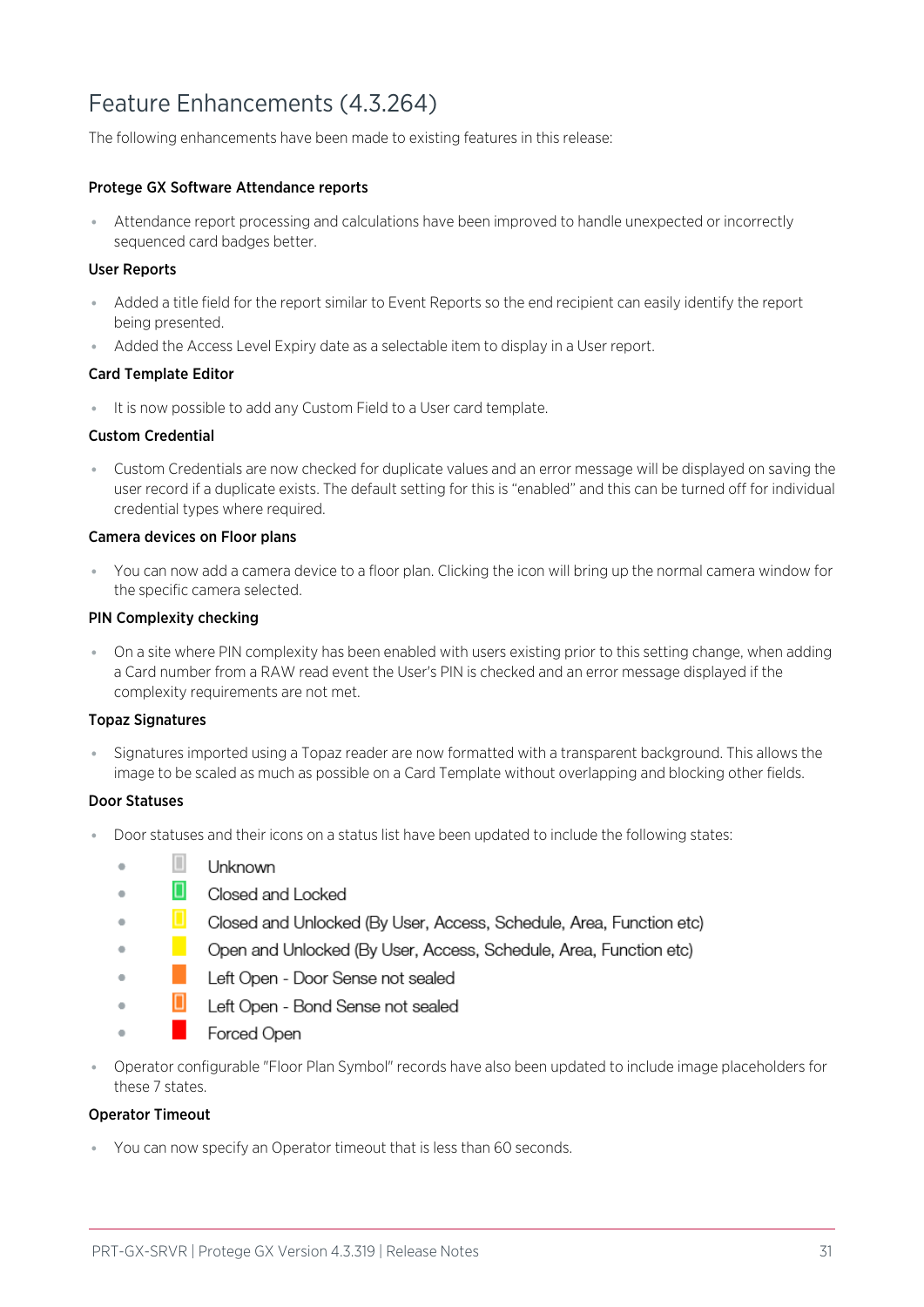## <span id="page-30-0"></span>Feature Enhancements (4.3.264)

The following enhancements have been made to existing features in this release:

#### Protege GX Software Attendance reports

⦁ Attendance report processing and calculations have been improved to handle unexpected or incorrectly sequenced card badges better.

#### User Reports

- ⦁ Added a title field for the report similar to Event Reports so the end recipient can easily identify the report being presented.
- ⦁ Added the Access Level Expiry date as a selectable item to display in a User report.

#### Card Template Editor

⦁ It is now possible to add any Custom Field to a User card template.

#### Custom Credential

⦁ Custom Credentials are now checked for duplicate values and an error message will be displayed on saving the user record if a duplicate exists. The default setting for this is "enabled" and this can be turned off for individual credential types where required.

#### Camera devices on Floor plans

⦁ You can now add a camera device to a floor plan. Clicking the icon will bring up the normal camera window for the specific camera selected.

#### PIN Complexity checking

⦁ On a site where PIN complexity has been enabled with users existing prior to this setting change, when adding a Card number from a RAW read event the User's PIN is checked and an error message displayed if the complexity requirements are not met.

#### Topaz Signatures

⦁ Signatures imported using a Topaz reader are now formatted with a transparent background. This allows the image to be scaled as much as possible on a Card Template without overlapping and blocking other fields.

#### Door Statuses

 $\overline{a}$ 

 $\ddot{\phantom{a}}$ 

- Door statuses and their icons on a status list have been updated to include the following states:
	- $\Box$ Unknown
	- Closed and Locked
	- $\bullet$ Closed and Unlocked (By User, Access, Schedule, Area, Function etc)
	- Open and Unlocked (By User, Access, Schedule, Area, Function etc)  $\blacksquare$
	- $\ddot{\phantom{a}}$ Left Open - Door Sense not sealed
	- O Left Open - Bond Sense not sealed  $\bullet$
	- Forced Open
- ⦁ Operator configurable "Floor Plan Symbol" records have also been updated to include image placeholders for these 7 states.

#### Operator Timeout

⦁ You can now specify an Operator timeout that is less than 60 seconds.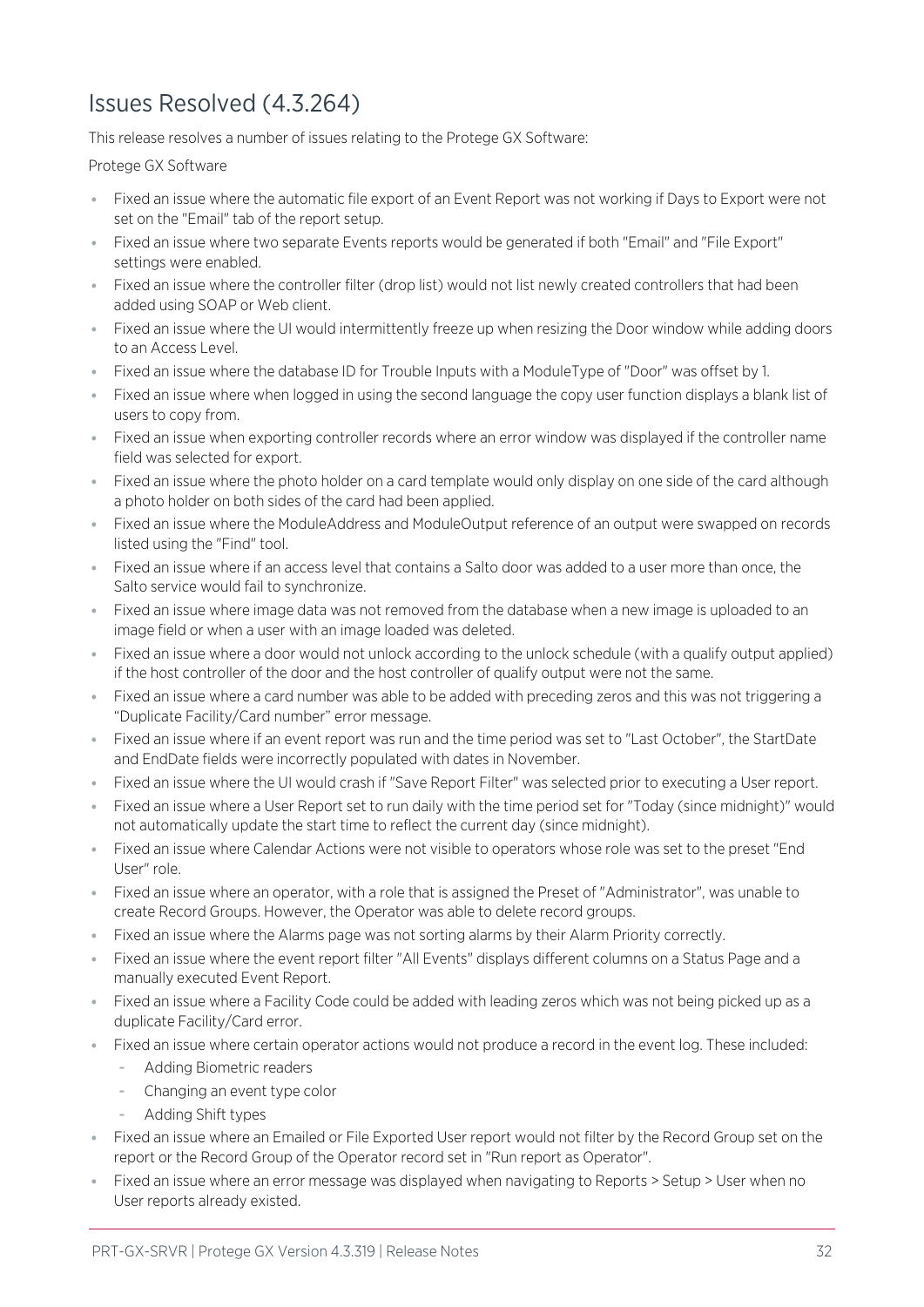## <span id="page-31-0"></span>Issues Resolved (4.3.264)

This release resolves a number of issues relating to the Protege GX Software:

Protege GX Software

- ⦁ Fixed an issue where the automatic file export of an Event Report was not working if Days to Export were not set on the "Email" tab of the report setup.
- ⦁ Fixed an issue where two separate Events reports would be generated if both "Email" and "File Export" settings were enabled.
- ⦁ Fixed an issue where the controller filter (drop list) would not list newly created controllers that had been added using SOAP or Web client.
- ⦁ Fixed an issue where the UI would intermittently freeze up when resizing the Door window while adding doors to an Access Level.
- ⦁ Fixed an issue where the database ID for Trouble Inputs with a ModuleType of "Door" was offset by 1.
- ⦁ Fixed an issue where when logged in using the second language the copy user function displays a blank list of users to copy from.
- ⦁ Fixed an issue when exporting controller records where an error window was displayed if the controller name field was selected for export.
- ⦁ Fixed an issue where the photo holder on a card template would only display on one side of the card although a photo holder on both sides of the card had been applied.
- Fixed an issue where the ModuleAddress and ModuleOutput reference of an output were swapped on records listed using the "Find" tool.
- ⦁ Fixed an issue where if an access level that contains a Salto door was added to a user more than once, the Salto service would fail to synchronize.
- ⦁ Fixed an issue where image data was not removed from the database when a new image is uploaded to an image field or when a user with an image loaded was deleted.
- ⦁ Fixed an issue where a door would not unlock according to the unlock schedule (with a qualify output applied) if the host controller of the door and the host controller of qualify output were not the same.
- Fixed an issue where a card number was able to be added with preceding zeros and this was not triggering a "Duplicate Facility/Card number" error message.
- ⦁ Fixed an issue where if an event report was run and the time period was set to "Last October", the StartDate and EndDate fields were incorrectly populated with dates in November.
- ⦁ Fixed an issue where the UI would crash if "Save Report Filter" was selected prior to executing a User report.
- ⦁ Fixed an issue where a User Report set to run daily with the time period set for "Today (since midnight)" would not automatically update the start time to reflect the current day (since midnight).
- ⦁ Fixed an issue where Calendar Actions were not visible to operators whose role was set to the preset "End User" role.
- ⦁ Fixed an issue where an operator, with a role that is assigned the Preset of "Administrator", was unable to create Record Groups. However, the Operator was able to delete record groups.
- ⦁ Fixed an issue where the Alarms page was not sorting alarms by their Alarm Priority correctly.
- ⦁ Fixed an issue where the event report filter "All Events" displays different columns on a Status Page and a manually executed Event Report.
- ⦁ Fixed an issue where a Facility Code could be added with leading zeros which was not being picked up as a duplicate Facility/Card error.
- ⦁ Fixed an issue where certain operator actions would not produce a record in the event log. These included:
	- Adding Biometric readers
	- Changing an event type color
	- Adding Shift types
- ⦁ Fixed an issue where an Emailed or File Exported User report would not filter by the Record Group set on the report or the Record Group of the Operator record set in "Run report as Operator".
- Fixed an issue where an error message was displayed when navigating to Reports > Setup > User when no User reports already existed.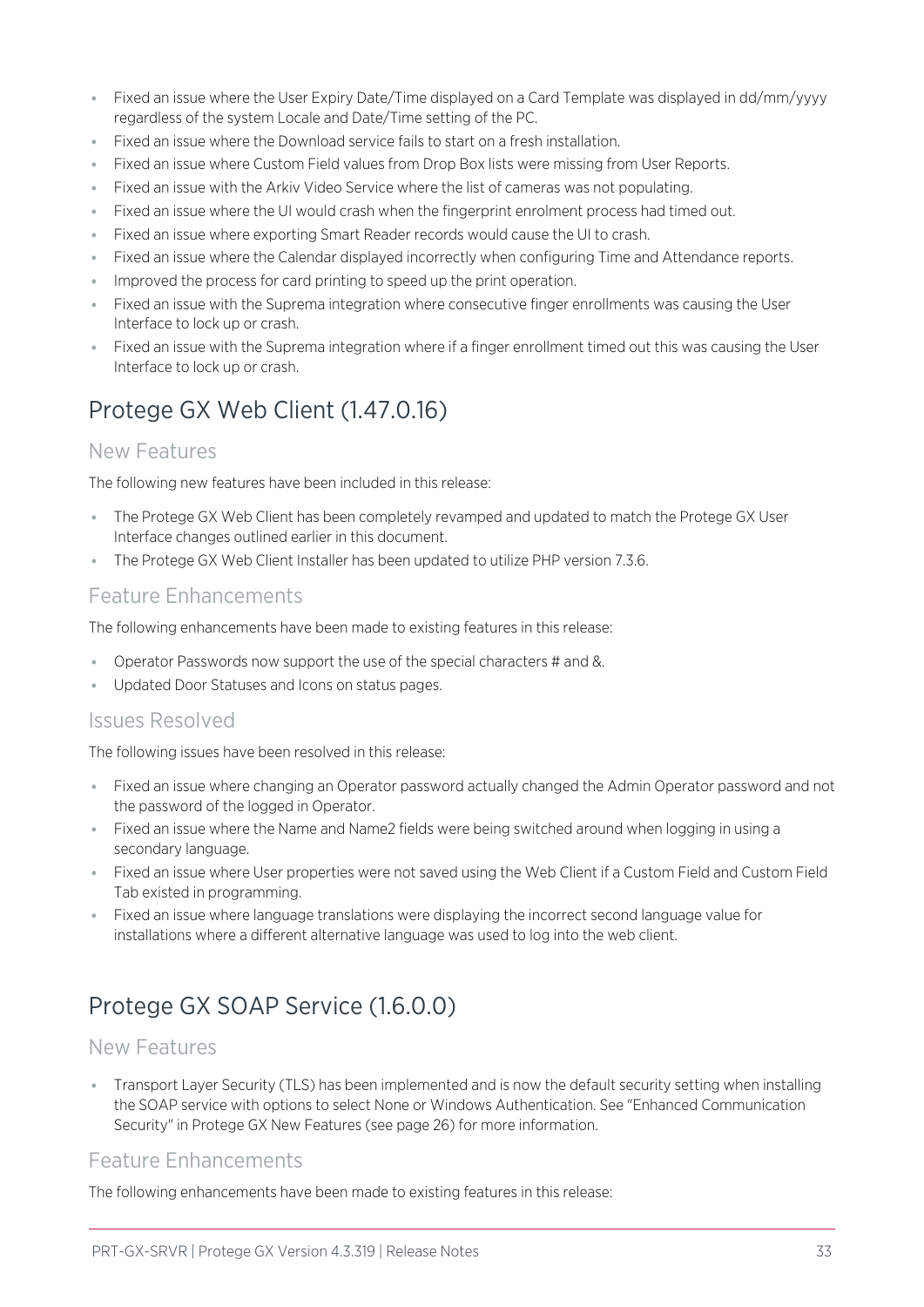- ⦁ Fixed an issue where the User Expiry Date/Time displayed on a Card Template was displayed in dd/mm/yyyy regardless of the system Locale and Date/Time setting of the PC.
- ⦁ Fixed an issue where the Download service fails to start on a fresh installation.
- ⦁ Fixed an issue where Custom Field values from Drop Box lists were missing from User Reports.
- ⦁ Fixed an issue with the Arkiv Video Service where the list of cameras was not populating.
- ⦁ Fixed an issue where the UI would crash when the fingerprint enrolment process had timed out.
- ⦁ Fixed an issue where exporting Smart Reader records would cause the UI to crash.
- ⦁ Fixed an issue where the Calendar displayed incorrectly when configuring Time and Attendance reports.
- **Improved the process for card printing to speed up the print operation.**
- ⦁ Fixed an issue with the Suprema integration where consecutive finger enrollments was causing the User Interface to lock up or crash.
- <span id="page-32-0"></span>⦁ Fixed an issue with the Suprema integration where if a finger enrollment timed out this was causing the User Interface to lock up or crash.

## Protege GX Web Client (1.47.0.16)

### New Features

The following new features have been included in this release:

- ⦁ The Protege GX Web Client has been completely revamped and updated to match the Protege GX User Interface changes outlined earlier in this document.
- ⦁ The Protege GX Web Client Installer has been updated to utilize PHP version 7.3.6.

### Feature Enhancements

The following enhancements have been made to existing features in this release:

- ⦁ Operator Passwords now support the use of the special characters # and &.
- ⦁ Updated Door Statuses and Icons on status pages.

### Issues Resolved

The following issues have been resolved in this release:

- ⦁ Fixed an issue where changing an Operator password actually changed the Admin Operator password and not the password of the logged in Operator.
- ⦁ Fixed an issue where the Name and Name2 fields were being switched around when logging in using a secondary language.
- ⦁ Fixed an issue where User properties were not saved using the Web Client if a Custom Field and Custom Field Tab existed in programming.
- ⦁ Fixed an issue where language translations were displaying the incorrect second language value for installations where a different alternative language was used to log into the web client.

## <span id="page-32-1"></span>Protege GX SOAP Service (1.6.0.0)

### New Features

⦁ Transport Layer Security (TLS) has been implemented and is now the default security setting when installing the SOAP service with options to select None or Windows Authentication. See "Enhanced Communication Security" in Protege GX New Features (see [page 26\)](#page-25-1) for more information.

### Feature Enhancements

The following enhancements have been made to existing features in this release: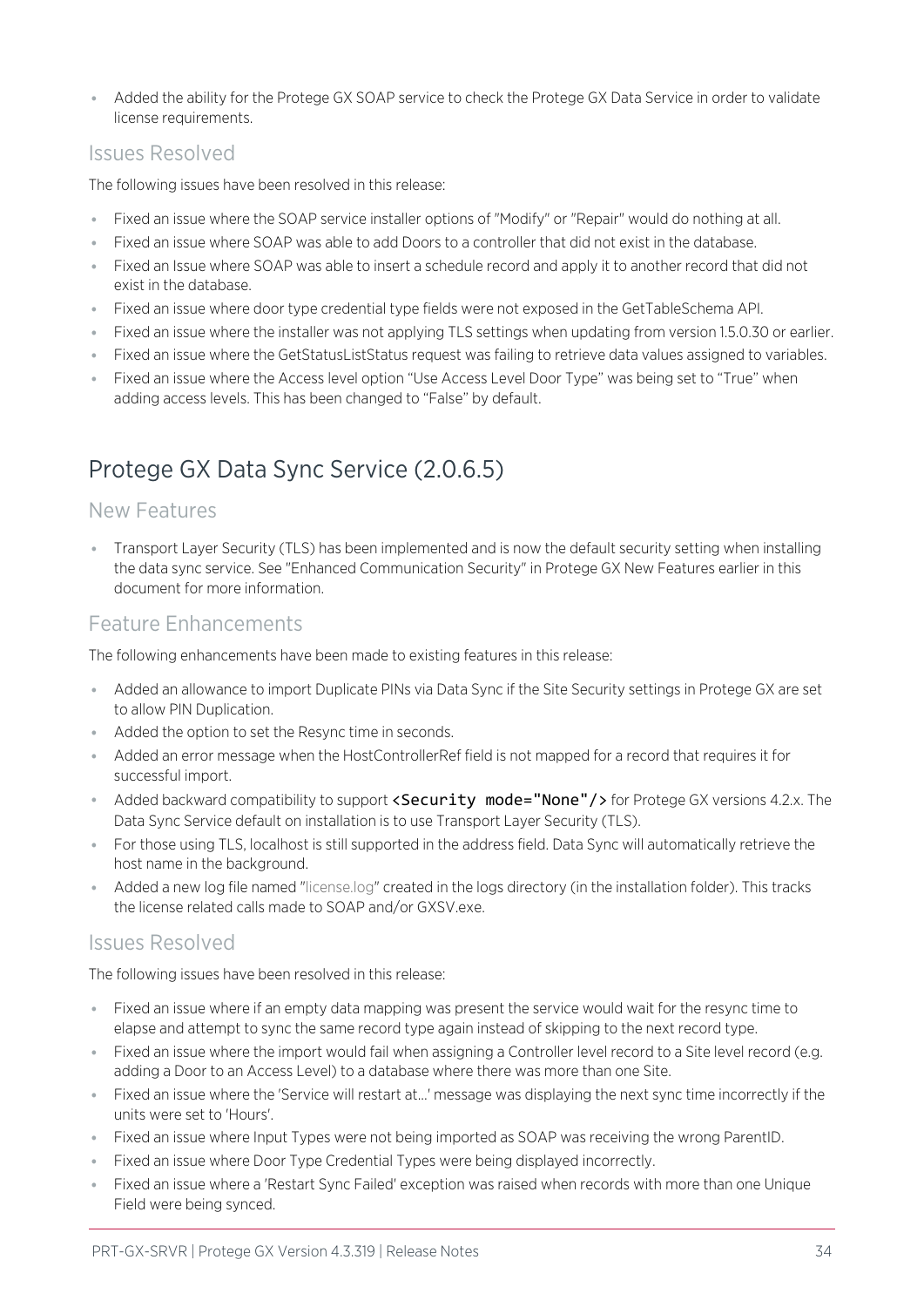⦁ Added the ability for the Protege GX SOAP service to check the Protege GX Data Service in order to validate license requirements.

### Issues Resolved

The following issues have been resolved in this release:

- ⦁ Fixed an issue where the SOAP service installer options of "Modify" or "Repair" would do nothing at all.
- ⦁ Fixed an issue where SOAP was able to add Doors to a controller that did not exist in the database.
- ⦁ Fixed an Issue where SOAP was able to insert a schedule record and apply it to another record that did not exist in the database.
- ⦁ Fixed an issue where door type credential type fields were not exposed in the GetTableSchema API.
- ⦁ Fixed an issue where the installer was not applying TLS settings when updating from version 1.5.0.30 or earlier.
- ⦁ Fixed an issue where the GetStatusListStatus request was failing to retrieve data values assigned to variables.
- Fixed an issue where the Access level option "Use Access Level Door Type" was being set to "True" when adding access levels. This has been changed to "False" by default.

## <span id="page-33-0"></span>Protege GX Data Sync Service (2.0.6.5)

### New Features

⦁ Transport Layer Security (TLS) has been implemented and is now the default security setting when installing the data sync service. See "Enhanced Communication Security" in Protege GX New Features earlier in this document for more information.

### Feature Enhancements

The following enhancements have been made to existing features in this release:

- ⦁ Added an allowance to import Duplicate PINs via Data Sync if the Site Security settings in Protege GX are set to allow PIN Duplication.
- ⦁ Added the option to set the Resync time in seconds.
- ⦁ Added an error message when the HostControllerRef field is not mapped for a record that requires it for successful import.
- Added backward compatibility to support <Security mode="None"/> for Protege GX versions 4.2.x. The Data Sync Service default on installation is to use Transport Layer Security (TLS).
- ⦁ For those using TLS, localhost is still supported in the address field. Data Sync will automatically retrieve the host name in the background.
- ⦁ Added a new log file named "license.log" created in the logs directory (in the installation folder). This tracks the license related calls made to SOAP and/or GXSV.exe.

### Issues Resolved

The following issues have been resolved in this release:

- ⦁ Fixed an issue where if an empty data mapping was present the service would wait for the resync time to elapse and attempt to sync the same record type again instead of skipping to the next record type.
- ⦁ Fixed an issue where the import would fail when assigning a Controller level record to a Site level record (e.g. adding a Door to an Access Level) to a database where there was more than one Site.
- ⦁ Fixed an issue where the 'Service will restart at...' message was displaying the next sync time incorrectly if the units were set to 'Hours'.
- ⦁ Fixed an issue where Input Types were not being imported as SOAP was receiving the wrong ParentID.
- ⦁ Fixed an issue where Door Type Credential Types were being displayed incorrectly.
- ⦁ Fixed an issue where a 'Restart Sync Failed' exception was raised when records with more than one Unique Field were being synced.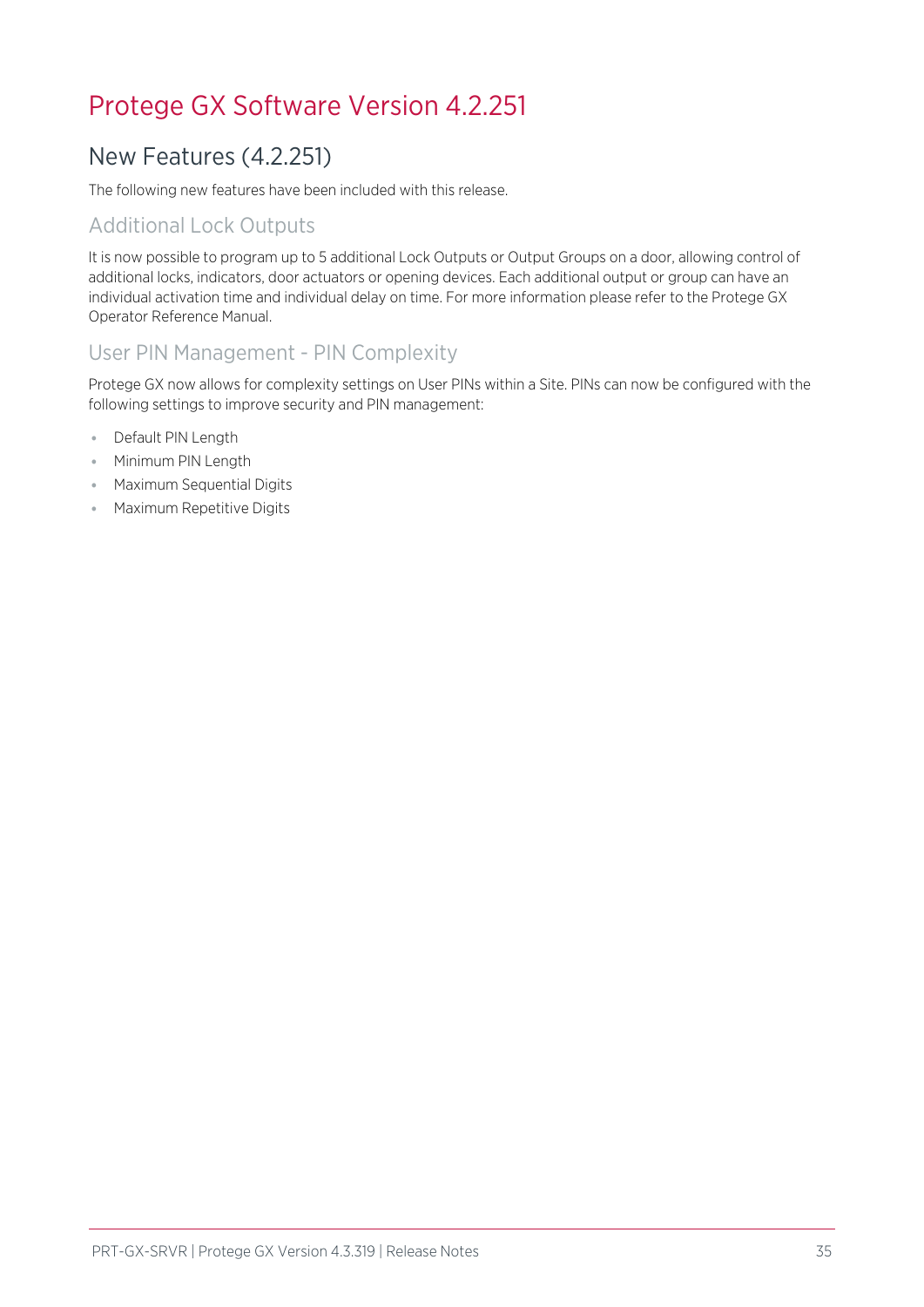## <span id="page-34-1"></span><span id="page-34-0"></span>Protege GX Software Version 4.2.251

## New Features (4.2.251)

The following new features have been included with this release.

## Additional Lock Outputs

It is now possible to program up to 5 additional Lock Outputs or Output Groups on a door, allowing control of additional locks, indicators, door actuators or opening devices. Each additional output or group can have an individual activation time and individual delay on time. For more information please refer to the Protege GX Operator Reference Manual.

## User PIN Management - PIN Complexity

Protege GX now allows for complexity settings on User PINs within a Site. PINs can now be configured with the following settings to improve security and PIN management:

- ⦁ Default PIN Length
- ⦁ Minimum PIN Length
- ⦁ Maximum Sequential Digits
- ⦁ Maximum Repetitive Digits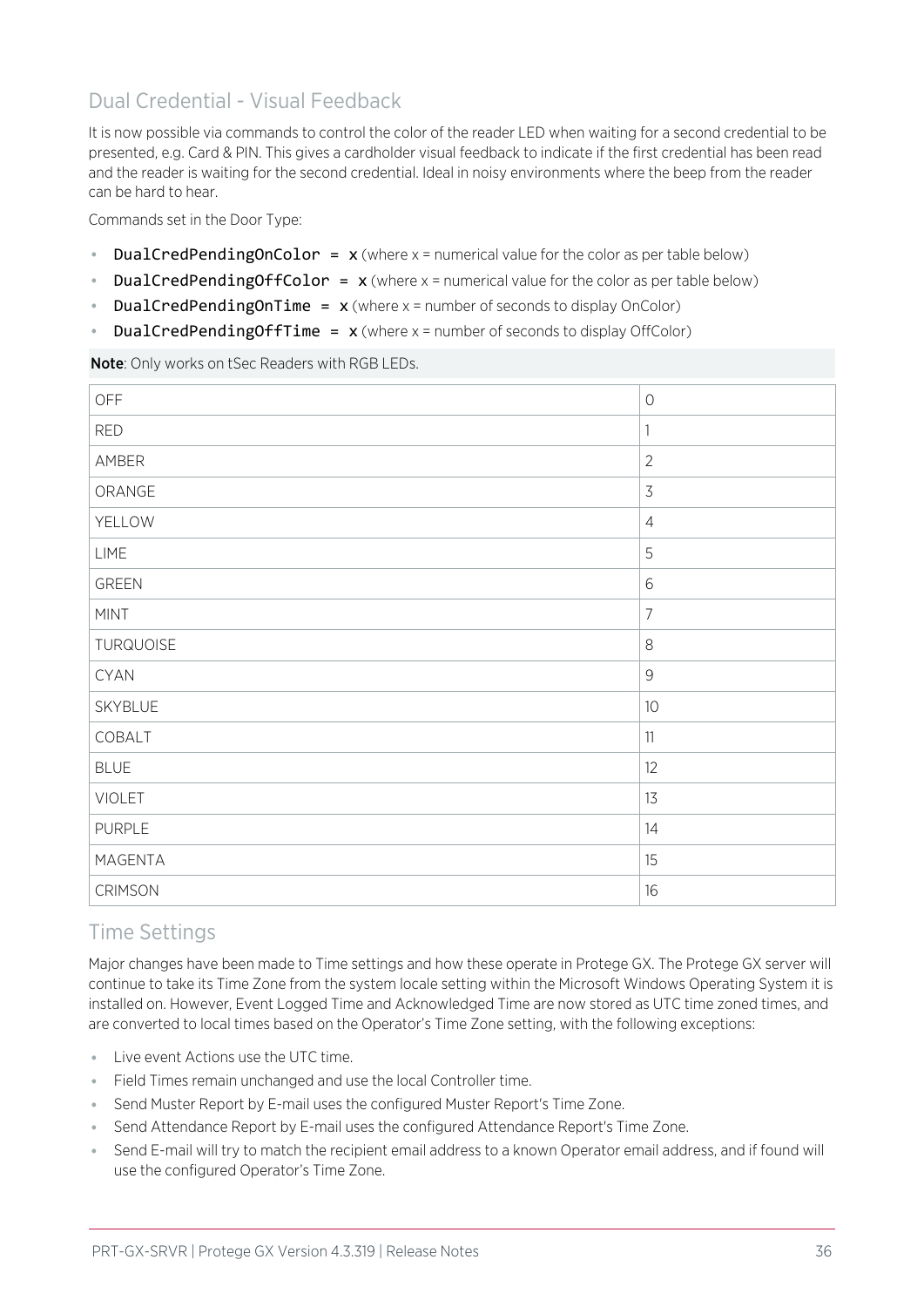## Dual Credential - Visual Feedback

It is now possible via commands to control the color of the reader LED when waiting for a second credential to be presented, e.g. Card & PIN. This gives a cardholder visual feedback to indicate if the first credential has been read and the reader is waiting for the second credential. Ideal in noisy environments where the beep from the reader can be hard to hear.

Commands set in the Door Type:

- DualCredPendingOnColor =  $x$  (where  $x =$  numerical value for the color as per table below)
- **DualCredPendingOffColor =**  $x$  (where  $x =$  numerical value for the color as per table below)
- DualCredPendingOnTime =  $x$  (where  $x =$  number of seconds to display OnColor)
- DualCredPendingOffTime =  $x$  (where  $x =$  number of seconds to display OffColor)

Note: Only works on tSec Readers with RGB LEDs.

| OFF            | $\bigcirc$                |
|----------------|---------------------------|
| <b>RED</b>     | $\ensuremath{\mathsf{1}}$ |
| AMBER          | $\overline{2}$            |
| ORANGE         | $\mathfrak{Z}$            |
| YELLOW         | $\overline{4}$            |
| <b>LIME</b>    | 5                         |
| <b>GREEN</b>   | $\,$ $\,$ $\,$            |
| <b>MINT</b>    | $\overline{7}$            |
| TURQUOISE      | $\,8\,$                   |
| <b>CYAN</b>    | $\mathcal{G}$             |
| SKYBLUE        | $10$                      |
| COBALT         | $11\,$                    |
| <b>BLUE</b>    | 12                        |
| <b>VIOLET</b>  | 13                        |
| <b>PURPLE</b>  | 14                        |
| MAGENTA        | 15                        |
| <b>CRIMSON</b> | 16                        |

### Time Settings

Major changes have been made to Time settings and how these operate in Protege GX. The Protege GX server will continue to take its Time Zone from the system locale setting within the Microsoft Windows Operating System it is installed on. However, Event Logged Time and Acknowledged Time are now stored as UTC time zoned times, and are converted to local times based on the Operator's Time Zone setting, with the following exceptions:

- ⦁ Live event Actions use the UTC time.
- ⦁ Field Times remain unchanged and use the local Controller time.
- ⦁ Send Muster Report by E-mail uses the configured Muster Report's Time Zone.
- Send Attendance Report by E-mail uses the configured Attendance Report's Time Zone.
- ⦁ Send E-mail will try to match the recipient email address to a known Operator email address, and if found will use the configured Operator's Time Zone.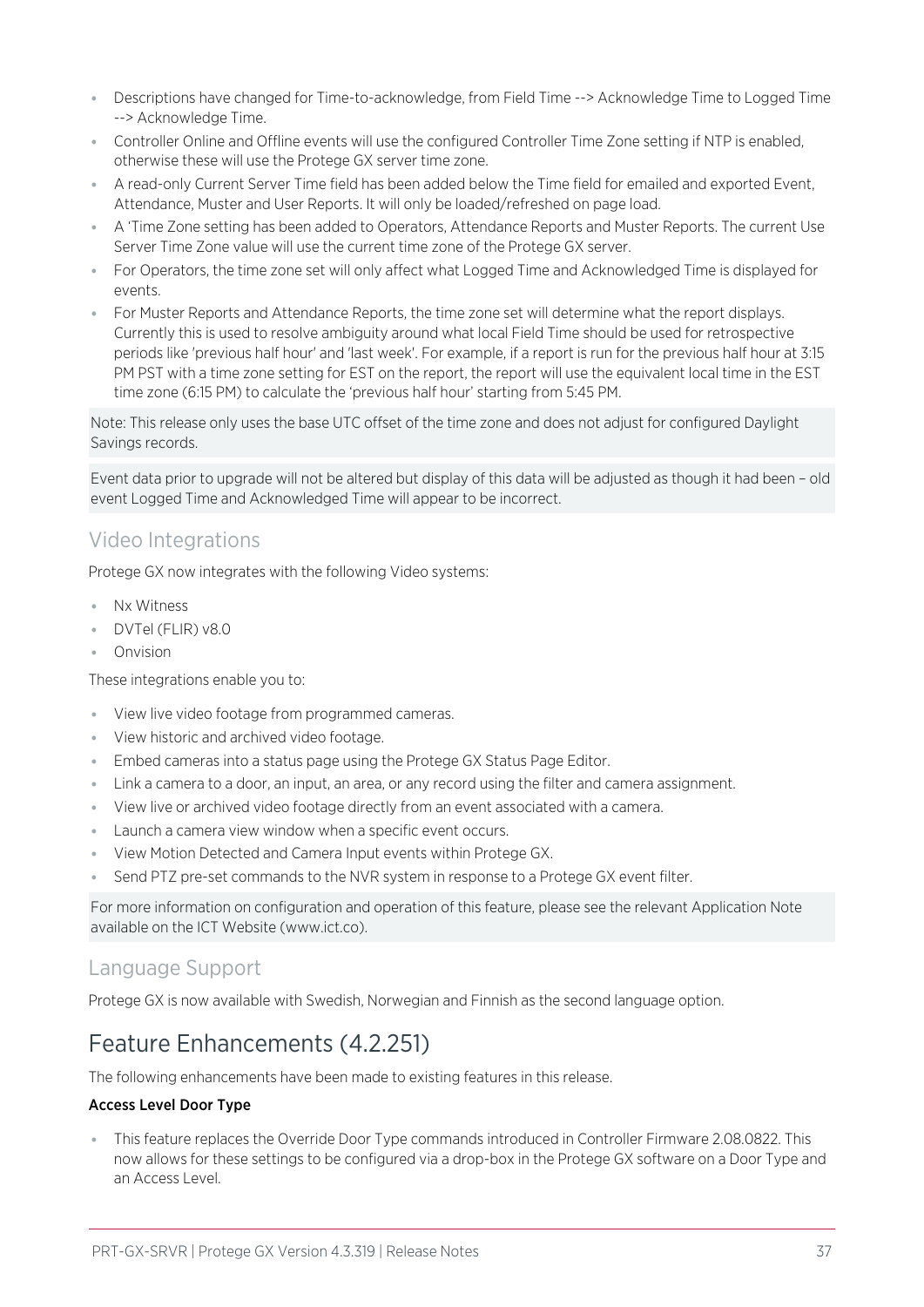- ⦁ Descriptions have changed for Time-to-acknowledge, from Field Time --> Acknowledge Time to Logged Time --> Acknowledge Time.
- ⦁ Controller Online and Offline events will use the configured Controller Time Zone setting if NTP is enabled, otherwise these will use the Protege GX server time zone.
- ⦁ A read-only Current Server Time field has been added below the Time field for emailed and exported Event, Attendance, Muster and User Reports. It will only be loaded/refreshed on page load.
- ⦁ A 'Time Zone setting has been added to Operators, Attendance Reports and Muster Reports. The current Use Server Time Zone value will use the current time zone of the Protege GX server.
- ⦁ For Operators, the time zone set will only affect what Logged Time and Acknowledged Time is displayed for events.
- ⦁ For Muster Reports and Attendance Reports, the time zone set will determine what the report displays. Currently this is used to resolve ambiguity around what local Field Time should be used for retrospective periods like 'previous half hour' and 'last week'. For example, if a report is run for the previous half hour at 3:15 PM PST with a time zone setting for EST on the report, the report will use the equivalent local time in the EST time zone (6:15 PM) to calculate the 'previous half hour' starting from 5:45 PM.

Note: This release only uses the base UTC offset of the time zone and does not adjust for configured Daylight Savings records.

Event data prior to upgrade will not be altered but display of this data will be adjusted as though it had been – old event Logged Time and Acknowledged Time will appear to be incorrect.

## Video Integrations

Protege GX now integrates with the following Video systems:

- ⦁ Nx Witness
- ⦁ DVTel (FLIR) v8.0
- ⦁ Onvision

These integrations enable you to:

- ⦁ View live video footage from programmed cameras.
- ⦁ View historic and archived video footage.
- Embed cameras into a status page using the Protege GX Status Page Editor.
- ⦁ Link a camera to a door, an input, an area, or any record using the filter and camera assignment.
- ⦁ View live or archived video footage directly from an event associated with a camera.
- ⦁ Launch a camera view window when a specific event occurs.
- ⦁ View Motion Detected and Camera Input events within Protege GX.
- Send PTZ pre-set commands to the NVR system in response to a Protege GX event filter.

For more information on configuration and operation of this feature, please see the relevant Application Note available on the ICT Website (www.ict.co).

### Language Support

<span id="page-36-0"></span>Protege GX is now available with Swedish, Norwegian and Finnish as the second language option.

## Feature Enhancements (4.2.251)

The following enhancements have been made to existing features in this release.

### Access Level Door Type

⦁ This feature replaces the Override Door Type commands introduced in Controller Firmware 2.08.0822. This now allows for these settings to be configured via a drop-box in the Protege GX software on a Door Type and an Access Level.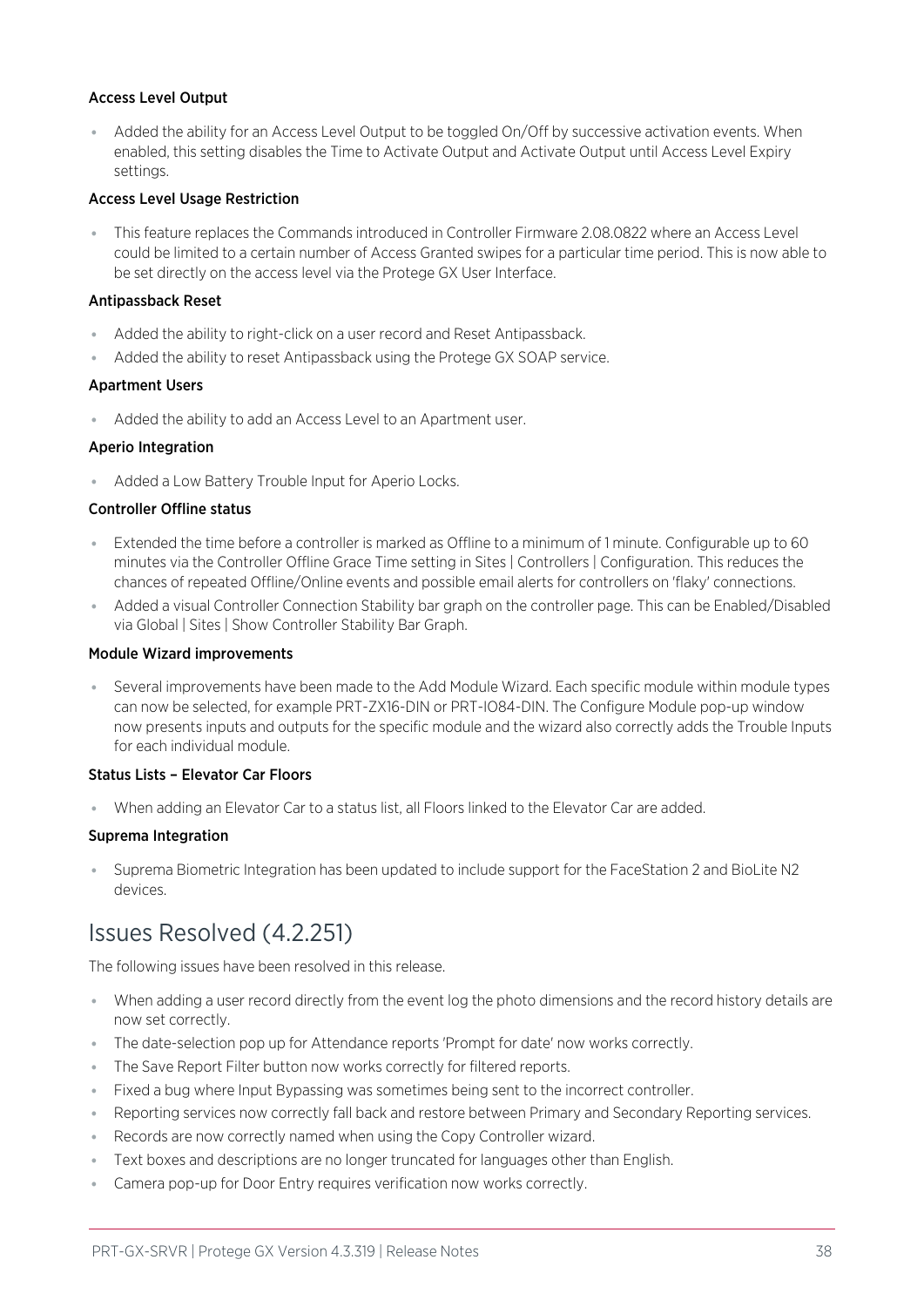#### Access Level Output

⦁ Added the ability for an Access Level Output to be toggled On/Off by successive activation events. When enabled, this setting disables the Time to Activate Output and Activate Output until Access Level Expiry settings.

#### Access Level Usage Restriction

⦁ This feature replaces the Commands introduced in Controller Firmware 2.08.0822 where an Access Level could be limited to a certain number of Access Granted swipes for a particular time period. This is now able to be set directly on the access level via the Protege GX User Interface.

#### Antipassback Reset

- ⦁ Added the ability to right-click on a user record and Reset Antipassback.
- ⦁ Added the ability to reset Antipassback using the Protege GX SOAP service.

#### Apartment Users

Added the ability to add an Access Level to an Apartment user.

#### Aperio Integration

⦁ Added a Low Battery Trouble Input for Aperio Locks.

#### Controller Offline status

- Extended the time before a controller is marked as Offline to a minimum of 1 minute. Configurable up to 60 minutes via the Controller Offline Grace Time setting in Sites | Controllers | Configuration. This reduces the chances of repeated Offline/Online events and possible email alerts for controllers on 'flaky' connections.
- ⦁ Added a visual Controller Connection Stability bar graph on the controller page. This can be Enabled/Disabled via Global | Sites | Show Controller Stability Bar Graph.

#### Module Wizard improvements

⦁ Several improvements have been made to the Add Module Wizard. Each specific module within module types can now be selected, for example PRT-ZX16-DIN or PRT-IO84-DIN. The Configure Module pop-up window now presents inputs and outputs for the specific module and the wizard also correctly adds the Trouble Inputs for each individual module.

#### Status Lists – Elevator Car Floors

⦁ When adding an Elevator Car to a status list, all Floors linked to the Elevator Car are added.

### Suprema Integration

<span id="page-37-0"></span>⦁ Suprema Biometric Integration has been updated to include support for the FaceStation 2 and BioLite N2 devices.

## Issues Resolved (4.2.251)

The following issues have been resolved in this release.

- ⦁ When adding a user record directly from the event log the photo dimensions and the record history details are now set correctly.
- ⦁ The date-selection pop up for Attendance reports 'Prompt for date' now works correctly.
- ⦁ The Save Report Filter button now works correctly for filtered reports.
- ⦁ Fixed a bug where Input Bypassing was sometimes being sent to the incorrect controller.
- ⦁ Reporting services now correctly fall back and restore between Primary and Secondary Reporting services.
- ⦁ Records are now correctly named when using the Copy Controller wizard.
- ⦁ Text boxes and descriptions are no longer truncated for languages other than English.
- ⦁ Camera pop-up for Door Entry requires verification now works correctly.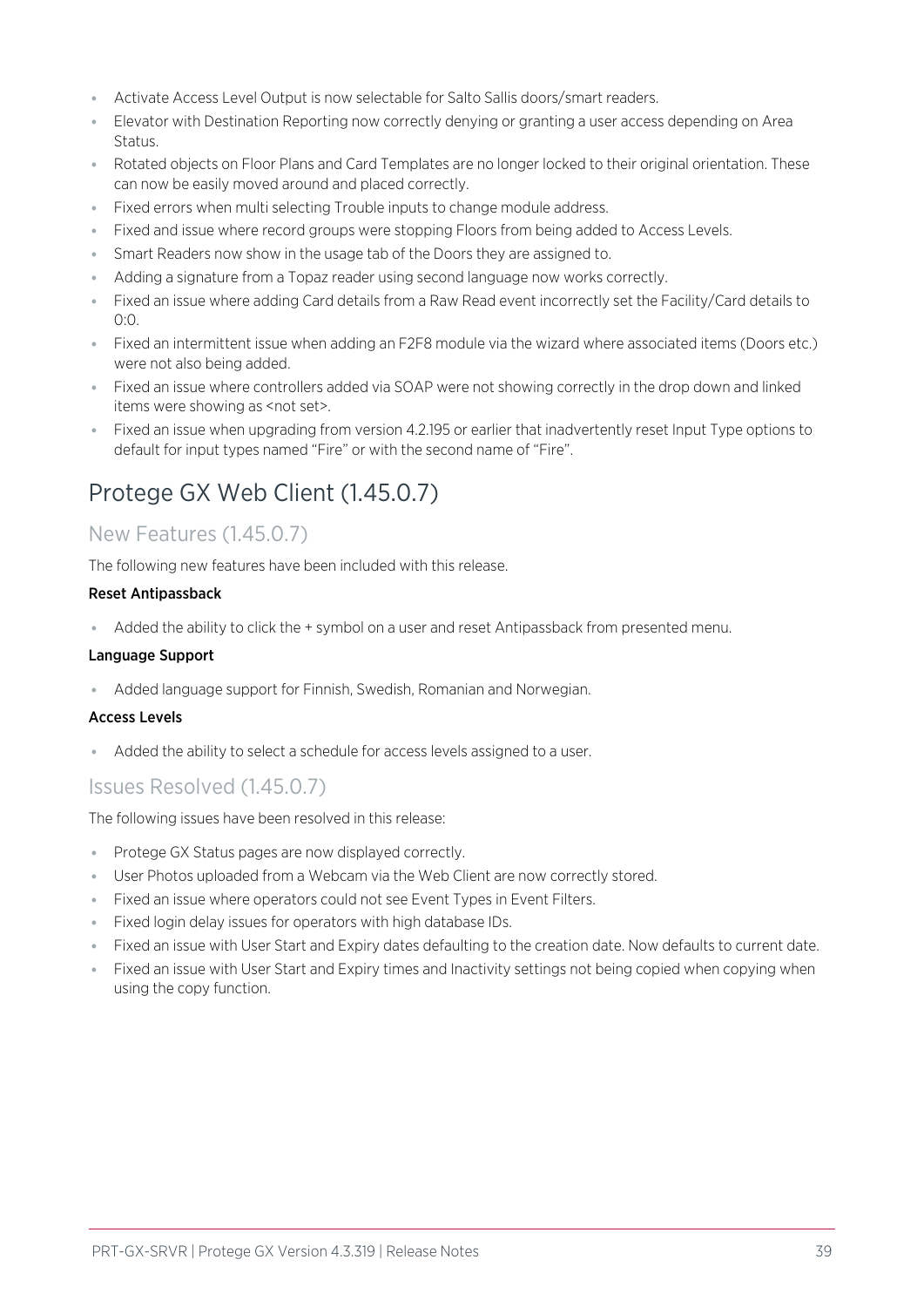- ⦁ Activate Access Level Output is now selectable for Salto Sallis doors/smart readers.
- ⦁ Elevator with Destination Reporting now correctly denying or granting a user access depending on Area Status.
- ⦁ Rotated objects on Floor Plans and Card Templates are no longer locked to their original orientation. These can now be easily moved around and placed correctly.
- ⦁ Fixed errors when multi selecting Trouble inputs to change module address.
- ⦁ Fixed and issue where record groups were stopping Floors from being added to Access Levels.
- **Smart Readers now show in the usage tab of the Doors they are assigned to.**
- ⦁ Adding a signature from a Topaz reader using second language now works correctly.
- ⦁ Fixed an issue where adding Card details from a Raw Read event incorrectly set the Facility/Card details to 0:0.
- ⦁ Fixed an intermittent issue when adding an F2F8 module via the wizard where associated items (Doors etc.) were not also being added.
- ⦁ Fixed an issue where controllers added via SOAP were not showing correctly in the drop down and linked items were showing as <not set>.
- <span id="page-38-0"></span>■ Fixed an issue when upgrading from version 4.2.195 or earlier that inadvertently reset Input Type options to default for input types named "Fire" or with the second name of "Fire".

## Protege GX Web Client (1.45.0.7)

## New Features (1.45.0.7)

The following new features have been included with this release.

#### Reset Antipassback

⦁ Added the ability to click the + symbol on a user and reset Antipassback from presented menu.

#### Language Support

⦁ Added language support for Finnish, Swedish, Romanian and Norwegian.

### Access Levels

⦁ Added the ability to select a schedule for access levels assigned to a user.

### Issues Resolved (1.45.0.7)

The following issues have been resolved in this release:

- ⦁ Protege GX Status pages are now displayed correctly.
- ⦁ User Photos uploaded from a Webcam via the Web Client are now correctly stored.
- ⦁ Fixed an issue where operators could not see Event Types in Event Filters.
- ⦁ Fixed login delay issues for operators with high database IDs.
- ⦁ Fixed an issue with User Start and Expiry dates defaulting to the creation date. Now defaults to current date.
- ⦁ Fixed an issue with User Start and Expiry times and Inactivity settings not being copied when copying when using the copy function.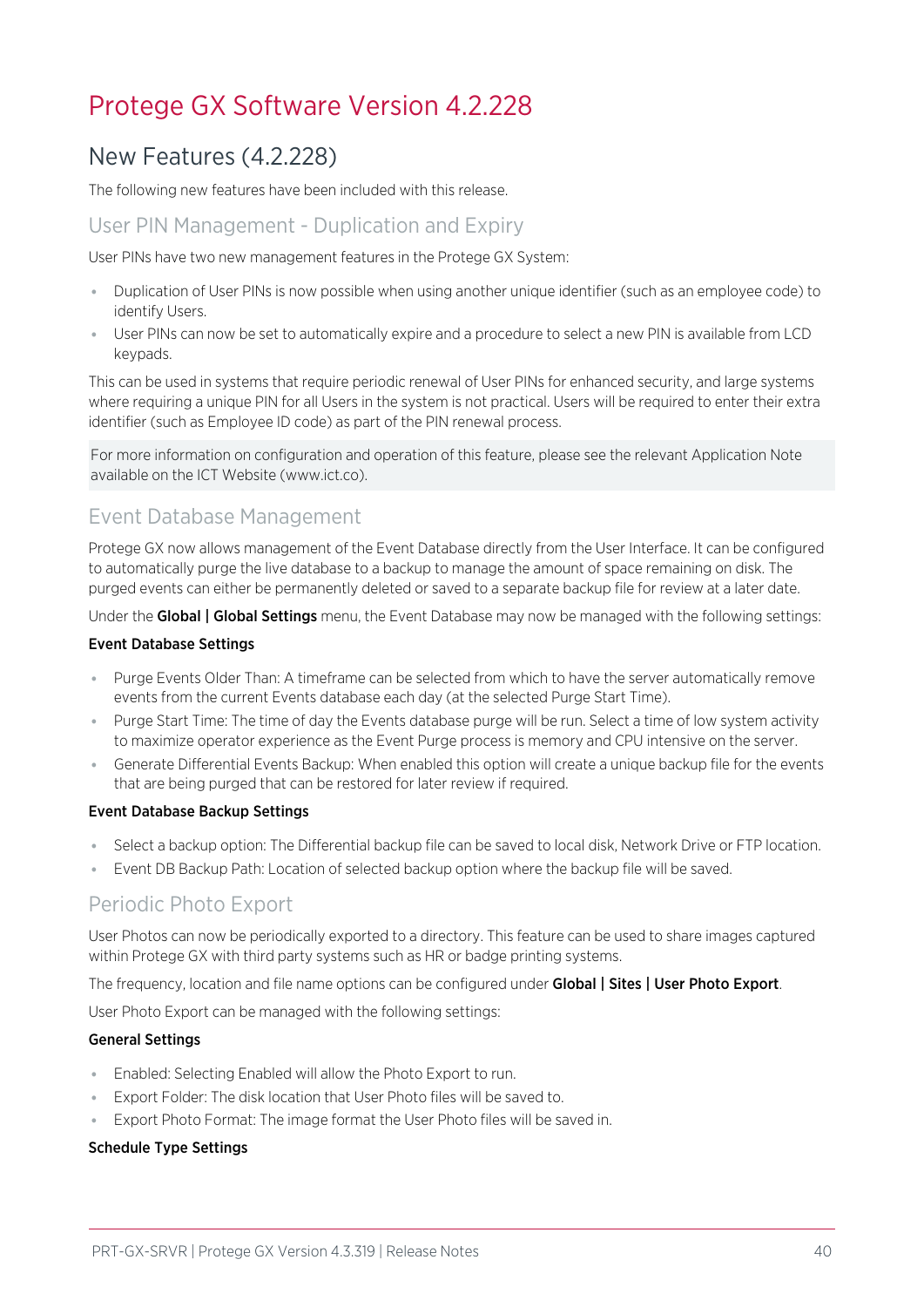## <span id="page-39-1"></span><span id="page-39-0"></span>Protege GX Software Version 4.2.228

## New Features (4.2.228)

The following new features have been included with this release.

### User PIN Management - Duplication and Expiry

User PINs have two new management features in the Protege GX System:

- ⦁ Duplication of User PINs is now possible when using another unique identifier (such as an employee code) to identify Users.
- ⦁ User PINs can now be set to automatically expire and a procedure to select a new PIN is available from LCD keypads.

This can be used in systems that require periodic renewal of User PINs for enhanced security, and large systems where requiring a unique PIN for all Users in the system is not practical. Users will be required to enter their extra identifier (such as Employee ID code) as part of the PIN renewal process.

For more information on configuration and operation of this feature, please see the relevant Application Note available on the ICT Website (www.ict.co).

## Event Database Management

Protege GX now allows management of the Event Database directly from the User Interface. It can be configured to automatically purge the live database to a backup to manage the amount of space remaining on disk. The purged events can either be permanently deleted or saved to a separate backup file for review at a later date.

Under the Global | Global Settings menu, the Event Database may now be managed with the following settings:

#### Event Database Settings

- ⦁ Purge Events Older Than: A timeframe can be selected from which to have the server automatically remove events from the current Events database each day (at the selected Purge Start Time).
- ⦁ Purge Start Time: The time of day the Events database purge will be run. Select a time of low system activity to maximize operator experience as the Event Purge process is memory and CPU intensive on the server.
- ⦁ Generate Differential Events Backup: When enabled this option will create a unique backup file for the events that are being purged that can be restored for later review if required.

#### Event Database Backup Settings

- ⦁ Select a backup option: The Differential backup file can be saved to local disk, Network Drive or FTP location.
- Event DB Backup Path: Location of selected backup option where the backup file will be saved.

## Periodic Photo Export

User Photos can now be periodically exported to a directory. This feature can be used to share images captured within Protege GX with third party systems such as HR or badge printing systems.

The frequency, location and file name options can be configured under Global | Sites | User Photo Export.

User Photo Export can be managed with the following settings:

### General Settings

- ⦁ Enabled: Selecting Enabled will allow the Photo Export to run.
- ⦁ Export Folder: The disk location that User Photo files will be saved to.
- Export Photo Format: The image format the User Photo files will be saved in.

### Schedule Type Settings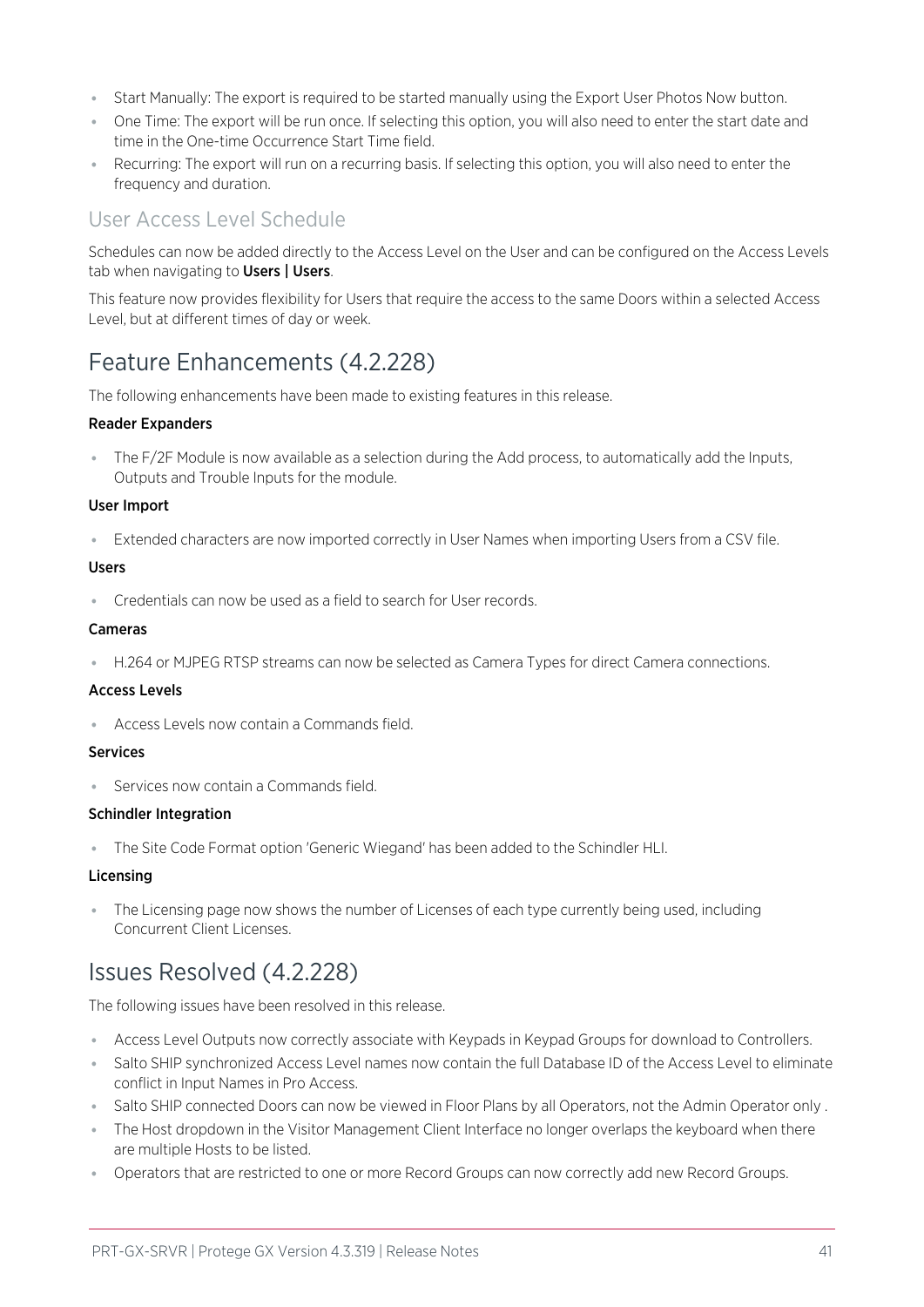- ⦁ Start Manually: The export is required to be started manually using the Export User Photos Now button.
- ⦁ One Time: The export will be run once. If selecting this option, you will also need to enter the start date and time in the One-time Occurrence Start Time field.
- ⦁ Recurring: The export will run on a recurring basis. If selecting this option, you will also need to enter the frequency and duration.

## User Access Level Schedule

Schedules can now be added directly to the Access Level on the User and can be configured on the Access Levels tab when navigating to Users | Users.

<span id="page-40-0"></span>This feature now provides flexibility for Users that require the access to the same Doors within a selected Access Level, but at different times of day or week.

## Feature Enhancements (4.2.228)

The following enhancements have been made to existing features in this release.

### Reader Expanders

⦁ The F/2F Module is now available as a selection during the Add process, to automatically add the Inputs, Outputs and Trouble Inputs for the module.

#### User Import

⦁ Extended characters are now imported correctly in User Names when importing Users from a CSV file.

#### Users

⦁ Credentials can now be used as a field to search for User records.

#### Cameras

⦁ H.264 or MJPEG RTSP streams can now be selected as Camera Types for direct Camera connections.

### Access Levels

⦁ Access Levels now contain a Commands field.

### **Services**

⦁ Services now contain a Commands field.

#### Schindler Integration

⦁ The Site Code Format option 'Generic Wiegand' has been added to the Schindler HLI.

### Licensing

<span id="page-40-1"></span>⦁ The Licensing page now shows the number of Licenses of each type currently being used, including Concurrent Client Licenses.

## Issues Resolved (4.2.228)

The following issues have been resolved in this release.

- ⦁ Access Level Outputs now correctly associate with Keypads in Keypad Groups for download to Controllers.
- ⦁ Salto SHIP synchronized Access Level names now contain the full Database ID of the Access Level to eliminate conflict in Input Names in Pro Access.
- Salto SHIP connected Doors can now be viewed in Floor Plans by all Operators, not the Admin Operator only .
- ⦁ The Host dropdown in the Visitor Management Client Interface no longer overlaps the keyboard when there are multiple Hosts to be listed.
- ⦁ Operators that are restricted to one or more Record Groups can now correctly add new Record Groups.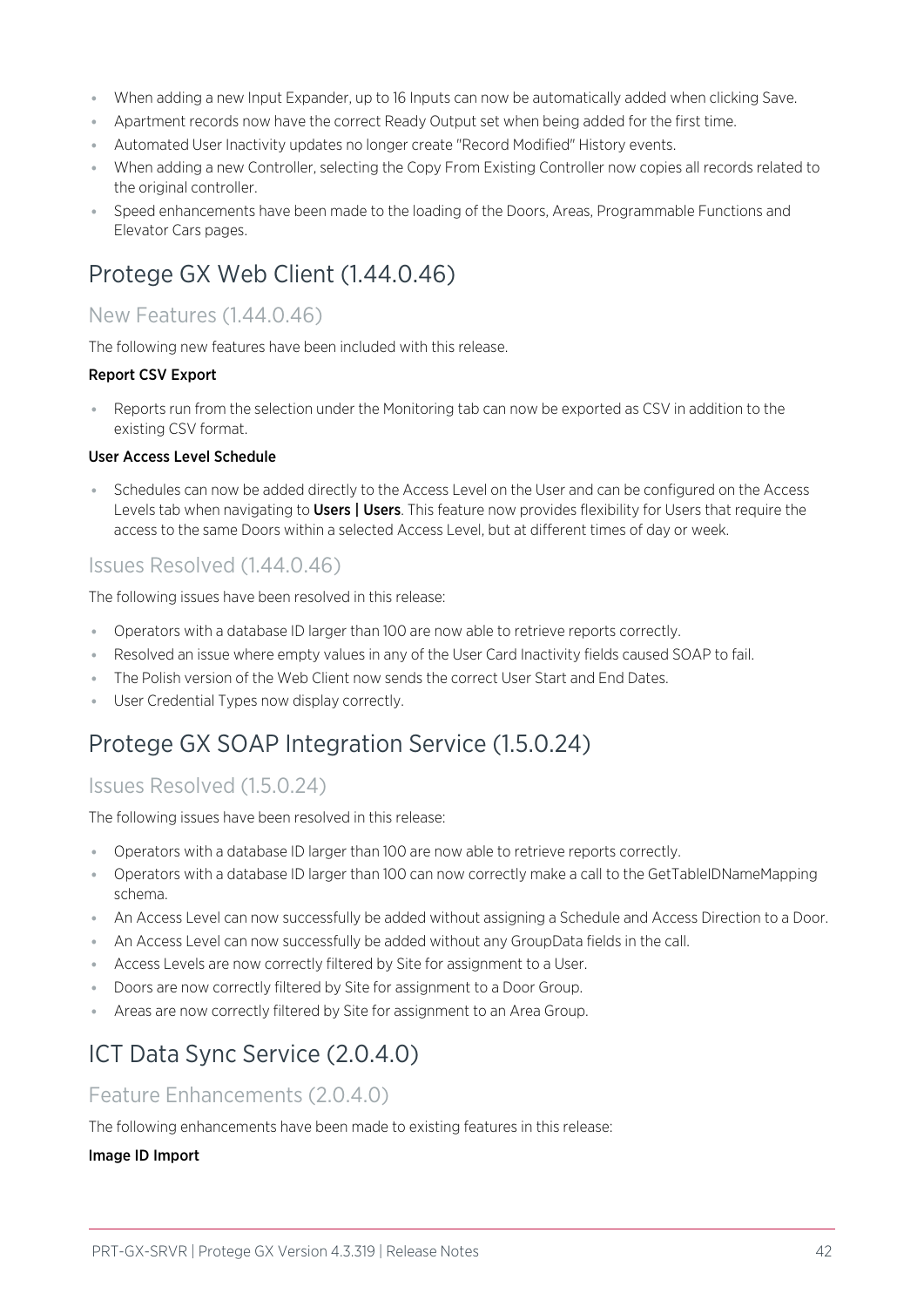- ⦁ When adding a new Input Expander, up to 16 Inputs can now be automatically added when clicking Save.
- ⦁ Apartment records now have the correct Ready Output set when being added for the first time.
- ⦁ Automated User Inactivity updates no longer create "Record Modified" History events.
- ⦁ When adding a new Controller, selecting the Copy From Existing Controller now copies all records related to the original controller.
- <span id="page-41-0"></span>Speed enhancements have been made to the loading of the Doors, Areas, Programmable Functions and Elevator Cars pages.

## Protege GX Web Client (1.44.0.46)

### New Features (1.44.0.46)

The following new features have been included with this release.

### Report CSV Export

⦁ Reports run from the selection under the Monitoring tab can now be exported as CSV in addition to the existing CSV format.

#### User Access Level Schedule

Schedules can now be added directly to the Access Level on the User and can be configured on the Access Levels tab when navigating to **Users | Users**. This feature now provides flexibility for Users that require the access to the same Doors within a selected Access Level, but at different times of day or week.

### Issues Resolved (1.44.0.46)

The following issues have been resolved in this release:

- ⦁ Operators with a database ID larger than 100 are now able to retrieve reports correctly.
- ⦁ Resolved an issue where empty values in any of the User Card Inactivity fields caused SOAP to fail.
- ⦁ The Polish version of the Web Client now sends the correct User Start and End Dates.
- <span id="page-41-1"></span>⦁ User Credential Types now display correctly.

## Protege GX SOAP Integration Service (1.5.0.24)

### Issues Resolved (1.5.0.24)

The following issues have been resolved in this release:

- ⦁ Operators with a database ID larger than 100 are now able to retrieve reports correctly.
- ⦁ Operators with a database ID larger than 100 can now correctly make a call to the GetTableIDNameMapping schema.
- ⦁ An Access Level can now successfully be added without assigning a Schedule and Access Direction to a Door.
- ⦁ An Access Level can now successfully be added without any GroupData fields in the call.
- ⦁ Access Levels are now correctly filtered by Site for assignment to a User.
- ⦁ Doors are now correctly filtered by Site for assignment to a Door Group.
- <span id="page-41-2"></span>⦁ Areas are now correctly filtered by Site for assignment to an Area Group.

## ICT Data Sync Service (2.0.4.0)

### Feature Enhancements (2.0.4.0)

The following enhancements have been made to existing features in this release:

#### Image ID Import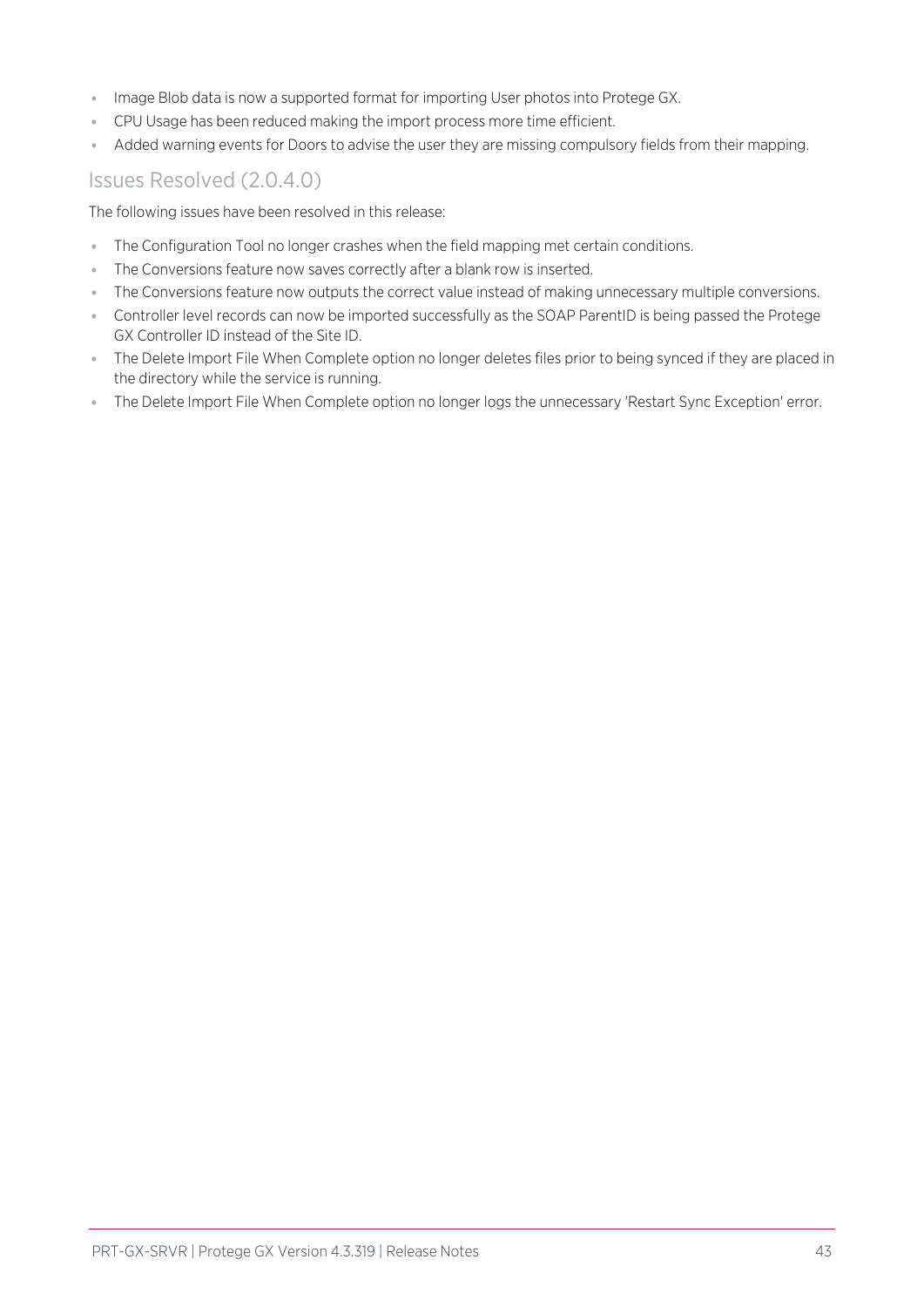- ⦁ Image Blob data is now a supported format for importing User photos into Protege GX.
- ⦁ CPU Usage has been reduced making the import process more time efficient.
- ⦁ Added warning events for Doors to advise the user they are missing compulsory fields from their mapping.

### Issues Resolved (2.0.4.0)

The following issues have been resolved in this release:

- ⦁ The Configuration Tool no longer crashes when the field mapping met certain conditions.
- ⦁ The Conversions feature now saves correctly after a blank row is inserted.
- ⦁ The Conversions feature now outputs the correct value instead of making unnecessary multiple conversions.
- ⦁ Controller level records can now be imported successfully as the SOAP ParentID is being passed the Protege GX Controller ID instead of the Site ID.
- ⦁ The Delete Import File When Complete option no longer deletes files prior to being synced if they are placed in the directory while the service is running.
- ⦁ The Delete Import File When Complete option no longer logs the unnecessary 'Restart Sync Exception' error.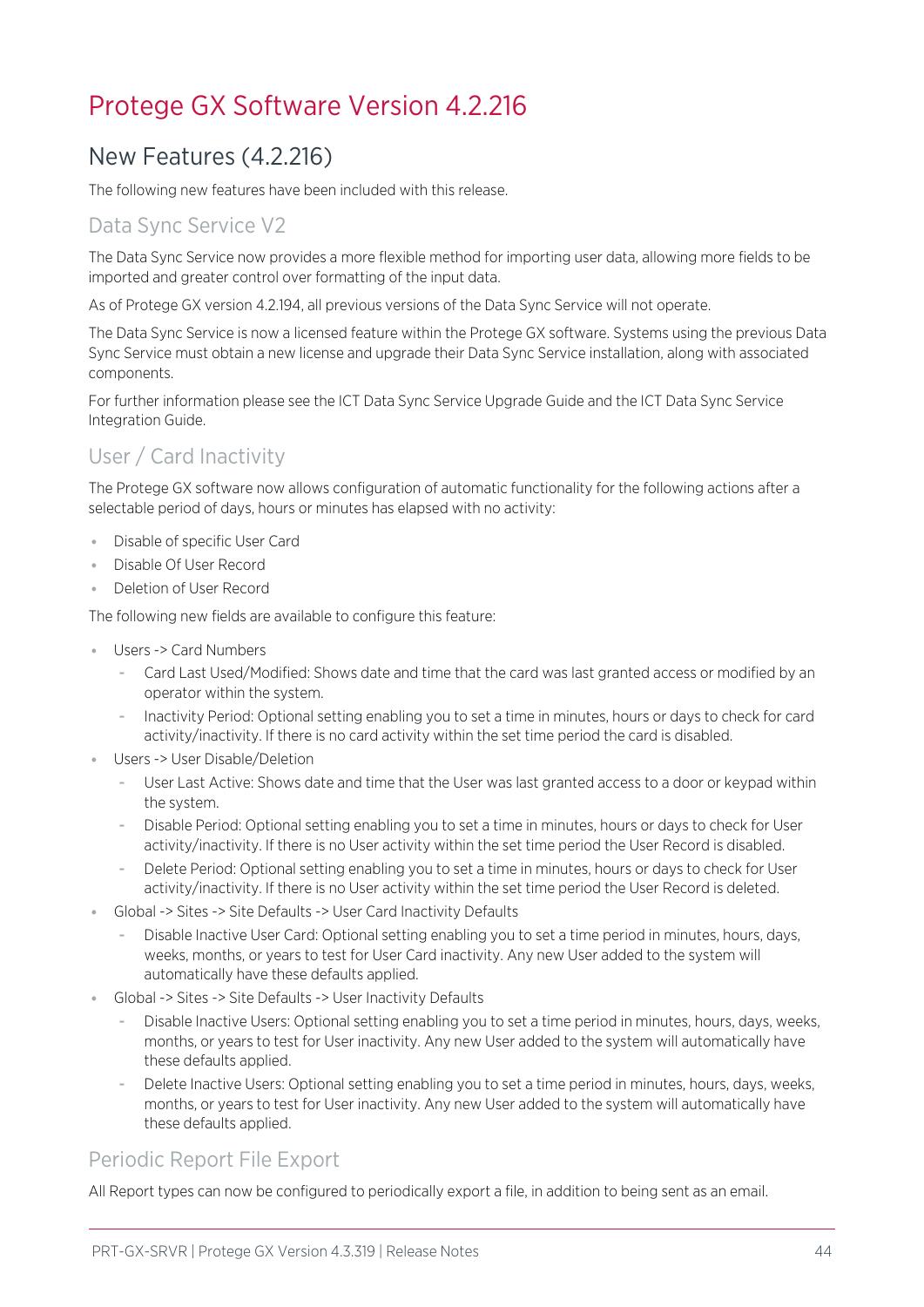## <span id="page-43-1"></span><span id="page-43-0"></span>Protege GX Software Version 4.2.216

## New Features (4.2.216)

The following new features have been included with this release.

## Data Sync Service V2

The Data Sync Service now provides a more flexible method for importing user data, allowing more fields to be imported and greater control over formatting of the input data.

As of Protege GX version 4.2.194, all previous versions of the Data Sync Service will not operate.

The Data Sync Service is now a licensed feature within the Protege GX software. Systems using the previous Data Sync Service must obtain a new license and upgrade their Data Sync Service installation, along with associated components.

For further information please see the ICT Data Sync Service Upgrade Guide and the ICT Data Sync Service Integration Guide.

## User / Card Inactivity

The Protege GX software now allows configuration of automatic functionality for the following actions after a selectable period of days, hours or minutes has elapsed with no activity:

- ⦁ Disable of specific User Card
- ⦁ Disable Of User Record
- ⦁ Deletion of User Record

The following new fields are available to configure this feature:

- ⦁ Users -> Card Numbers
	- Card Last Used/Modified: Shows date and time that the card was last granted access or modified by an operator within the system.
	- Inactivity Period: Optional setting enabling you to set a time in minutes, hours or days to check for card activity/inactivity. If there is no card activity within the set time period the card is disabled.
- Users -> User Disable/Deletion
	- User Last Active: Shows date and time that the User was last granted access to a door or keypad within the system.
	- Disable Period: Optional setting enabling you to set a time in minutes, hours or days to check for User activity/inactivity. If there is no User activity within the set time period the User Record is disabled.
	- Delete Period: Optional setting enabling you to set a time in minutes, hours or days to check for User activity/inactivity. If there is no User activity within the set time period the User Record is deleted.
- ⦁ Global -> Sites -> Site Defaults -> User Card Inactivity Defaults
	- Disable Inactive User Card: Optional setting enabling you to set a time period in minutes, hours, days, weeks, months, or years to test for User Card inactivity. Any new User added to the system will automatically have these defaults applied.
- ⦁ Global -> Sites -> Site Defaults -> User Inactivity Defaults
	- Disable Inactive Users: Optional setting enabling you to set a time period in minutes, hours, days, weeks, months, or years to test for User inactivity. Any new User added to the system will automatically have these defaults applied.
	- Delete Inactive Users: Optional setting enabling you to set a time period in minutes, hours, days, weeks, months, or years to test for User inactivity. Any new User added to the system will automatically have these defaults applied.

## Periodic Report File Export

All Report types can now be configured to periodically export a file, in addition to being sent as an email.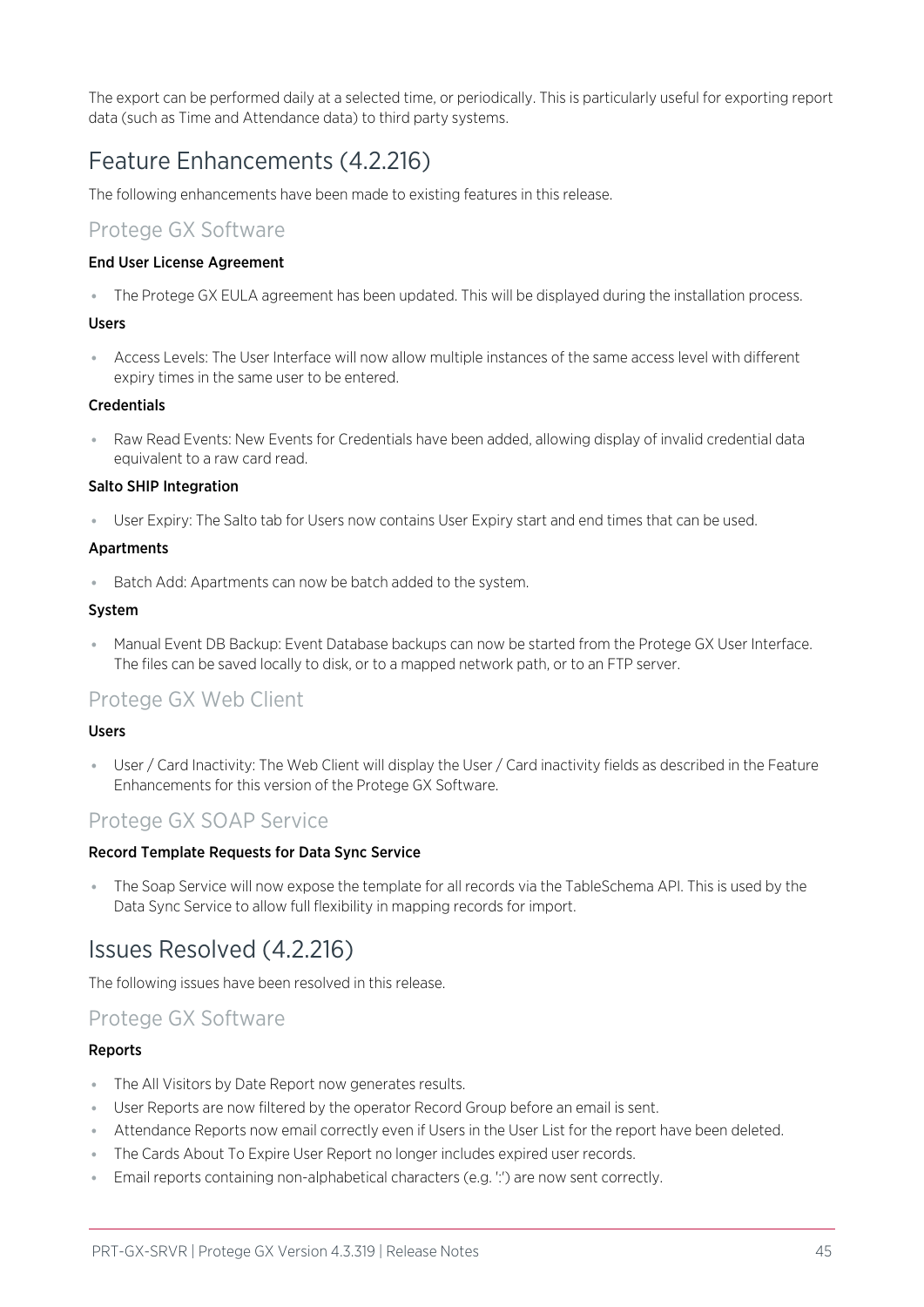<span id="page-44-0"></span>The export can be performed daily at a selected time, or periodically. This is particularly useful for exporting report data (such as Time and Attendance data) to third party systems.

## Feature Enhancements (4.2.216)

The following enhancements have been made to existing features in this release.

### Protege GX Software

#### End User License Agreement

⦁ The Protege GX EULA agreement has been updated. This will be displayed during the installation process.

#### Users

⦁ Access Levels: The User Interface will now allow multiple instances of the same access level with different expiry times in the same user to be entered.

#### **Credentials**

⦁ Raw Read Events: New Events for Credentials have been added, allowing display of invalid credential data equivalent to a raw card read.

#### Salto SHIP Integration

⦁ User Expiry: The Salto tab for Users now contains User Expiry start and end times that can be used.

#### Apartments

⦁ Batch Add: Apartments can now be batch added to the system.

#### System

⦁ Manual Event DB Backup: Event Database backups can now be started from the Protege GX User Interface. The files can be saved locally to disk, or to a mapped network path, or to an FTP server.

### Protege GX Web Client

#### Users

⦁ User / Card Inactivity: The Web Client will display the User / Card inactivity fields as described in the Feature Enhancements for this version of the Protege GX Software.

### Protege GX SOAP Service

#### Record Template Requests for Data Sync Service

<span id="page-44-1"></span>⦁ The Soap Service will now expose the template for all records via the TableSchema API. This is used by the Data Sync Service to allow full flexibility in mapping records for import.

## Issues Resolved (4.2.216)

The following issues have been resolved in this release.

### Protege GX Software

#### Reports

- ⦁ The All Visitors by Date Report now generates results.
- ⦁ User Reports are now filtered by the operator Record Group before an email is sent.
- ⦁ Attendance Reports now email correctly even if Users in the User List for the report have been deleted.
- ⦁ The Cards About To Expire User Report no longer includes expired user records.
- Email reports containing non-alphabetical characters (e.g. ':') are now sent correctly.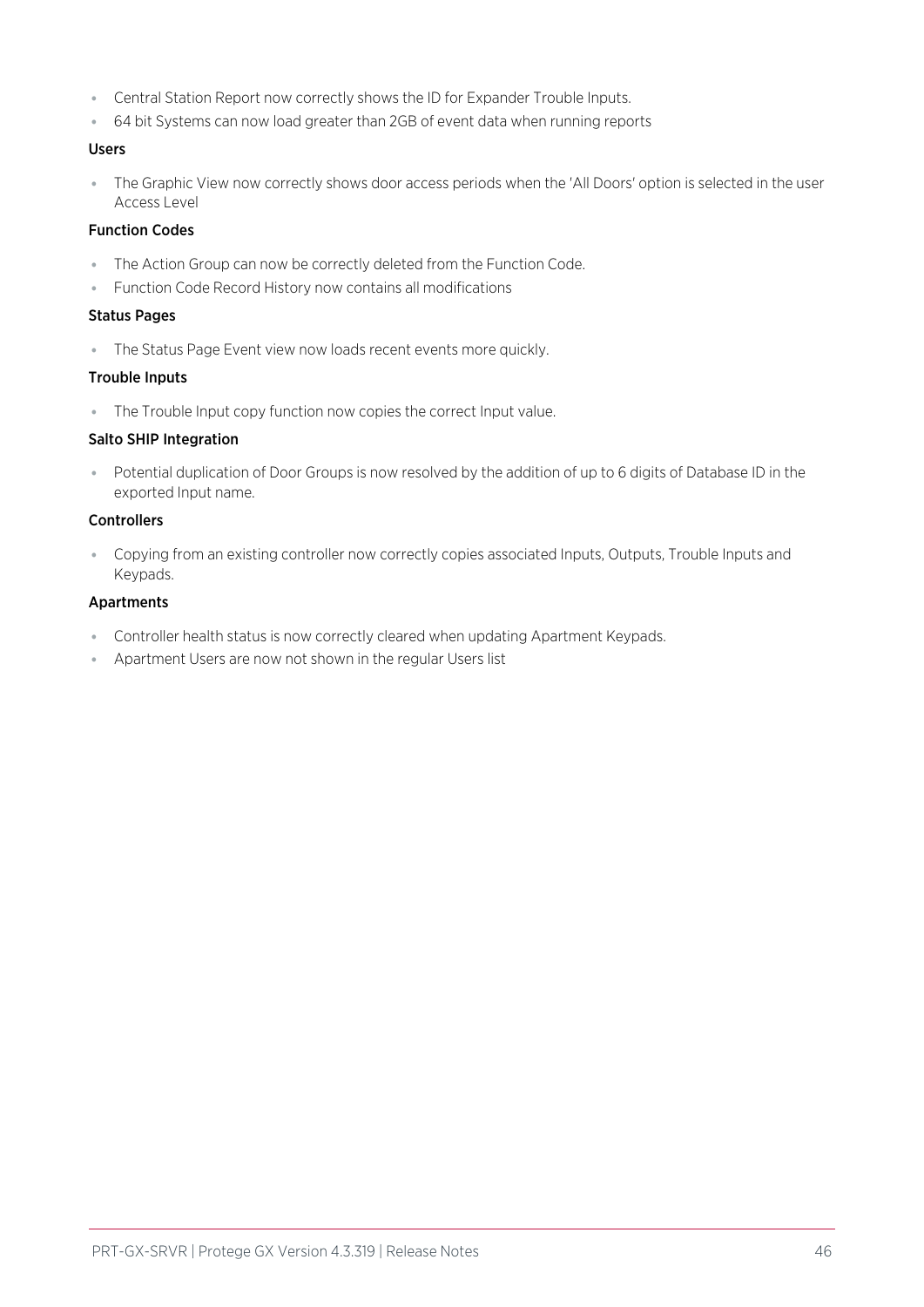- ⦁ Central Station Report now correctly shows the ID for Expander Trouble Inputs.
- ⦁ 64 bit Systems can now load greater than 2GB of event data when running reports

#### Users

⦁ The Graphic View now correctly shows door access periods when the 'All Doors' option is selected in the user Access Level

#### Function Codes

- ⦁ The Action Group can now be correctly deleted from the Function Code.
- ⦁ Function Code Record History now contains all modifications

#### Status Pages

⦁ The Status Page Event view now loads recent events more quickly.

#### Trouble Inputs

⦁ The Trouble Input copy function now copies the correct Input value.

#### Salto SHIP Integration

⦁ Potential duplication of Door Groups is now resolved by the addition of up to 6 digits of Database ID in the exported Input name.

#### **Controllers**

⦁ Copying from an existing controller now correctly copies associated Inputs, Outputs, Trouble Inputs and Keypads.

#### Apartments

- ⦁ Controller health status is now correctly cleared when updating Apartment Keypads.
- ⦁ Apartment Users are now not shown in the regular Users list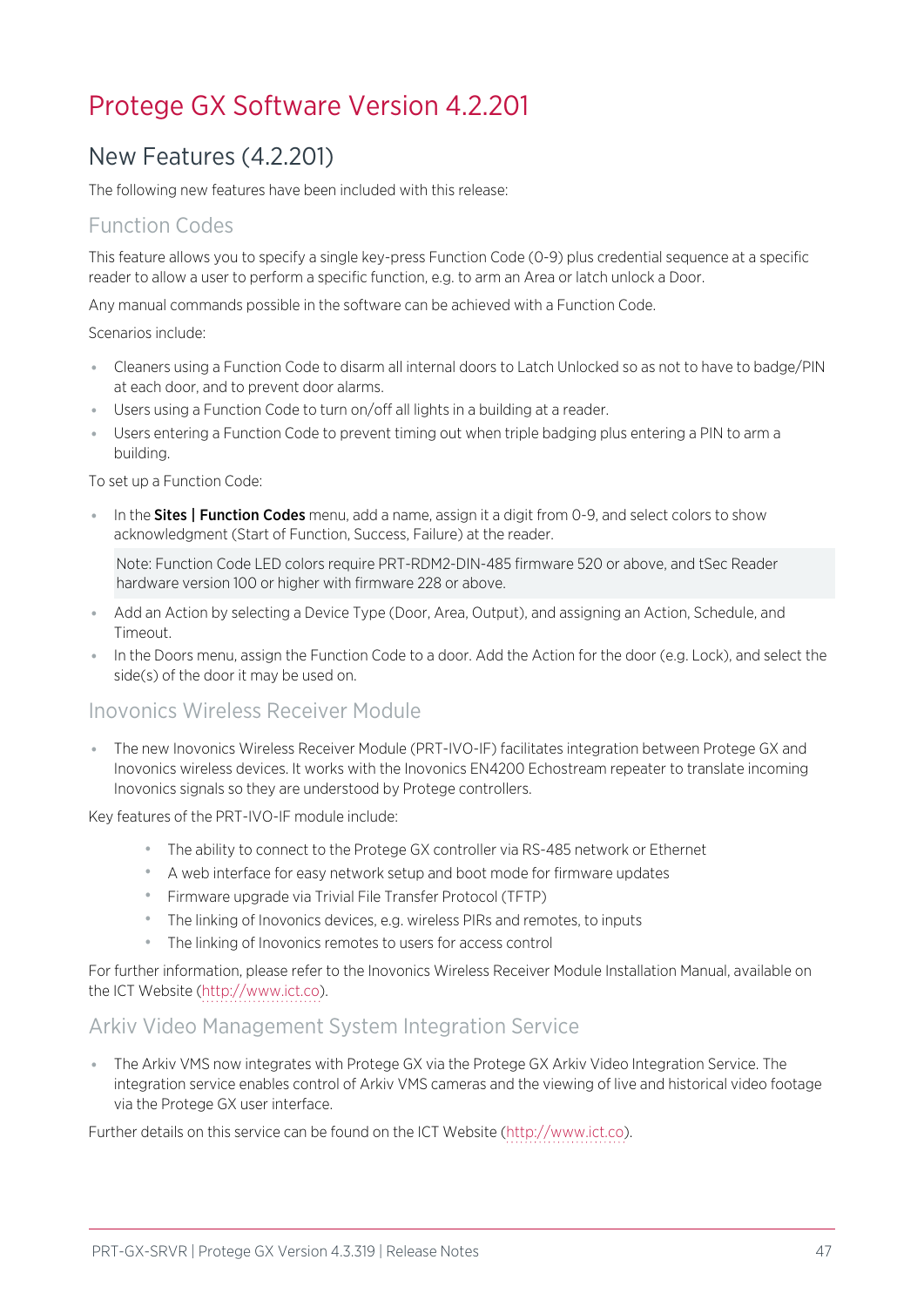## <span id="page-46-1"></span><span id="page-46-0"></span>Protege GX Software Version 4.2.201

## New Features (4.2.201)

The following new features have been included with this release:

## Function Codes

This feature allows you to specify a single key-press Function Code (0-9) plus credential sequence at a specific reader to allow a user to perform a specific function, e.g. to arm an Area or latch unlock a Door.

Any manual commands possible in the software can be achieved with a Function Code.

Scenarios include:

- ⦁ Cleaners using a Function Code to disarm all internal doors to Latch Unlocked so as not to have to badge/PIN at each door, and to prevent door alarms.
- ⦁ Users using a Function Code to turn on/off all lights in a building at a reader.
- ⦁ Users entering a Function Code to prevent timing out when triple badging plus entering a PIN to arm a building.

To set up a Function Code:

• In the **Sites | Function Codes** menu, add a name, assign it a digit from 0-9, and select colors to show acknowledgment (Start of Function, Success, Failure) at the reader.

Note: Function Code LED colors require PRT-RDM2-DIN-485 firmware 520 or above, and tSec Reader hardware version 100 or higher with firmware 228 or above.

- Add an Action by selecting a Device Type (Door, Area, Output), and assigning an Action, Schedule, and Timeout.
- ⦁ In the Doors menu, assign the Function Code to a door. Add the Action for the door (e.g. Lock), and select the side(s) of the door it may be used on.

### Inovonics Wireless Receiver Module

⦁ The new Inovonics Wireless Receiver Module (PRT-IVO-IF) facilitates integration between Protege GX and Inovonics wireless devices. It works with the Inovonics EN4200 Echostream repeater to translate incoming Inovonics signals so they are understood by Protege controllers.

Key features of the PRT-IVO-IF module include:

- ⦁ The ability to connect to the Protege GX controller via RS-485 network or Ethernet
- ⦁ A web interface for easy network setup and boot mode for firmware updates
- ⦁ Firmware upgrade via Trivial File Transfer Protocol (TFTP)
- ⦁ The linking of Inovonics devices, e.g. wireless PIRs and remotes, to inputs
- ⦁ The linking of Inovonics remotes to users for access control

For further information, please refer to the Inovonics Wireless Receiver Module Installation Manual, available on the ICT Website [\(http://www.ict.co\)](http://www.ict.co/).

### Arkiv Video Management System Integration Service

⦁ The Arkiv VMS now integrates with Protege GX via the Protege GX Arkiv Video Integration Service. The integration service enables control of Arkiv VMS cameras and the viewing of live and historical video footage via the Protege GX user interface.

Further details on this service can be found on the ICT Website [\(http://www.ict.co](http://www.ict.co/)).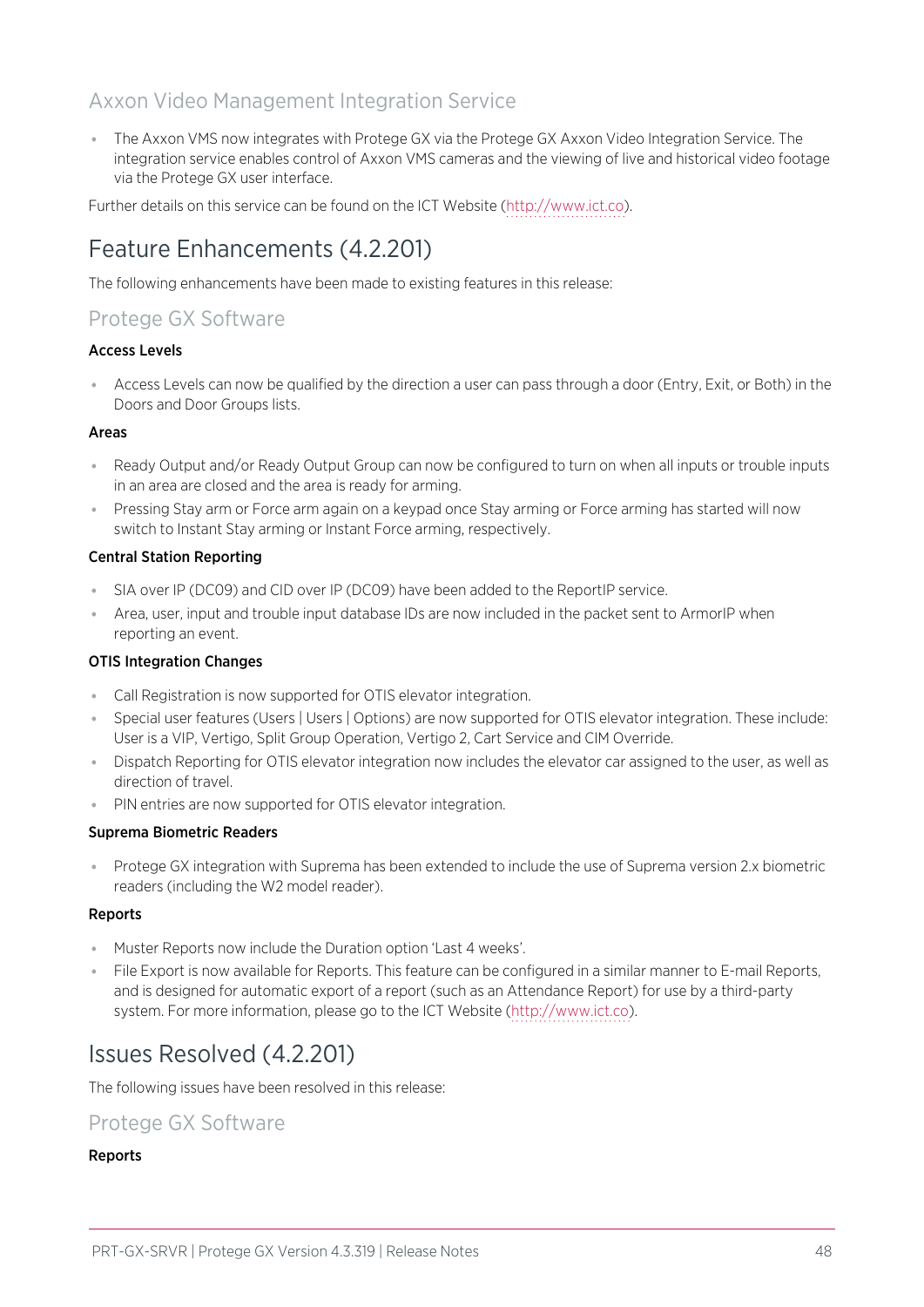## Axxon Video Management Integration Service

⦁ The Axxon VMS now integrates with Protege GX via the Protege GX Axxon Video Integration Service. The integration service enables control of Axxon VMS cameras and the viewing of live and historical video footage via the Protege GX user interface.

<span id="page-47-0"></span>Further details on this service can be found on the ICT Website [\(http://www.ict.co](http://www.ict.co/)).

## Feature Enhancements (4.2.201)

The following enhancements have been made to existing features in this release:

## Protege GX Software

#### Access Levels

⦁ Access Levels can now be qualified by the direction a user can pass through a door (Entry, Exit, or Both) in the Doors and Door Groups lists.

#### Areas

- ⦁ Ready Output and/or Ready Output Group can now be configured to turn on when all inputs or trouble inputs in an area are closed and the area is ready for arming.
- ⦁ Pressing Stay arm or Force arm again on a keypad once Stay arming or Force arming has started will now switch to Instant Stay arming or Instant Force arming, respectively.

#### Central Station Reporting

- ⦁ SIA over IP (DC09) and CID over IP (DC09) have been added to the ReportIP service.
- ⦁ Area, user, input and trouble input database IDs are now included in the packet sent to ArmorIP when reporting an event.

### OTIS Integration Changes

- ⦁ Call Registration is now supported for OTIS elevator integration.
- ⦁ Special user features (Users | Users | Options) are now supported for OTIS elevator integration. These include: User is a VIP, Vertigo, Split Group Operation, Vertigo 2, Cart Service and CIM Override.
- ⦁ Dispatch Reporting for OTIS elevator integration now includes the elevator car assigned to the user, as well as direction of travel.
- ⦁ PIN entries are now supported for OTIS elevator integration.

### Suprema Biometric Readers

⦁ Protege GX integration with Suprema has been extended to include the use of Suprema version 2.x biometric readers (including the W2 model reader).

### Reports

- ⦁ Muster Reports now include the Duration option 'Last 4 weeks'.
- ⦁ File Export is now available for Reports. This feature can be configured in a similar manner to E-mail Reports, and is designed for automatic export of a report (such as an Attendance Report) for use by a third-party system. For more information, please go to the ICT Website ([http://www.ict.co](http://www.ict.co/)).

## <span id="page-47-1"></span>Issues Resolved (4.2.201)

The following issues have been resolved in this release:

### Protege GX Software

### Reports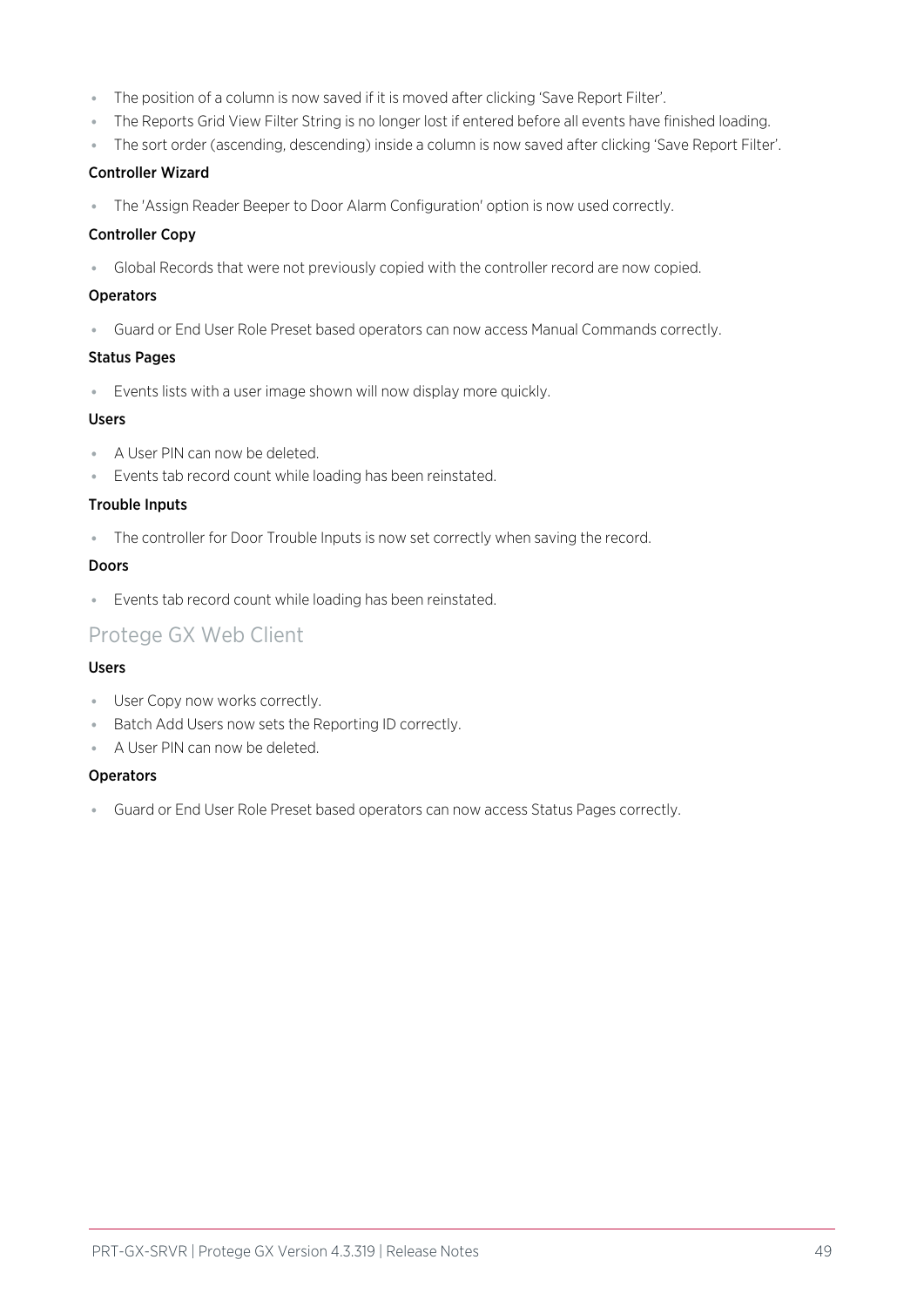- ⦁ The position of a column is now saved if it is moved after clicking 'Save Report Filter'.
- ⦁ The Reports Grid View Filter String is no longer lost if entered before all events have finished loading.
- ⦁ The sort order (ascending, descending) inside a column is now saved after clicking 'Save Report Filter'.

#### Controller Wizard

⦁ The 'Assign Reader Beeper to Door Alarm Configuration' option is now used correctly.

#### Controller Copy

⦁ Global Records that were not previously copied with the controller record are now copied.

#### **Operators**

⦁ Guard or End User Role Preset based operators can now access Manual Commands correctly.

#### Status Pages

⦁ Events lists with a user image shown will now display more quickly.

#### Users

- ⦁ A User PIN can now be deleted.
- ⦁ Events tab record count while loading has been reinstated.

#### Trouble Inputs

⦁ The controller for Door Trouble Inputs is now set correctly when saving the record.

#### Doors

⦁ Events tab record count while loading has been reinstated.

## Protege GX Web Client

### Users

- ⦁ User Copy now works correctly.
- ⦁ Batch Add Users now sets the Reporting ID correctly.
- ⦁ A User PIN can now be deleted.

#### **Operators**

⦁ Guard or End User Role Preset based operators can now access Status Pages correctly.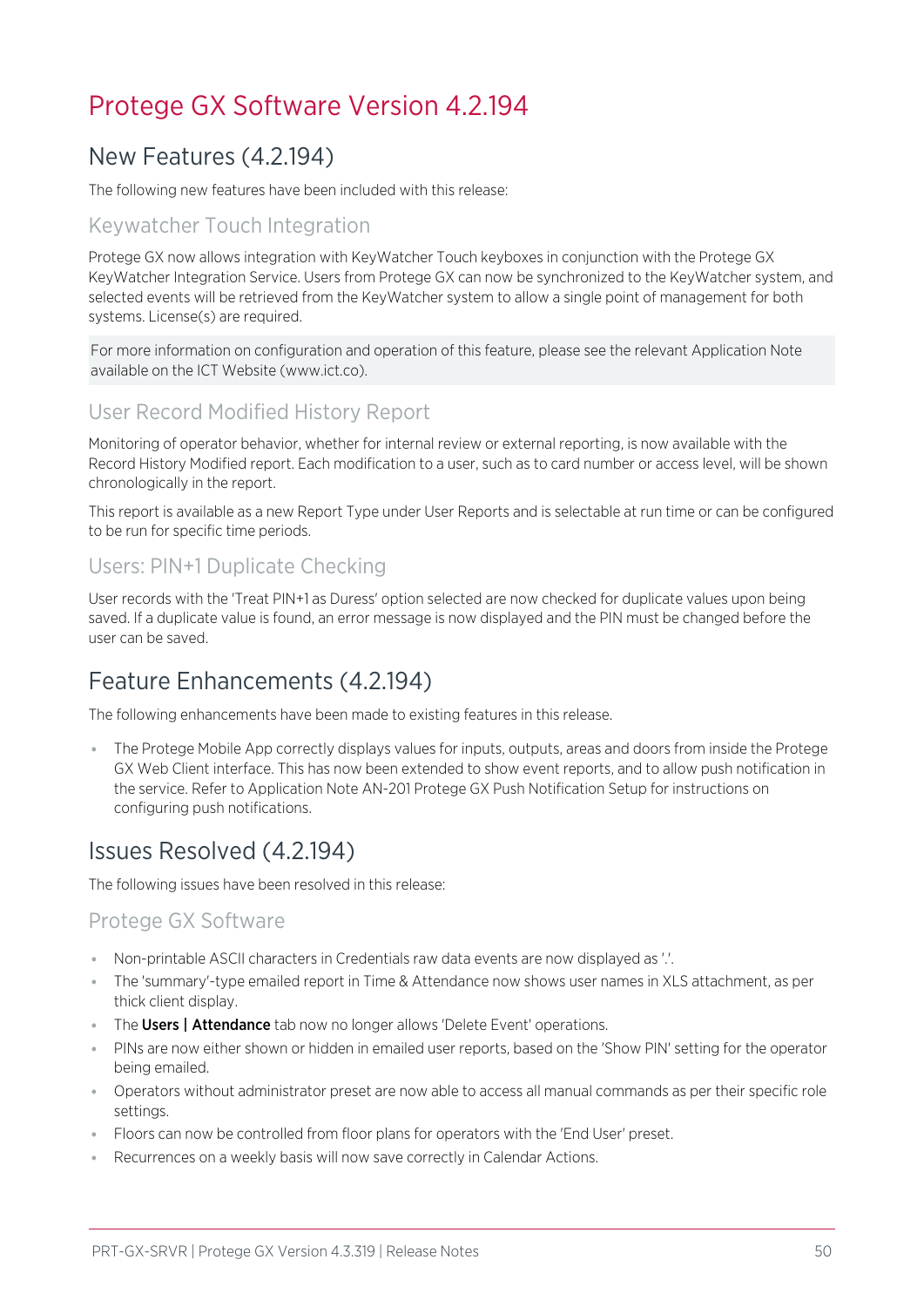## <span id="page-49-1"></span><span id="page-49-0"></span>Protege GX Software Version 4.2.194

## New Features (4.2.194)

The following new features have been included with this release:

## Keywatcher Touch Integration

Protege GX now allows integration with KeyWatcher Touch keyboxes in conjunction with the Protege GX KeyWatcher Integration Service. Users from Protege GX can now be synchronized to the KeyWatcher system, and selected events will be retrieved from the KeyWatcher system to allow a single point of management for both systems. License(s) are required.

For more information on configuration and operation of this feature, please see the relevant Application Note available on the ICT Website (www.ict.co).

## User Record Modified History Report

Monitoring of operator behavior, whether for internal review or external reporting, is now available with the Record History Modified report. Each modification to a user, such as to card number or access level, will be shown chronologically in the report.

This report is available as a new Report Type under User Reports and is selectable at run time or can be configured to be run for specific time periods.

## Users: PIN+1 Duplicate Checking

User records with the 'Treat PIN+1 as Duress' option selected are now checked for duplicate values upon being saved. If a duplicate value is found, an error message is now displayed and the PIN must be changed before the user can be saved.

## <span id="page-49-2"></span>Feature Enhancements (4.2.194)

The following enhancements have been made to existing features in this release.

⦁ The Protege Mobile App correctly displays values for inputs, outputs, areas and doors from inside the Protege GX Web Client interface. This has now been extended to show event reports, and to allow push notification in the service. Refer to Application Note AN-201 Protege GX Push Notification Setup for instructions on configuring push notifications.

## <span id="page-49-3"></span>Issues Resolved (4.2.194)

The following issues have been resolved in this release:

### Protege GX Software

- ⦁ Non-printable ASCII characters in Credentials raw data events are now displayed as '.'.
- ⦁ The 'summary'-type emailed report in Time & Attendance now shows user names in XLS attachment, as per thick client display.
- The Users | Attendance tab now no longer allows 'Delete Event' operations.
- ⦁ PINs are now either shown or hidden in emailed user reports, based on the 'Show PIN' setting for the operator being emailed.
- ⦁ Operators without administrator preset are now able to access all manual commands as per their specific role settings.
- ⦁ Floors can now be controlled from floor plans for operators with the 'End User' preset.
- Recurrences on a weekly basis will now save correctly in Calendar Actions.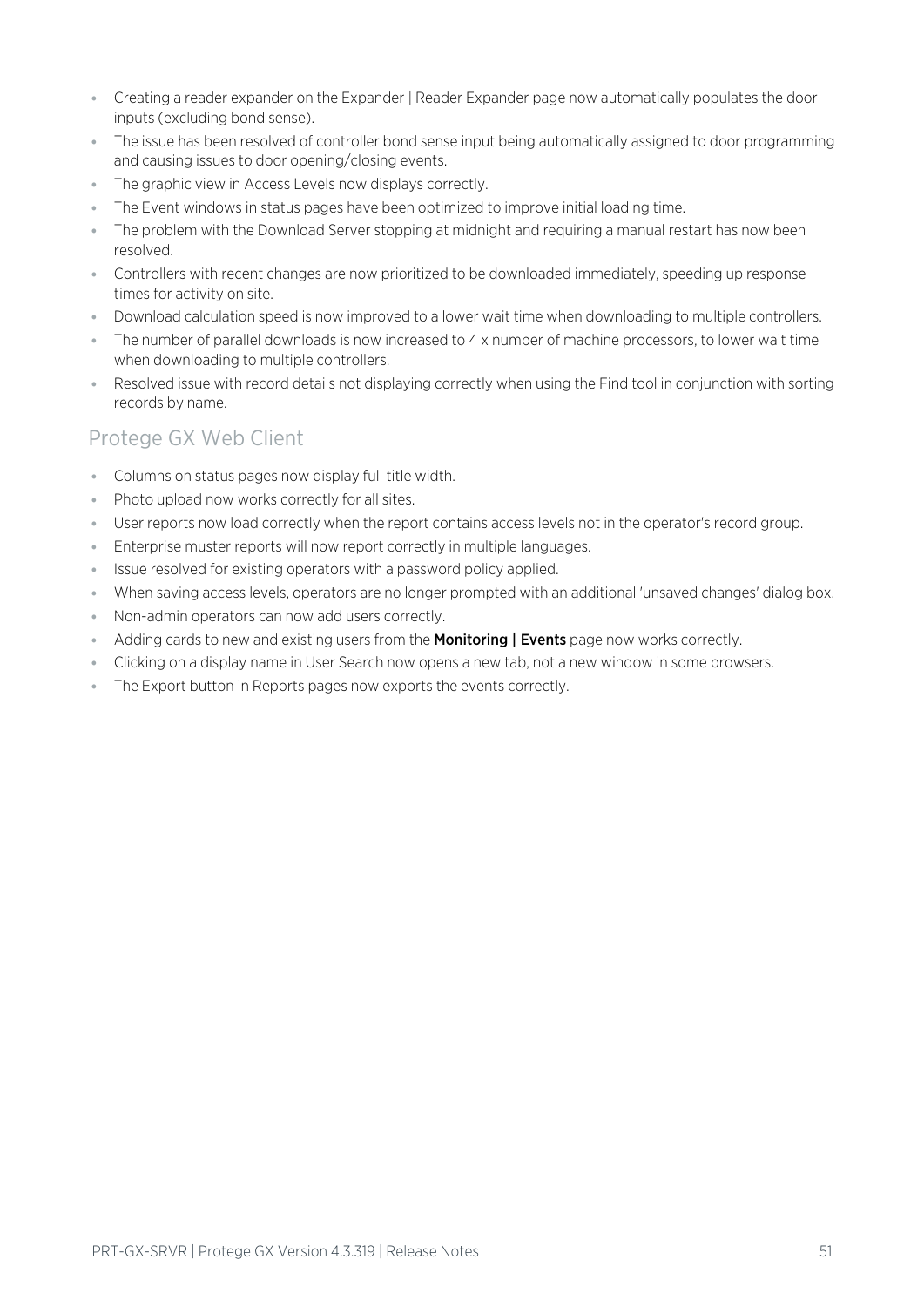- ⦁ Creating a reader expander on the Expander | Reader Expander page now automatically populates the door inputs (excluding bond sense).
- ⦁ The issue has been resolved of controller bond sense input being automatically assigned to door programming and causing issues to door opening/closing events.
- ⦁ The graphic view in Access Levels now displays correctly.
- ⦁ The Event windows in status pages have been optimized to improve initial loading time.
- ⦁ The problem with the Download Server stopping at midnight and requiring a manual restart has now been resolved.
- ⦁ Controllers with recent changes are now prioritized to be downloaded immediately, speeding up response times for activity on site.
- ⦁ Download calculation speed is now improved to a lower wait time when downloading to multiple controllers.
- ⦁ The number of parallel downloads is now increased to 4 x number of machine processors, to lower wait time when downloading to multiple controllers.
- ⦁ Resolved issue with record details not displaying correctly when using the Find tool in conjunction with sorting records by name.

### Protege GX Web Client

- ⦁ Columns on status pages now display full title width.
- ⦁ Photo upload now works correctly for all sites.
- ⦁ User reports now load correctly when the report contains access levels not in the operator's record group.
- ⦁ Enterprise muster reports will now report correctly in multiple languages.
- ⦁ Issue resolved for existing operators with a password policy applied.
- ⦁ When saving access levels, operators are no longer prompted with an additional 'unsaved changes' dialog box.
- ⦁ Non-admin operators can now add users correctly.
- Adding cards to new and existing users from the **Monitoring | Events** page now works correctly.
- ⦁ Clicking on a display name in User Search now opens a new tab, not a new window in some browsers.
- ⦁ The Export button in Reports pages now exports the events correctly.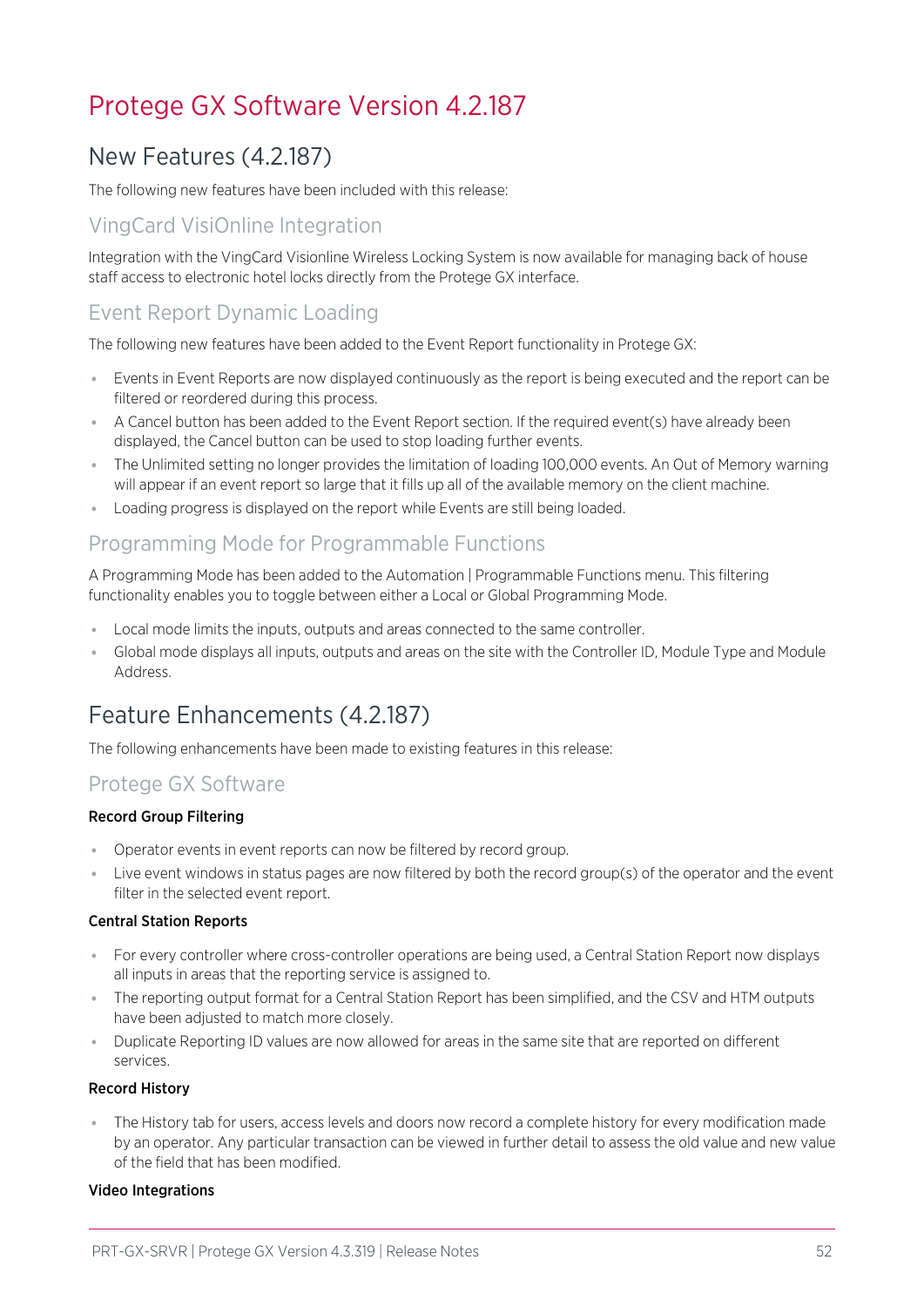## <span id="page-51-1"></span><span id="page-51-0"></span>Protege GX Software Version 4.2.187

## New Features (4.2.187)

The following new features have been included with this release:

## VingCard VisiOnline Integration

Integration with the VingCard Visionline Wireless Locking System is now available for managing back of house staff access to electronic hotel locks directly from the Protege GX interface.

## Event Report Dynamic Loading

The following new features have been added to the Event Report functionality in Protege GX:

- ⦁ Events in Event Reports are now displayed continuously as the report is being executed and the report can be filtered or reordered during this process.
- ⦁ A Cancel button has been added to the Event Report section. If the required event(s) have already been displayed, the Cancel button can be used to stop loading further events.
- ⦁ The Unlimited setting no longer provides the limitation of loading 100,000 events. An Out of Memory warning will appear if an event report so large that it fills up all of the available memory on the client machine.
- ⦁ Loading progress is displayed on the report while Events are still being loaded.

## Programming Mode for Programmable Functions

A Programming Mode has been added to the Automation | Programmable Functions menu. This filtering functionality enables you to toggle between either a Local or Global Programming Mode.

- ⦁ Local mode limits the inputs, outputs and areas connected to the same controller.
- <span id="page-51-2"></span>⦁ Global mode displays all inputs, outputs and areas on the site with the Controller ID, Module Type and Module Address.

## Feature Enhancements (4.2.187)

The following enhancements have been made to existing features in this release:

### Protege GX Software

### Record Group Filtering

- ⦁ Operator events in event reports can now be filtered by record group.
- ⦁ Live event windows in status pages are now filtered by both the record group(s) of the operator and the event filter in the selected event report.

### Central Station Reports

- ⦁ For every controller where cross-controller operations are being used, a Central Station Report now displays all inputs in areas that the reporting service is assigned to.
- ⦁ The reporting output format for a Central Station Report has been simplified, and the CSV and HTM outputs have been adjusted to match more closely.
- ⦁ Duplicate Reporting ID values are now allowed for areas in the same site that are reported on different services.

#### Record History

⦁ The History tab for users, access levels and doors now record a complete history for every modification made by an operator. Any particular transaction can be viewed in further detail to assess the old value and new value of the field that has been modified.

### Video Integrations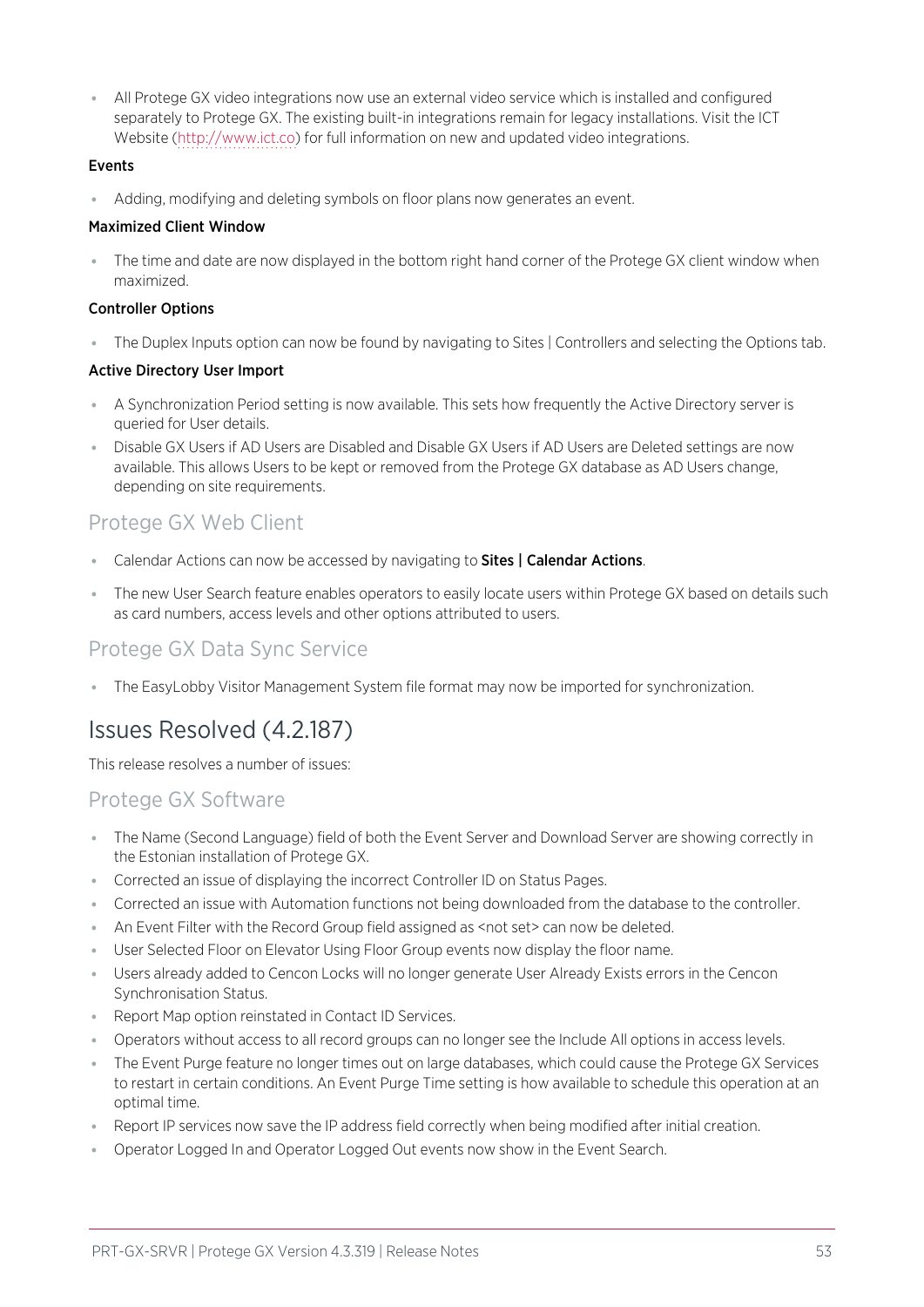⦁ All Protege GX video integrations now use an external video service which is installed and configured separately to Protege GX. The existing built-in integrations remain for legacy installations. Visit the ICT Website ([http://www.ict.co](http://www.ict.co/)) for full information on new and updated video integrations.

#### Events

⦁ Adding, modifying and deleting symbols on floor plans now generates an event.

#### Maximized Client Window

The time and date are now displayed in the bottom right hand corner of the Protege GX client window when maximized.

#### Controller Options

■ The Duplex Inputs option can now be found by navigating to Sites | Controllers and selecting the Options tab.

#### Active Directory User Import

- ⦁ A Synchronization Period setting is now available. This sets how frequently the Active Directory server is queried for User details.
- ⦁ Disable GX Users if AD Users are Disabled and Disable GX Users if AD Users are Deleted settings are now available. This allows Users to be kept or removed from the Protege GX database as AD Users change, depending on site requirements.

## Protege GX Web Client

- Calendar Actions can now be accessed by navigating to Sites | Calendar Actions.
- ⦁ The new User Search feature enables operators to easily locate users within Protege GX based on details such as card numbers, access levels and other options attributed to users.

### Protege GX Data Sync Service

<span id="page-52-0"></span>⦁ The EasyLobby Visitor Management System file format may now be imported for synchronization.

## Issues Resolved (4.2.187)

This release resolves a number of issues:

### Protege GX Software

- ⦁ The Name (Second Language) field of both the Event Server and Download Server are showing correctly in the Estonian installation of Protege GX.
- ⦁ Corrected an issue of displaying the incorrect Controller ID on Status Pages.
- ⦁ Corrected an issue with Automation functions not being downloaded from the database to the controller.
- An Event Filter with the Record Group field assigned as <not set> can now be deleted.
- ⦁ User Selected Floor on Elevator Using Floor Group events now display the floor name.
- ⦁ Users already added to Cencon Locks will no longer generate User Already Exists errors in the Cencon Synchronisation Status.
- Report Map option reinstated in Contact ID Services.
- ⦁ Operators without access to all record groups can no longer see the Include All options in access levels.
- ⦁ The Event Purge feature no longer times out on large databases, which could cause the Protege GX Services to restart in certain conditions. An Event Purge Time setting is how available to schedule this operation at an optimal time.
- ⦁ Report IP services now save the IP address field correctly when being modified after initial creation.
- ⦁ Operator Logged In and Operator Logged Out events now show in the Event Search.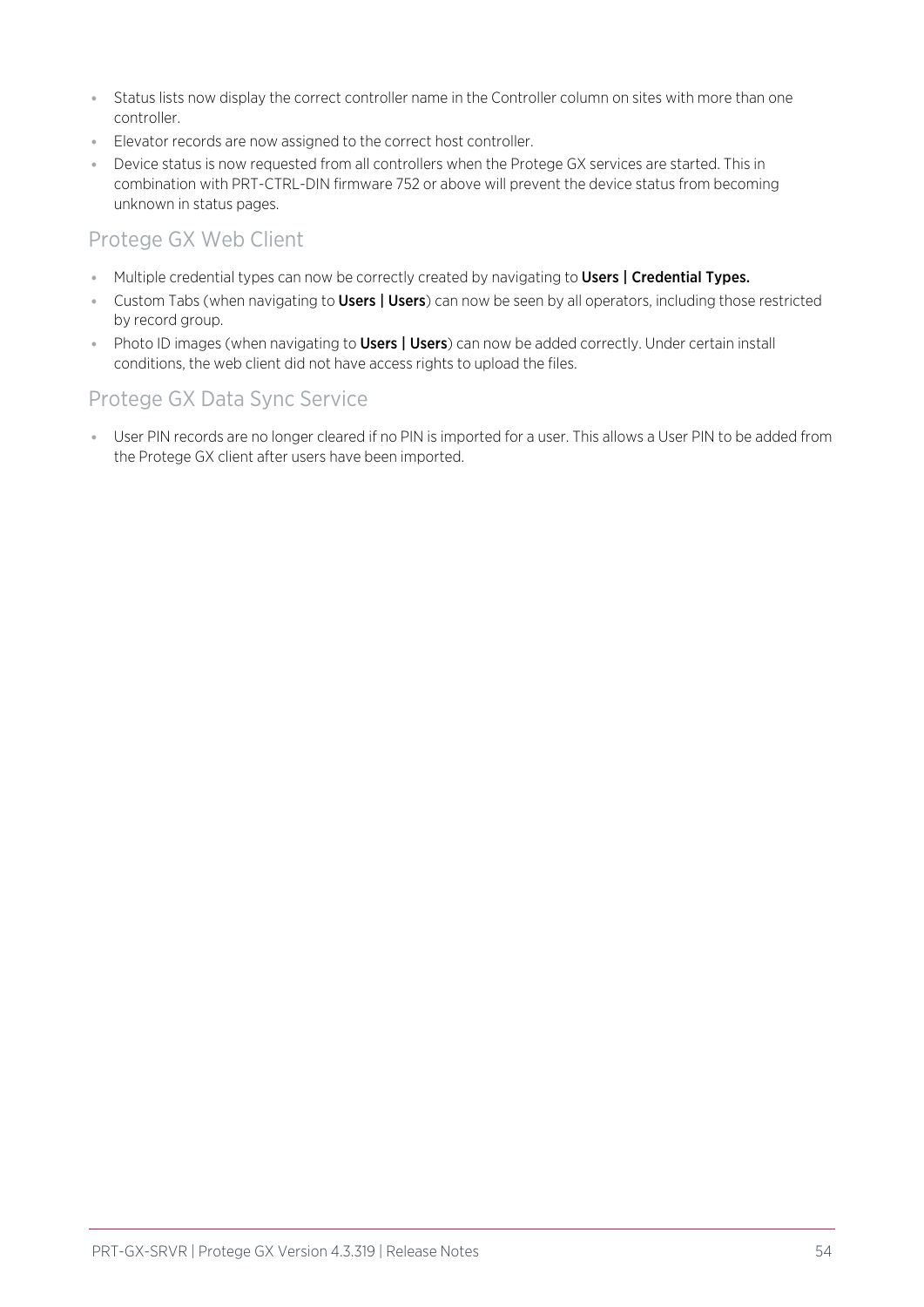- ⦁ Status lists now display the correct controller name in the Controller column on sites with more than one controller.
- ⦁ Elevator records are now assigned to the correct host controller.
- ⦁ Device status is now requested from all controllers when the Protege GX services are started. This in combination with PRT-CTRL-DIN firmware 752 or above will prevent the device status from becoming unknown in status pages.

## Protege GX Web Client

- Multiple credential types can now be correctly created by navigating to Users | Credential Types.
- Custom Tabs (when navigating to **Users | Users**) can now be seen by all operators, including those restricted by record group.
- Photo ID images (when navigating to Users | Users) can now be added correctly. Under certain install conditions, the web client did not have access rights to upload the files.

## Protege GX Data Sync Service

⦁ User PIN records are no longer cleared if no PIN is imported for a user. This allows a User PIN to be added from the Protege GX client after users have been imported.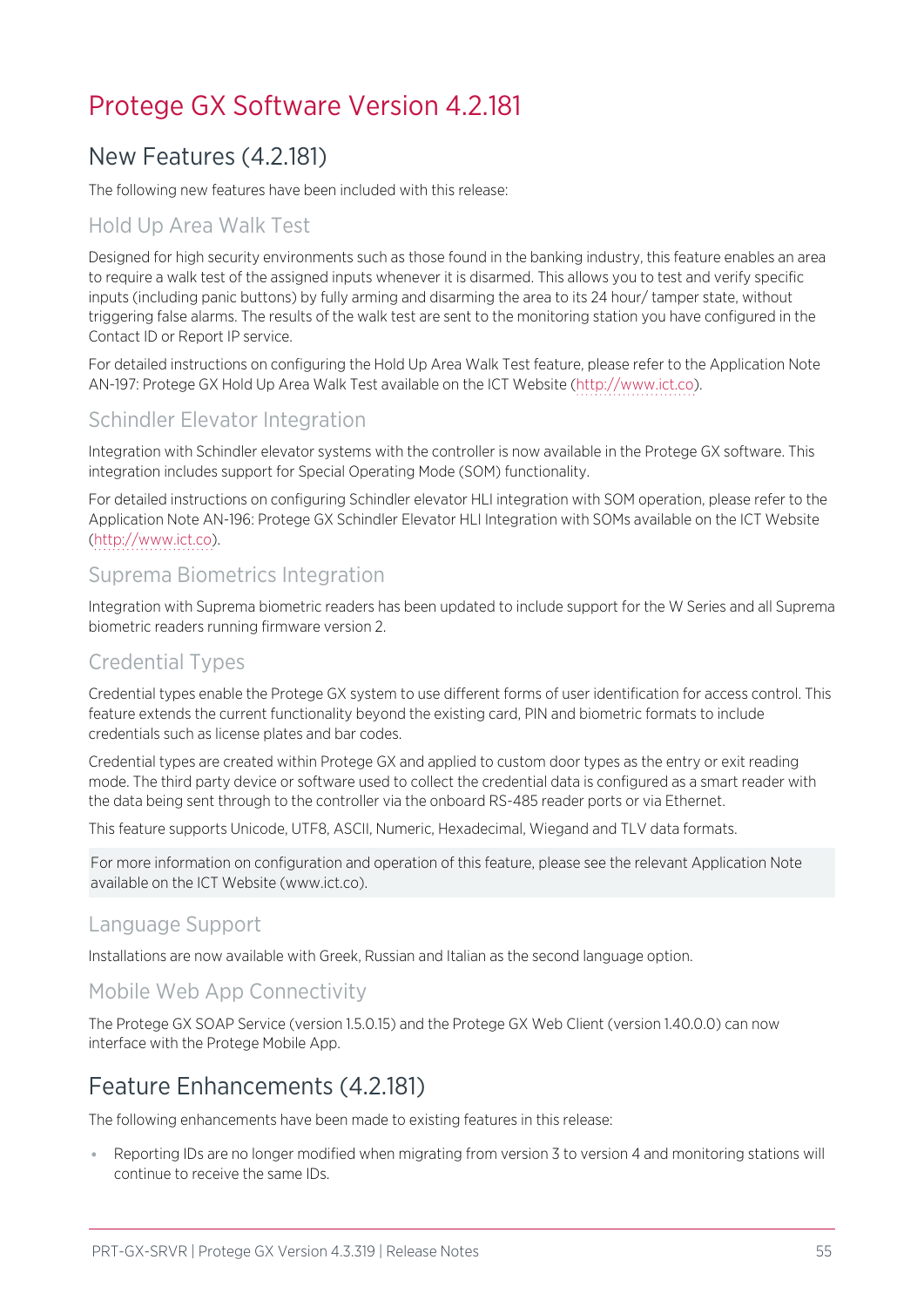## <span id="page-54-1"></span><span id="page-54-0"></span>Protege GX Software Version 4.2.181

## New Features (4.2.181)

The following new features have been included with this release:

## Hold Up Area Walk Test

Designed for high security environments such as those found in the banking industry, this feature enables an area to require a walk test of the assigned inputs whenever it is disarmed. This allows you to test and verify specific inputs (including panic buttons) by fully arming and disarming the area to its 24 hour/ tamper state, without triggering false alarms. The results of the walk test are sent to the monitoring station you have configured in the Contact ID or Report IP service.

For detailed instructions on configuring the Hold Up Area Walk Test feature, please refer to the Application Note AN-197: Protege GX Hold Up Area Walk Test available on the ICT Website [\(http://www.ict.co](http://www.ict.co/)).

## Schindler Elevator Integration

Integration with Schindler elevator systems with the controller is now available in the Protege GX software. This integration includes support for Special Operating Mode (SOM) functionality.

For detailed instructions on configuring Schindler elevator HLI integration with SOM operation, please refer to the Application Note AN-196: Protege GX Schindler Elevator HLI Integration with SOMs available on the ICT Website ([http://www.ict.co](http://www.ict.co/)).

### Suprema Biometrics Integration

Integration with Suprema biometric readers has been updated to include support for the W Series and all Suprema biometric readers running firmware version 2.

### Credential Types

Credential types enable the Protege GX system to use different forms of user identification for access control. This feature extends the current functionality beyond the existing card, PIN and biometric formats to include credentials such as license plates and bar codes.

Credential types are created within Protege GX and applied to custom door types as the entry or exit reading mode. The third party device or software used to collect the credential data is configured as a smart reader with the data being sent through to the controller via the onboard RS-485 reader ports or via Ethernet.

This feature supports Unicode, UTF8, ASCII, Numeric, Hexadecimal, Wiegand and TLV data formats.

For more information on configuration and operation of this feature, please see the relevant Application Note available on the ICT Website (www.ict.co).

### Language Support

Installations are now available with Greek, Russian and Italian as the second language option.

### Mobile Web App Connectivity

<span id="page-54-2"></span>The Protege GX SOAP Service (version 1.5.0.15) and the Protege GX Web Client (version 1.40.0.0) can now interface with the Protege Mobile App.

## Feature Enhancements (4.2.181)

The following enhancements have been made to existing features in this release:

⦁ Reporting IDs are no longer modified when migrating from version 3 to version 4 and monitoring stations will continue to receive the same IDs.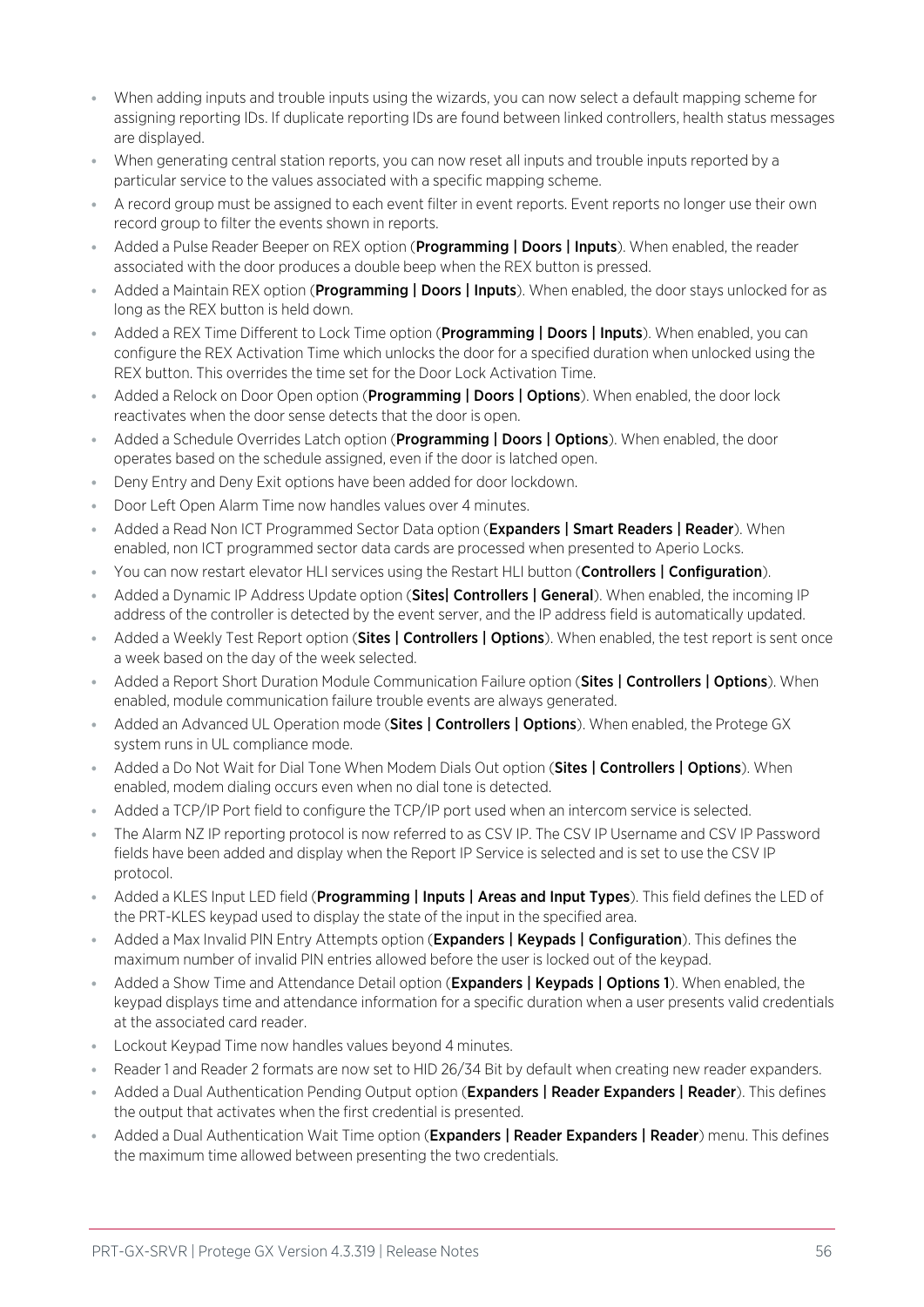- ⦁ When adding inputs and trouble inputs using the wizards, you can now select a default mapping scheme for assigning reporting IDs. If duplicate reporting IDs are found between linked controllers, health status messages are displayed.
- ⦁ When generating central station reports, you can now reset all inputs and trouble inputs reported by a particular service to the values associated with a specific mapping scheme.
- ⦁ A record group must be assigned to each event filter in event reports. Event reports no longer use their own record group to filter the events shown in reports.
- Added a Pulse Reader Beeper on REX option (Programming | Doors | Inputs). When enabled, the reader associated with the door produces a double beep when the REX button is pressed.
- Added a Maintain REX option (Programming | Doors | Inputs). When enabled, the door stays unlocked for as long as the REX button is held down.
- Added a REX Time Different to Lock Time option (Programming | Doors | Inputs). When enabled, you can configure the REX Activation Time which unlocks the door for a specified duration when unlocked using the REX button. This overrides the time set for the Door Lock Activation Time.
- Added a Relock on Door Open option (**Programming | Doors | Options**). When enabled, the door lock reactivates when the door sense detects that the door is open.
- Added a Schedule Overrides Latch option (**Programming | Doors | Options**). When enabled, the door operates based on the schedule assigned, even if the door is latched open.
- Deny Entry and Deny Exit options have been added for door lockdown.
- ⦁ Door Left Open Alarm Time now handles values over 4 minutes.
- Added a Read Non ICT Programmed Sector Data option (Expanders | Smart Readers | Reader). When enabled, non ICT programmed sector data cards are processed when presented to Aperio Locks.
- You can now restart elevator HLI services using the Restart HLI button (Controllers | Configuration).
- Added a Dynamic IP Address Update option (Sites| Controllers | General). When enabled, the incoming IP address of the controller is detected by the event server, and the IP address field is automatically updated.
- Added a Weekly Test Report option (Sites | Controllers | Options). When enabled, the test report is sent once a week based on the day of the week selected.
- Added a Report Short Duration Module Communication Failure option (Sites | Controllers | Options). When enabled, module communication failure trouble events are always generated.
- Added an Advanced UL Operation mode (Sites | Controllers | Options). When enabled, the Protege GX system runs in UL compliance mode.
- Added a Do Not Wait for Dial Tone When Modem Dials Out option (Sites | Controllers | Options). When enabled, modem dialing occurs even when no dial tone is detected.
- ⦁ Added a TCP/IP Port field to configure the TCP/IP port used when an intercom service is selected.
- The Alarm NZ IP reporting protocol is now referred to as CSV IP. The CSV IP Username and CSV IP Password fields have been added and display when the Report IP Service is selected and is set to use the CSV IP protocol.
- Added a KLES Input LED field (**Programming | Inputs | Areas and Input Types**). This field defines the LED of the PRT-KLES keypad used to display the state of the input in the specified area.
- Added a Max Invalid PIN Entry Attempts option (Expanders | Keypads | Configuration). This defines the maximum number of invalid PIN entries allowed before the user is locked out of the keypad.
- Added a Show Time and Attendance Detail option (**Expanders | Keypads | Options 1**). When enabled, the keypad displays time and attendance information for a specific duration when a user presents valid credentials at the associated card reader.
- ⦁ Lockout Keypad Time now handles values beyond 4 minutes.
- ⦁ Reader 1 and Reader 2 formats are now set to HID 26/34 Bit by default when creating new reader expanders.
- Added a Dual Authentication Pending Output option (Expanders | Reader Expanders | Reader). This defines the output that activates when the first credential is presented.
- Added a Dual Authentication Wait Time option (Expanders | Reader Expanders | Reader) menu. This defines the maximum time allowed between presenting the two credentials.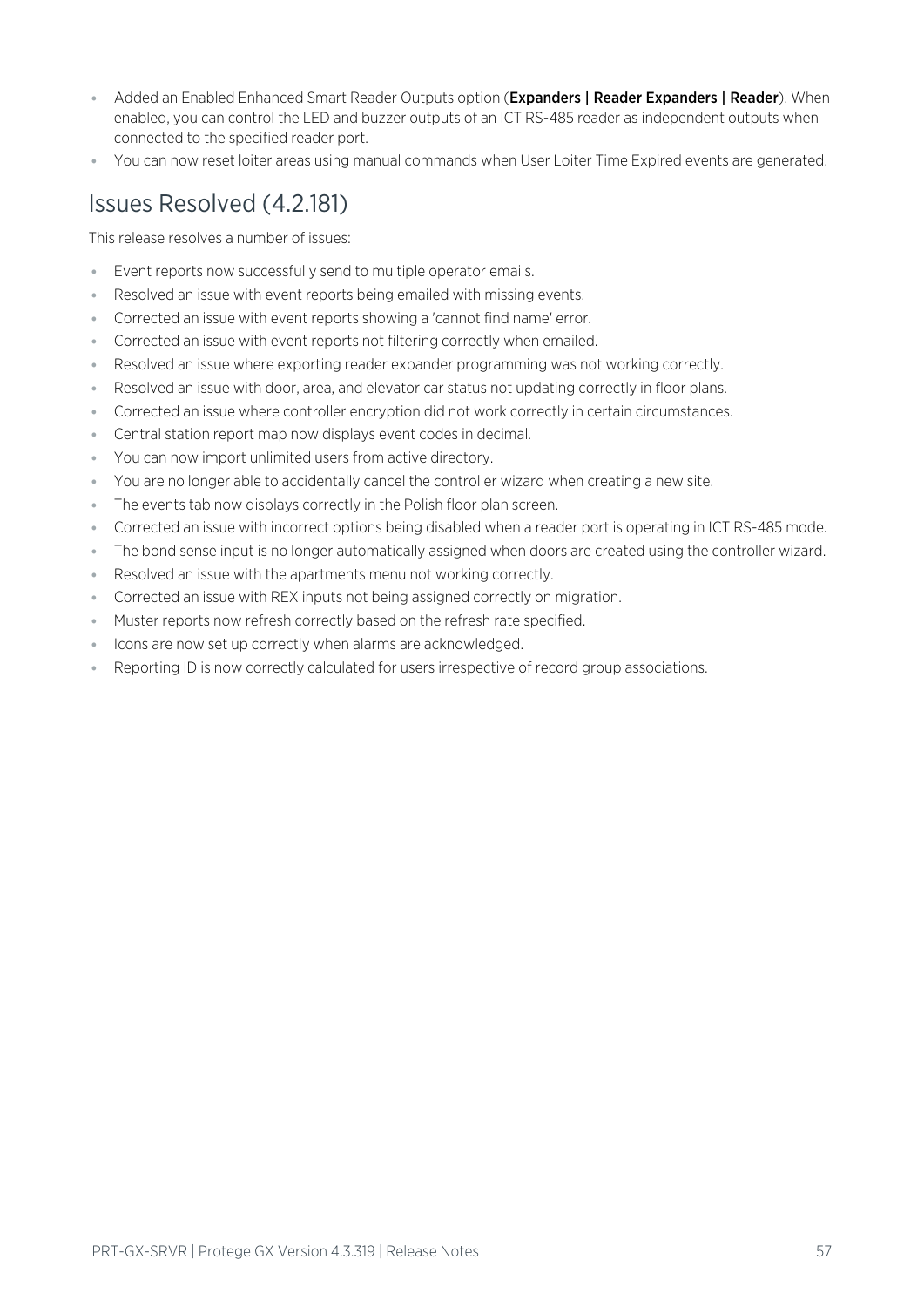- Added an Enabled Enhanced Smart Reader Outputs option (Expanders | Reader Expanders | Reader). When enabled, you can control the LED and buzzer outputs of an ICT RS-485 reader as independent outputs when connected to the specified reader port.
- <span id="page-56-0"></span>⦁ You can now reset loiter areas using manual commands when User Loiter Time Expired events are generated.

## Issues Resolved (4.2.181)

This release resolves a number of issues:

- Event reports now successfully send to multiple operator emails.
- Resolved an issue with event reports being emailed with missing events.
- ⦁ Corrected an issue with event reports showing a 'cannot find name' error.
- ⦁ Corrected an issue with event reports not filtering correctly when emailed.
- ⦁ Resolved an issue where exporting reader expander programming was not working correctly.
- Resolved an issue with door, area, and elevator car status not updating correctly in floor plans.
- ⦁ Corrected an issue where controller encryption did not work correctly in certain circumstances.
- ⦁ Central station report map now displays event codes in decimal.
- ⦁ You can now import unlimited users from active directory.
- ⦁ You are no longer able to accidentally cancel the controller wizard when creating a new site.
- ⦁ The events tab now displays correctly in the Polish floor plan screen.
- ⦁ Corrected an issue with incorrect options being disabled when a reader port is operating in ICT RS-485 mode.
- ⦁ The bond sense input is no longer automatically assigned when doors are created using the controller wizard.
- Resolved an issue with the apartments menu not working correctly.
- ⦁ Corrected an issue with REX inputs not being assigned correctly on migration.
- ⦁ Muster reports now refresh correctly based on the refresh rate specified.
- ⦁ Icons are now set up correctly when alarms are acknowledged.
- Reporting ID is now correctly calculated for users irrespective of record group associations.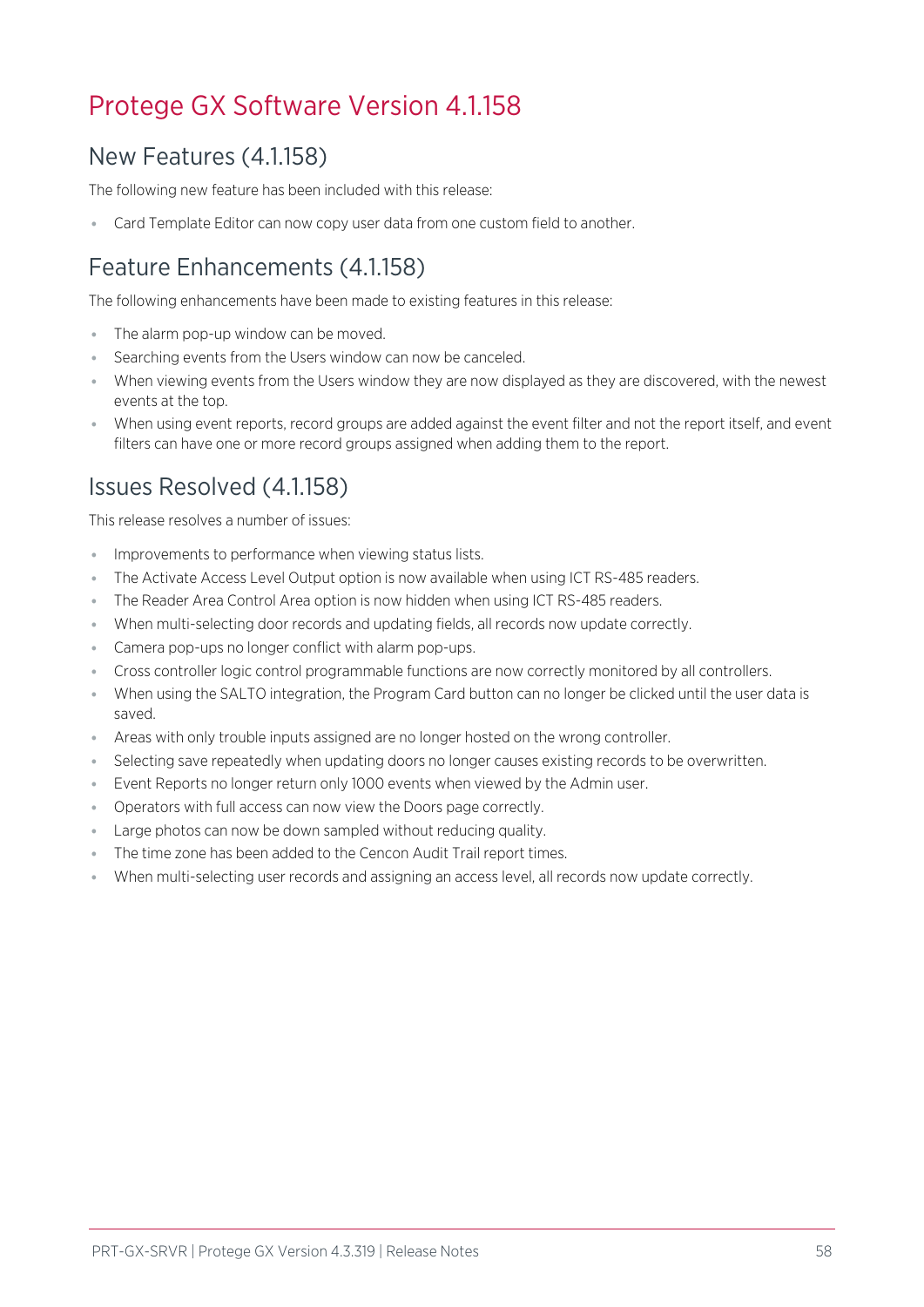## <span id="page-57-1"></span><span id="page-57-0"></span>Protege GX Software Version 4.1.158

## New Features (4.1.158)

The following new feature has been included with this release:

<span id="page-57-2"></span>Card Template Editor can now copy user data from one custom field to another.

## Feature Enhancements (4.1.158)

The following enhancements have been made to existing features in this release:

- ⦁ The alarm pop-up window can be moved.
- ⦁ Searching events from the Users window can now be canceled.
- ⦁ When viewing events from the Users window they are now displayed as they are discovered, with the newest events at the top.
- <span id="page-57-3"></span>⦁ When using event reports, record groups are added against the event filter and not the report itself, and event filters can have one or more record groups assigned when adding them to the report.

## Issues Resolved (4.1.158)

This release resolves a number of issues:

- ⦁ Improvements to performance when viewing status lists.
- ⦁ The Activate Access Level Output option is now available when using ICT RS-485 readers.
- ⦁ The Reader Area Control Area option is now hidden when using ICT RS-485 readers.
- ⦁ When multi-selecting door records and updating fields, all records now update correctly.
- ⦁ Camera pop-ups no longer conflict with alarm pop-ups.
- ⦁ Cross controller logic control programmable functions are now correctly monitored by all controllers.
- ⦁ When using the SALTO integration, the Program Card button can no longer be clicked until the user data is saved.
- ⦁ Areas with only trouble inputs assigned are no longer hosted on the wrong controller.
- ⦁ Selecting save repeatedly when updating doors no longer causes existing records to be overwritten.
- ⦁ Event Reports no longer return only 1000 events when viewed by the Admin user.
- ⦁ Operators with full access can now view the Doors page correctly.
- ⦁ Large photos can now be down sampled without reducing quality.
- ⦁ The time zone has been added to the Cencon Audit Trail report times.
- ⦁ When multi-selecting user records and assigning an access level, all records now update correctly.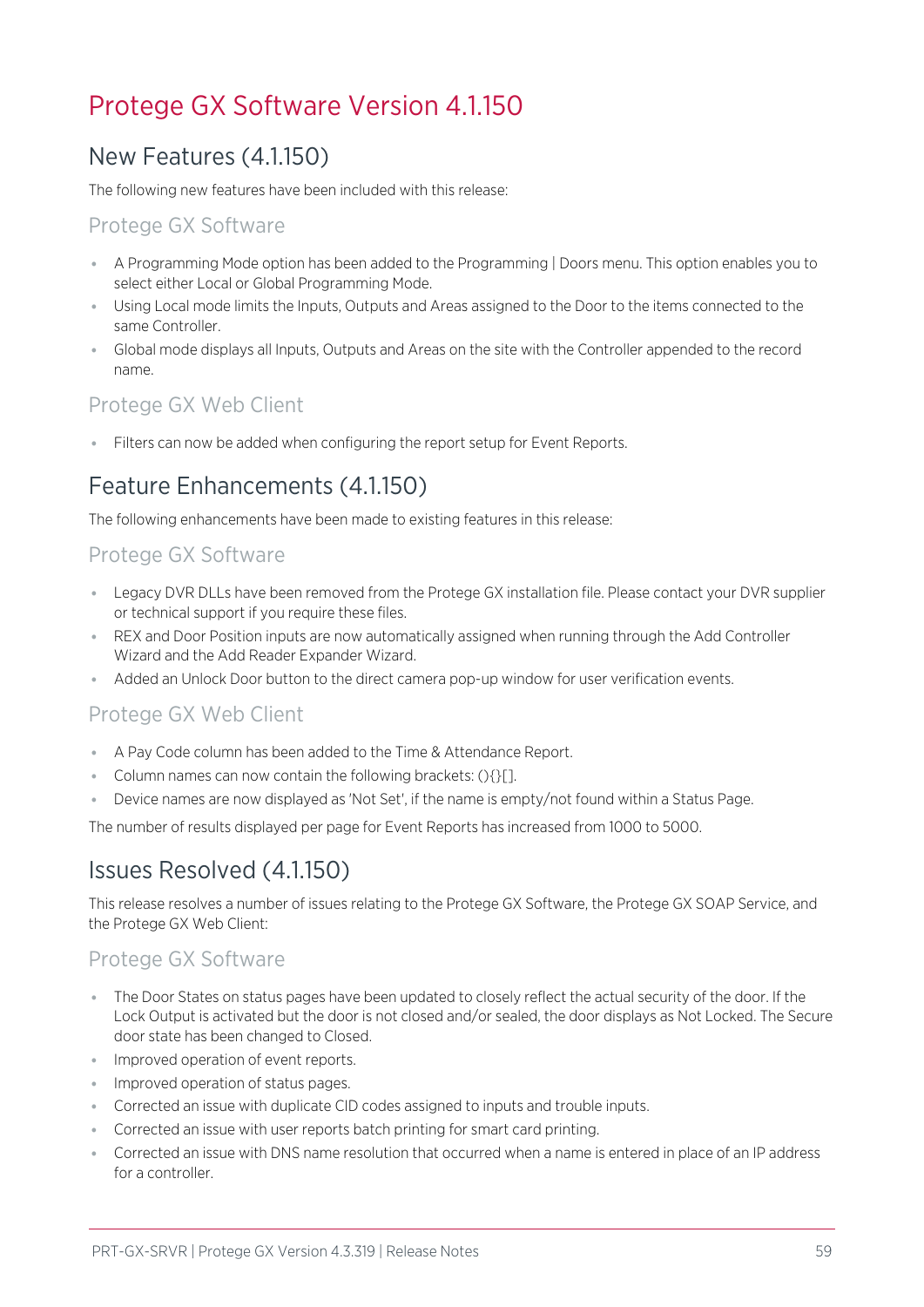## <span id="page-58-1"></span><span id="page-58-0"></span>Protege GX Software Version 4.1.150

## New Features (4.1.150)

The following new features have been included with this release:

## Protege GX Software

- ⦁ A Programming Mode option has been added to the Programming | Doors menu. This option enables you to select either Local or Global Programming Mode.
- ⦁ Using Local mode limits the Inputs, Outputs and Areas assigned to the Door to the items connected to the same Controller.
- ⦁ Global mode displays all Inputs, Outputs and Areas on the site with the Controller appended to the record name.

## Protege GX Web Client

<span id="page-58-2"></span>⦁ Filters can now be added when configuring the report setup for Event Reports.

## Feature Enhancements (4.1.150)

The following enhancements have been made to existing features in this release:

## Protege GX Software

- ⦁ Legacy DVR DLLs have been removed from the Protege GX installation file. Please contact your DVR supplier or technical support if you require these files.
- ⦁ REX and Door Position inputs are now automatically assigned when running through the Add Controller Wizard and the Add Reader Expander Wizard.
- ⦁ Added an Unlock Door button to the direct camera pop-up window for user verification events.

### Protege GX Web Client

- ⦁ A Pay Code column has been added to the Time & Attendance Report.
- ⦁ Column names can now contain the following brackets: (){}[].
- Device names are now displayed as 'Not Set', if the name is empty/not found within a Status Page.

<span id="page-58-3"></span>The number of results displayed per page for Event Reports has increased from 1000 to 5000.

## Issues Resolved (4.1.150)

This release resolves a number of issues relating to the Protege GX Software, the Protege GX SOAP Service, and the Protege GX Web Client:

### Protege GX Software

- ⦁ The Door States on status pages have been updated to closely reflect the actual security of the door. If the Lock Output is activated but the door is not closed and/or sealed, the door displays as Not Locked. The Secure door state has been changed to Closed.
- ⦁ Improved operation of event reports.
- ⦁ Improved operation of status pages.
- ⦁ Corrected an issue with duplicate CID codes assigned to inputs and trouble inputs.
- ⦁ Corrected an issue with user reports batch printing for smart card printing.
- ⦁ Corrected an issue with DNS name resolution that occurred when a name is entered in place of an IP address for a controller.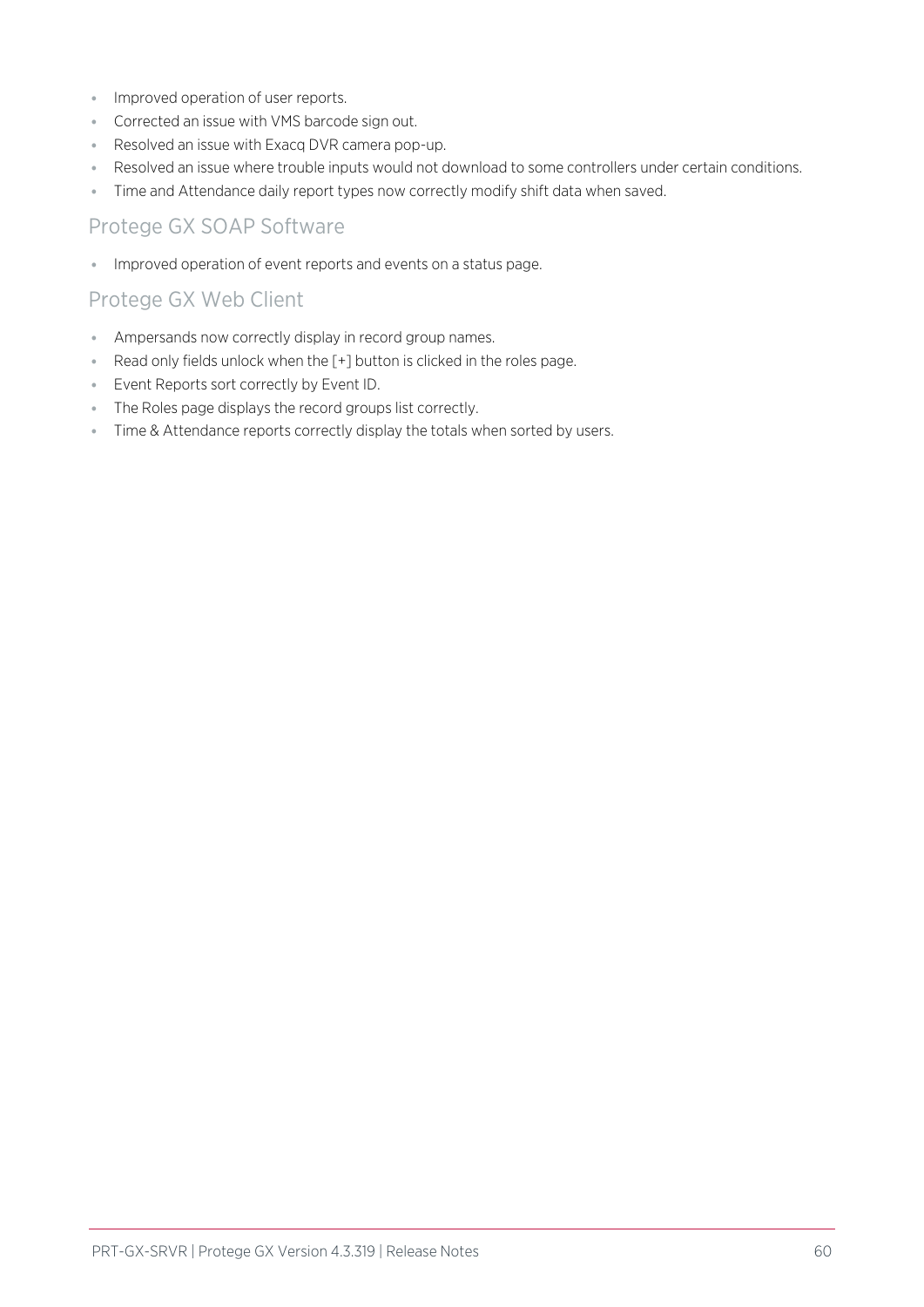- ⦁ Improved operation of user reports.
- ⦁ Corrected an issue with VMS barcode sign out.
- ⦁ Resolved an issue with Exacq DVR camera pop-up.
- ⦁ Resolved an issue where trouble inputs would not download to some controllers under certain conditions.
- ⦁ Time and Attendance daily report types now correctly modify shift data when saved.

### Protege GX SOAP Software

⦁ Improved operation of event reports and events on a status page.

## Protege GX Web Client

- ⦁ Ampersands now correctly display in record group names.
- ⦁ Read only fields unlock when the [+] button is clicked in the roles page.
- ⦁ Event Reports sort correctly by Event ID.
- ⦁ The Roles page displays the record groups list correctly.
- ⦁ Time & Attendance reports correctly display the totals when sorted by users.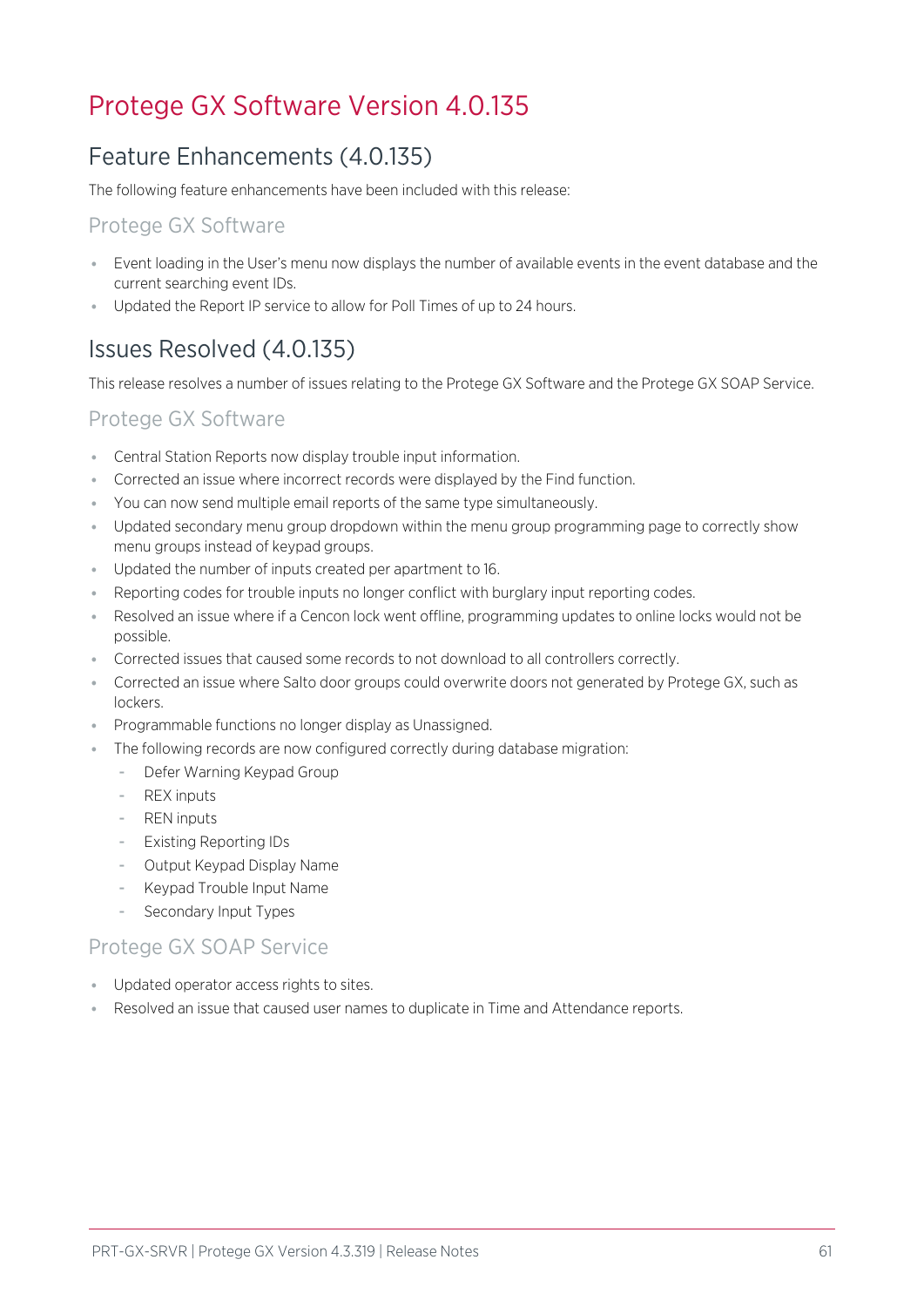## <span id="page-60-1"></span><span id="page-60-0"></span>Protege GX Software Version 4.0.135

## Feature Enhancements (4.0.135)

The following feature enhancements have been included with this release:

## Protege GX Software

- ⦁ Event loading in the User's menu now displays the number of available events in the event database and the current searching event IDs.
- <span id="page-60-2"></span>⦁ Updated the Report IP service to allow for Poll Times of up to 24 hours.

## Issues Resolved (4.0.135)

This release resolves a number of issues relating to the Protege GX Software and the Protege GX SOAP Service.

## Protege GX Software

- ⦁ Central Station Reports now display trouble input information.
- ⦁ Corrected an issue where incorrect records were displayed by the Find function.
- ⦁ You can now send multiple email reports of the same type simultaneously.
- ⦁ Updated secondary menu group dropdown within the menu group programming page to correctly show menu groups instead of keypad groups.
- ⦁ Updated the number of inputs created per apartment to 16.
- ⦁ Reporting codes for trouble inputs no longer conflict with burglary input reporting codes.
- ⦁ Resolved an issue where if a Cencon lock went offline, programming updates to online locks would not be possible.
- ⦁ Corrected issues that caused some records to not download to all controllers correctly.
- ⦁ Corrected an issue where Salto door groups could overwrite doors not generated by Protege GX, such as lockers.
- ⦁ Programmable functions no longer display as Unassigned.
- ⦁ The following records are now configured correctly during database migration:
	- Defer Warning Keypad Group
	- **REX** inputs
	- **REN** inputs
	- Existing Reporting IDs
	- Output Keypad Display Name
	- Keypad Trouble Input Name
	- Secondary Input Types

### Protege GX SOAP Service

- ⦁ Updated operator access rights to sites.
- ⦁ Resolved an issue that caused user names to duplicate in Time and Attendance reports.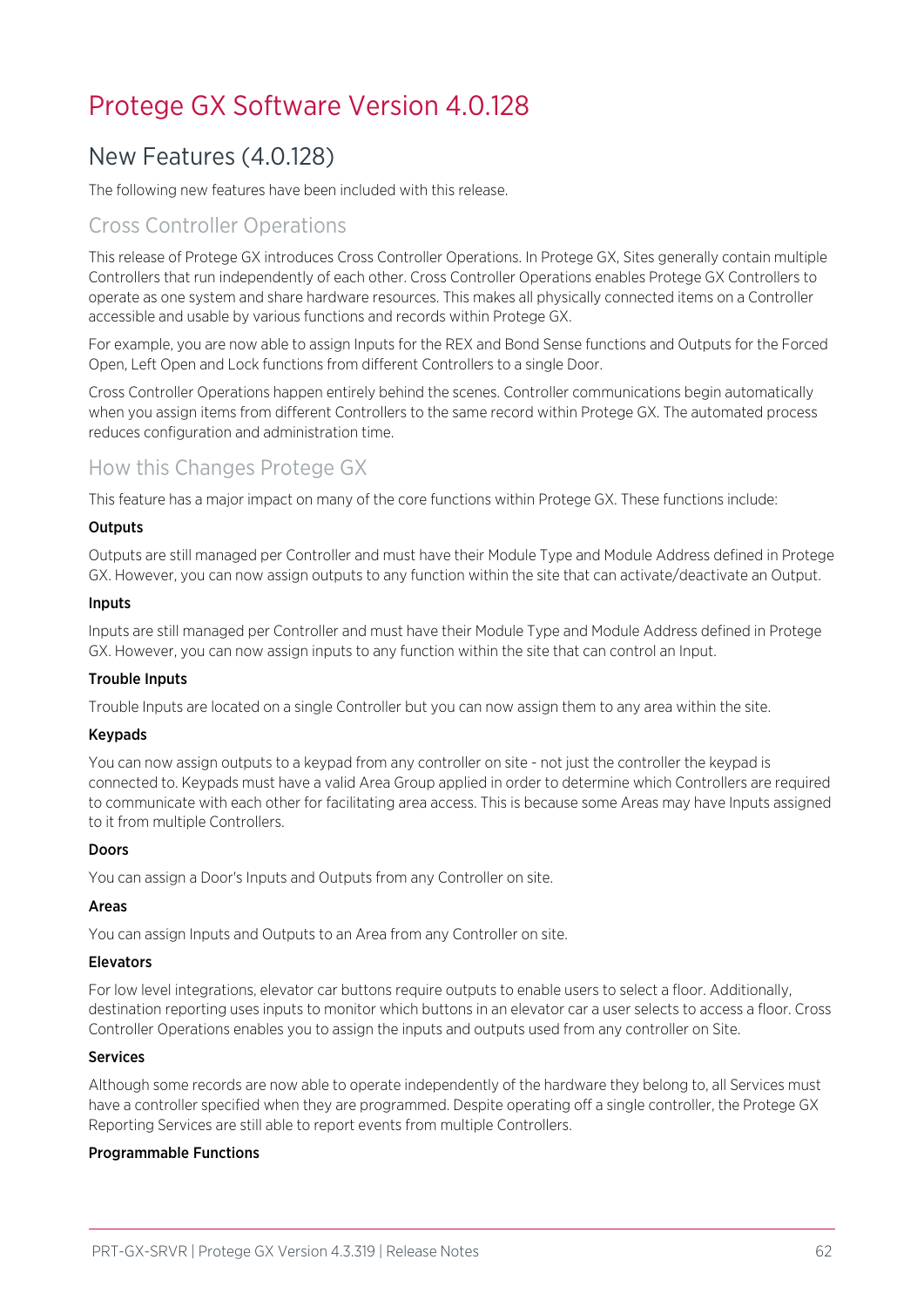## <span id="page-61-1"></span><span id="page-61-0"></span>Protege GX Software Version 4.0.128

## New Features (4.0.128)

The following new features have been included with this release.

## Cross Controller Operations

This release of Protege GX introduces Cross Controller Operations. In Protege GX, Sites generally contain multiple Controllers that run independently of each other. Cross Controller Operations enables Protege GX Controllers to operate as one system and share hardware resources. This makes all physically connected items on a Controller accessible and usable by various functions and records within Protege GX.

For example, you are now able to assign Inputs for the REX and Bond Sense functions and Outputs for the Forced Open, Left Open and Lock functions from different Controllers to a single Door.

Cross Controller Operations happen entirely behind the scenes. Controller communications begin automatically when you assign items from different Controllers to the same record within Protege GX. The automated process reduces configuration and administration time.

## How this Changes Protege GX

This feature has a major impact on many of the core functions within Protege GX. These functions include:

#### **Outputs**

Outputs are still managed per Controller and must have their Module Type and Module Address defined in Protege GX. However, you can now assign outputs to any function within the site that can activate/deactivate an Output.

#### Inputs

Inputs are still managed per Controller and must have their Module Type and Module Address defined in Protege GX. However, you can now assign inputs to any function within the site that can control an Input.

#### Trouble Inputs

Trouble Inputs are located on a single Controller but you can now assign them to any area within the site.

#### Keypads

You can now assign outputs to a keypad from any controller on site - not just the controller the keypad is connected to. Keypads must have a valid Area Group applied in order to determine which Controllers are required to communicate with each other for facilitating area access. This is because some Areas may have Inputs assigned to it from multiple Controllers.

#### Doors

You can assign a Door's Inputs and Outputs from any Controller on site.

#### Areas

You can assign Inputs and Outputs to an Area from any Controller on site.

#### Elevators

For low level integrations, elevator car buttons require outputs to enable users to select a floor. Additionally, destination reporting uses inputs to monitor which buttons in an elevator car a user selects to access a floor. Cross Controller Operations enables you to assign the inputs and outputs used from any controller on Site.

#### Services

Although some records are now able to operate independently of the hardware they belong to, all Services must have a controller specified when they are programmed. Despite operating off a single controller, the Protege GX Reporting Services are still able to report events from multiple Controllers.

#### Programmable Functions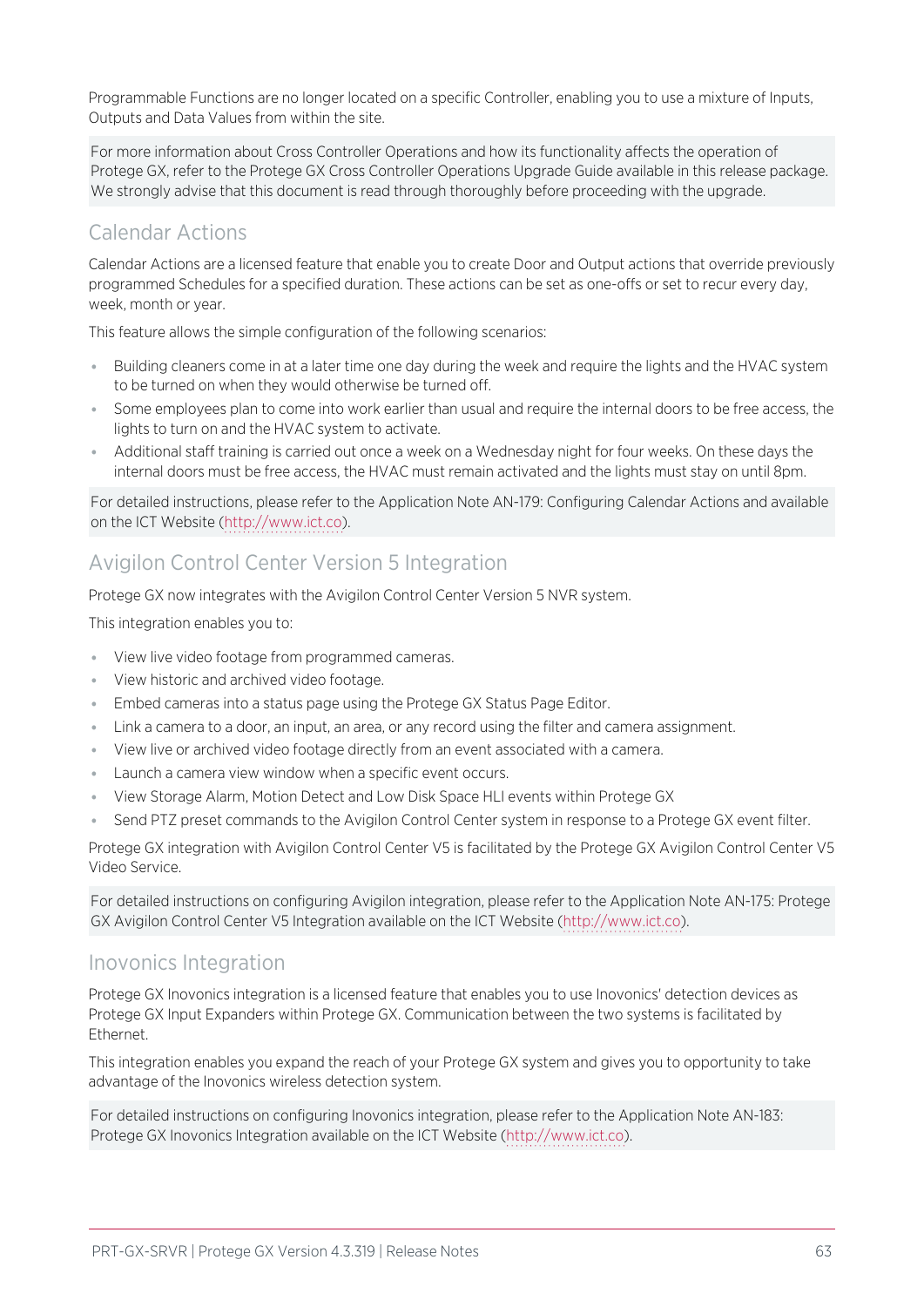Programmable Functions are no longer located on a specific Controller, enabling you to use a mixture of Inputs, Outputs and Data Values from within the site.

For more information about Cross Controller Operations and how its functionality affects the operation of Protege GX, refer to the Protege GX Cross Controller Operations Upgrade Guide available in this release package. We strongly advise that this document is read through thoroughly before proceeding with the upgrade.

## Calendar Actions

Calendar Actions are a licensed feature that enable you to create Door and Output actions that override previously programmed Schedules for a specified duration. These actions can be set as one-offs or set to recur every day, week, month or year.

This feature allows the simple configuration of the following scenarios:

- ⦁ Building cleaners come in at a later time one day during the week and require the lights and the HVAC system to be turned on when they would otherwise be turned off.
- ⦁ Some employees plan to come into work earlier than usual and require the internal doors to be free access, the lights to turn on and the HVAC system to activate.
- ⦁ Additional staff training is carried out once a week on a Wednesday night for four weeks. On these days the internal doors must be free access, the HVAC must remain activated and the lights must stay on until 8pm.

For detailed instructions, please refer to the Application Note AN-179: Configuring Calendar Actions and available on the ICT Website ([http://www.ict.co](http://www.ict.co/)).

## Avigilon Control Center Version 5 Integration

Protege GX now integrates with the Avigilon Control Center Version 5 NVR system.

This integration enables you to:

- ⦁ View live video footage from programmed cameras.
- ⦁ View historic and archived video footage.
- ⦁ Embed cameras into a status page using the Protege GX Status Page Editor.
- ⦁ Link a camera to a door, an input, an area, or any record using the filter and camera assignment.
- ⦁ View live or archived video footage directly from an event associated with a camera.
- ⦁ Launch a camera view window when a specific event occurs.
- ⦁ View Storage Alarm, Motion Detect and Low Disk Space HLI events within Protege GX
- Send PTZ preset commands to the Avigilon Control Center system in response to a Protege GX event filter.

Protege GX integration with Avigilon Control Center V5 is facilitated by the Protege GX Avigilon Control Center V5 Video Service.

For detailed instructions on configuring Avigilon integration, please refer to the Application Note AN-175: Protege GX Avigilon Control Center V5 Integration available on the ICT Website ([http://www.ict.co\)](http://www.ict.co/).

### Inovonics Integration

Protege GX Inovonics integration is a licensed feature that enables you to use Inovonics' detection devices as Protege GX Input Expanders within Protege GX. Communication between the two systems is facilitated by Ethernet.

This integration enables you expand the reach of your Protege GX system and gives you to opportunity to take advantage of the Inovonics wireless detection system.

For detailed instructions on configuring Inovonics integration, please refer to the Application Note AN-183: Protege GX Inovonics Integration available on the ICT Website [\(http://www.ict.co](http://www.ict.co/)).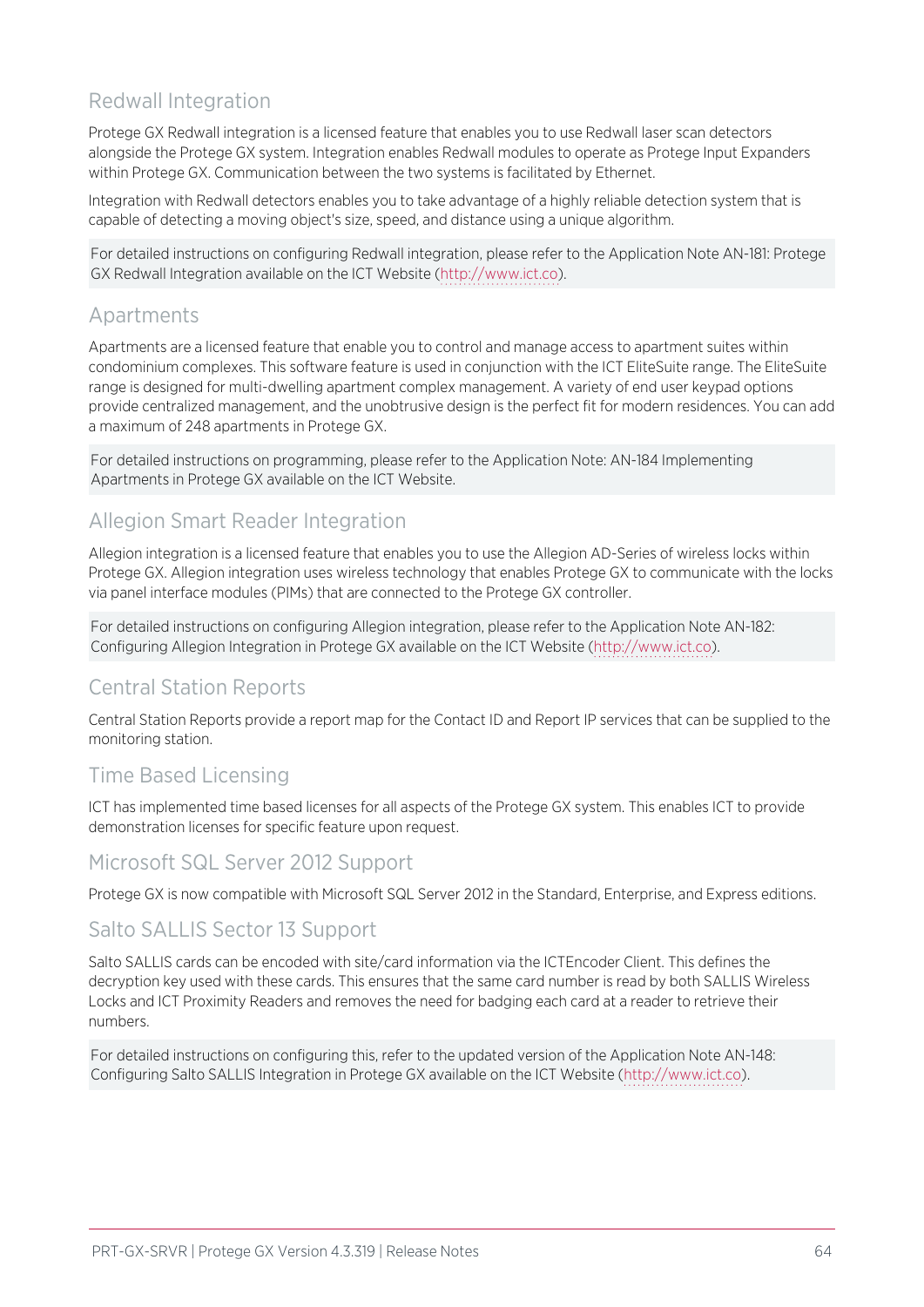## Redwall Integration

Protege GX Redwall integration is a licensed feature that enables you to use Redwall laser scan detectors alongside the Protege GX system. Integration enables Redwall modules to operate as Protege Input Expanders within Protege GX. Communication between the two systems is facilitated by Ethernet.

Integration with Redwall detectors enables you to take advantage of a highly reliable detection system that is capable of detecting a moving object's size, speed, and distance using a unique algorithm.

For detailed instructions on configuring Redwall integration, please refer to the Application Note AN-181: Protege GX Redwall Integration available on the ICT Website ([http://www.ict.co\)](http://www.ict.co/).

## Apartments

Apartments are a licensed feature that enable you to control and manage access to apartment suites within condominium complexes. This software feature is used in conjunction with the ICT EliteSuite range. The EliteSuite range is designed for multi-dwelling apartment complex management. A variety of end user keypad options provide centralized management, and the unobtrusive design is the perfect fit for modern residences. You can add a maximum of 248 apartments in Protege GX.

For detailed instructions on programming, please refer to the Application Note: AN-184 Implementing Apartments in Protege GX available on the ICT Website.

## Allegion Smart Reader Integration

Allegion integration is a licensed feature that enables you to use the Allegion AD-Series of wireless locks within Protege GX. Allegion integration uses wireless technology that enables Protege GX to communicate with the locks via panel interface modules (PIMs) that are connected to the Protege GX controller.

For detailed instructions on configuring Allegion integration, please refer to the Application Note AN-182: Configuring Allegion Integration in Protege GX available on the ICT Website ([http://www.ict.co](http://www.ict.co/)).

## Central Station Reports

Central Station Reports provide a report map for the Contact ID and Report IP services that can be supplied to the monitoring station.

## Time Based Licensing

ICT has implemented time based licenses for all aspects of the Protege GX system. This enables ICT to provide demonstration licenses for specific feature upon request.

### Microsoft SQL Server 2012 Support

Protege GX is now compatible with Microsoft SQL Server 2012 in the Standard, Enterprise, and Express editions.

### Salto SALLIS Sector 13 Support

Salto SALLIS cards can be encoded with site/card information via the ICTEncoder Client. This defines the decryption key used with these cards. This ensures that the same card number is read by both SALLIS Wireless Locks and ICT Proximity Readers and removes the need for badging each card at a reader to retrieve their numbers.

For detailed instructions on configuring this, refer to the updated version of the Application Note AN-148: Configuring Salto SALLIS Integration in Protege GX available on the ICT Website [\(http://www.ict.co\)](http://www.ict.co/).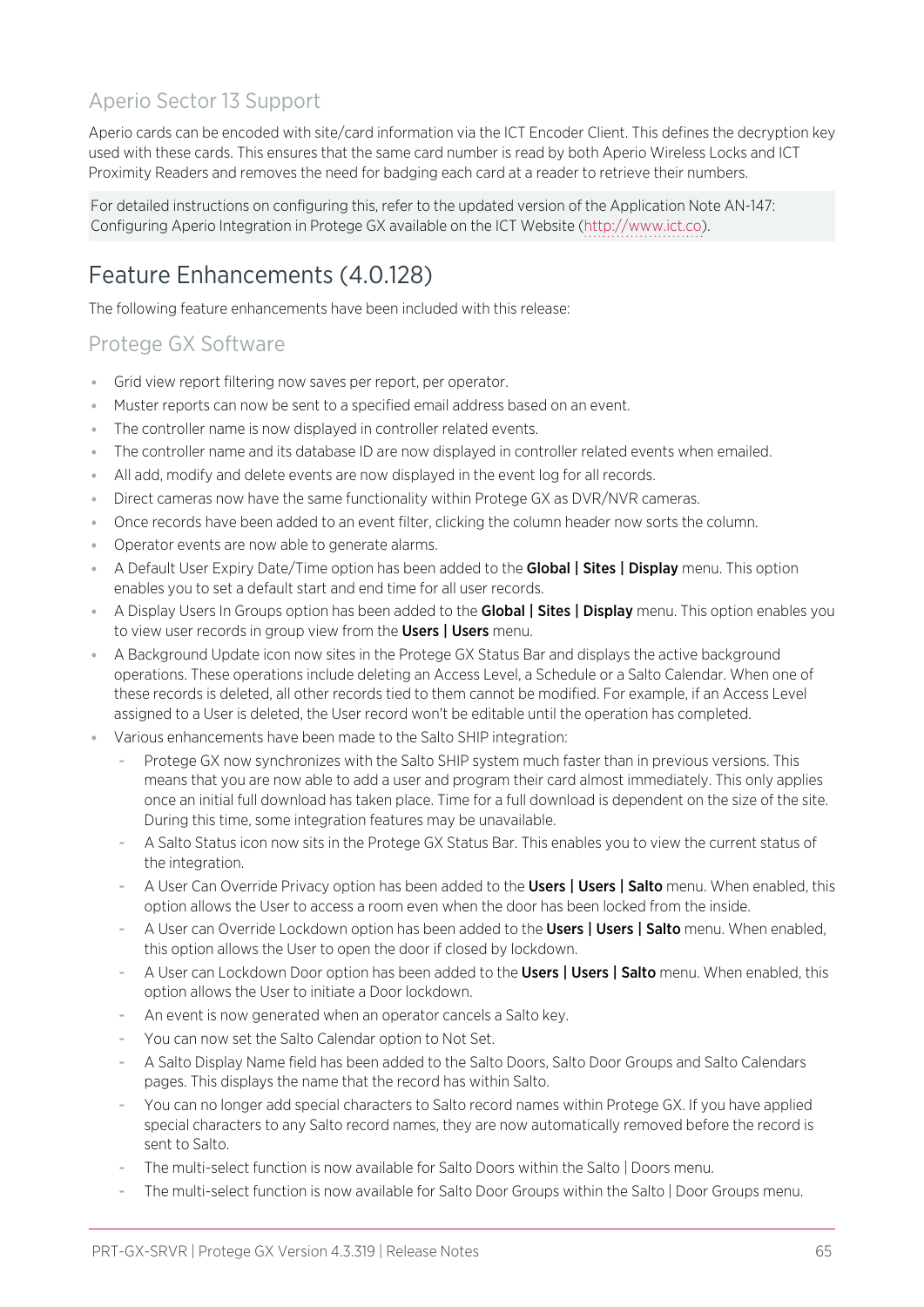## Aperio Sector 13 Support

Aperio cards can be encoded with site/card information via the ICT Encoder Client. This defines the decryption key used with these cards. This ensures that the same card number is read by both Aperio Wireless Locks and ICT Proximity Readers and removes the need for badging each card at a reader to retrieve their numbers.

For detailed instructions on configuring this, refer to the updated version of the Application Note AN-147: Configuring Aperio Integration in Protege GX available on the ICT Website [\(http://www.ict.co](http://www.ict.co/)).

## <span id="page-64-0"></span>Feature Enhancements (4.0.128)

The following feature enhancements have been included with this release:

## Protege GX Software

- ⦁ Grid view report filtering now saves per report, per operator.
- ⦁ Muster reports can now be sent to a specified email address based on an event.
- ⦁ The controller name is now displayed in controller related events.
- ⦁ The controller name and its database ID are now displayed in controller related events when emailed.
- ⦁ All add, modify and delete events are now displayed in the event log for all records.
- ⦁ Direct cameras now have the same functionality within Protege GX as DVR/NVR cameras.
- ⦁ Once records have been added to an event filter, clicking the column header now sorts the column.
- ⦁ Operator events are now able to generate alarms.
- A Default User Expiry Date/Time option has been added to the Global | Sites | Display menu. This option enables you to set a default start and end time for all user records.
- A Display Users In Groups option has been added to the Global | Sites | Display menu. This option enables you to view user records in group view from the Users | Users menu.
- ⦁ A Background Update icon now sites in the Protege GX Status Bar and displays the active background operations. These operations include deleting an Access Level, a Schedule or a Salto Calendar. When one of these records is deleted, all other records tied to them cannot be modified. For example, if an Access Level assigned to a User is deleted, the User record won't be editable until the operation has completed.
- Various enhancements have been made to the Salto SHIP integration:
	- Protege GX now synchronizes with the Salto SHIP system much faster than in previous versions. This means that you are now able to add a user and program their card almost immediately. This only applies once an initial full download has taken place. Time for a full download is dependent on the size of the site. During this time, some integration features may be unavailable.
	- A Salto Status icon now sits in the Protege GX Status Bar. This enables you to view the current status of the integration.
	- A User Can Override Privacy option has been added to the Users | Users | Salto menu. When enabled, this option allows the User to access a room even when the door has been locked from the inside.
	- A User can Override Lockdown option has been added to the Users | Users | Salto menu. When enabled, this option allows the User to open the door if closed by lockdown.
	- A User can Lockdown Door option has been added to the Users | Users | Salto menu. When enabled, this option allows the User to initiate a Door lockdown.
	- An event is now generated when an operator cancels a Salto key.
	- You can now set the Salto Calendar option to Not Set.
	- A Salto Display Name field has been added to the Salto Doors, Salto Door Groups and Salto Calendars pages. This displays the name that the record has within Salto.
	- You can no longer add special characters to Salto record names within Protege GX. If you have applied special characters to any Salto record names, they are now automatically removed before the record is sent to Salto.
	- The multi-select function is now available for Salto Doors within the Salto | Doors menu.
	- The multi-select function is now available for Salto Door Groups within the Salto | Door Groups menu.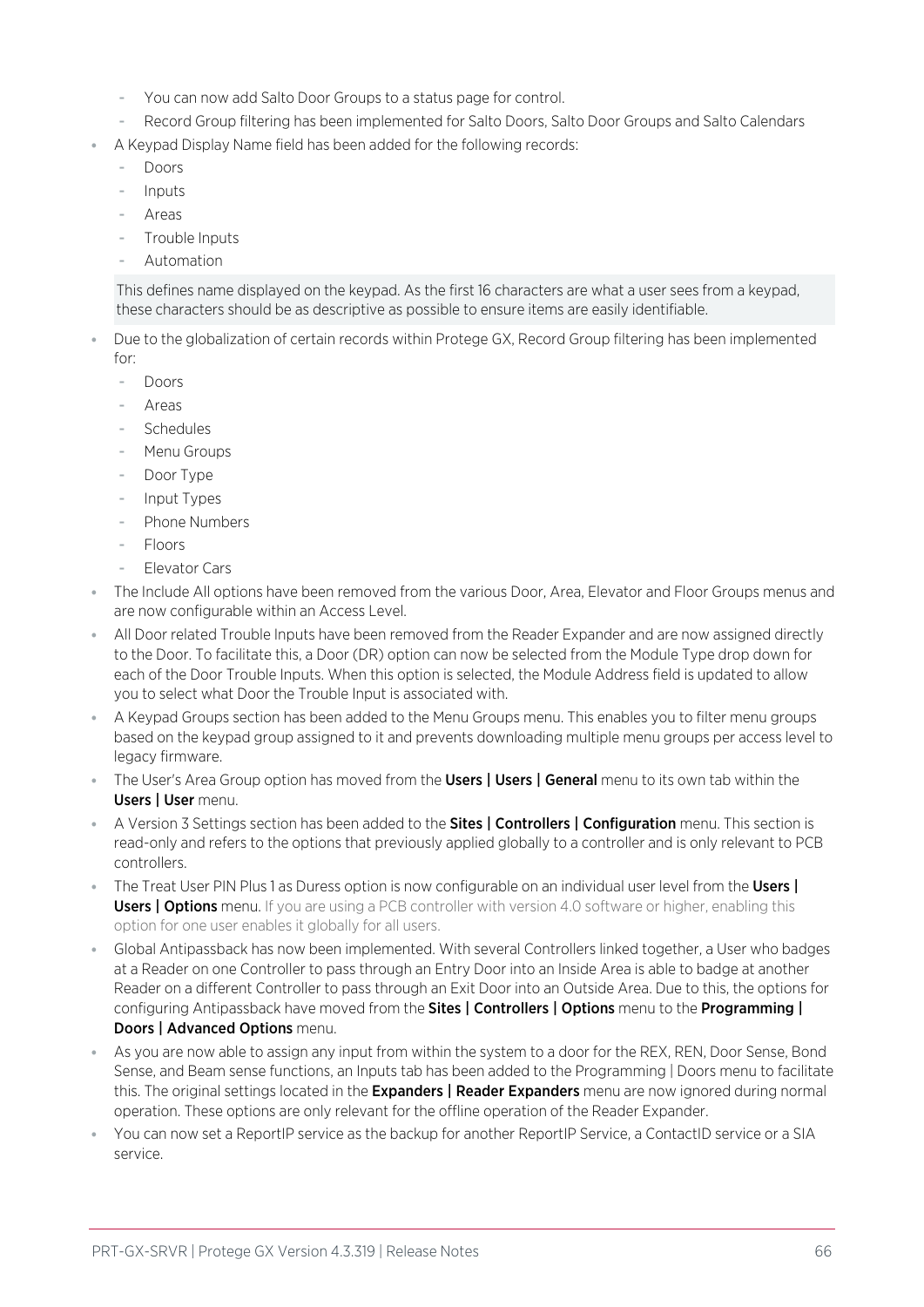- You can now add Salto Door Groups to a status page for control.
- Record Group filtering has been implemented for Salto Doors, Salto Door Groups and Salto Calendars
- A Keypad Display Name field has been added for the following records:
	- Doors
	- Inputs
	- **Areas**
	- Trouble Inputs
	- **Automation**

This defines name displayed on the keypad. As the first 16 characters are what a user sees from a keypad, these characters should be as descriptive as possible to ensure items are easily identifiable.

- ⦁ Due to the globalization of certain records within Protege GX, Record Group filtering has been implemented for:
	- Doors
	- **Areas**
	- **Schedules**
	- Menu Groups
	- Door Type
	- Input Types
	- Phone Numbers
	- Floors
	- Elevator Cars
- ⦁ The Include All options have been removed from the various Door, Area, Elevator and Floor Groups menus and are now configurable within an Access Level.
- ⦁ All Door related Trouble Inputs have been removed from the Reader Expander and are now assigned directly to the Door. To facilitate this, a Door (DR) option can now be selected from the Module Type drop down for each of the Door Trouble Inputs. When this option is selected, the Module Address field is updated to allow you to select what Door the Trouble Input is associated with.
- A Keypad Groups section has been added to the Menu Groups menu. This enables you to filter menu groups based on the keypad group assigned to it and prevents downloading multiple menu groups per access level to legacy firmware.
- The User's Area Group option has moved from the **Users | Users | General** menu to its own tab within the Users | User menu.
- A Version 3 Settings section has been added to the **Sites | Controllers | Configuration** menu. This section is read-only and refers to the options that previously applied globally to a controller and is only relevant to PCB controllers.
- The Treat User PIN Plus 1 as Duress option is now configurable on an individual user level from the Users | **Users | Options** menu. If you are using a PCB controller with version 4.0 software or higher, enabling this option for one user enables it globally for all users.
- ⦁ Global Antipassback has now been implemented. With several Controllers linked together, a User who badges at a Reader on one Controller to pass through an Entry Door into an Inside Area is able to badge at another Reader on a different Controller to pass through an Exit Door into an Outside Area. Due to this, the options for configuring Antipassback have moved from the Sites | Controllers | Options menu to the Programming | Doors | Advanced Options menu.
- ⦁ As you are now able to assign any input from within the system to a door for the REX, REN, Door Sense, Bond Sense, and Beam sense functions, an Inputs tab has been added to the Programming | Doors menu to facilitate this. The original settings located in the **Expanders | Reader Expanders** menu are now ignored during normal operation. These options are only relevant for the offline operation of the Reader Expander.
- You can now set a ReportIP service as the backup for another ReportIP Service, a ContactID service or a SIA service.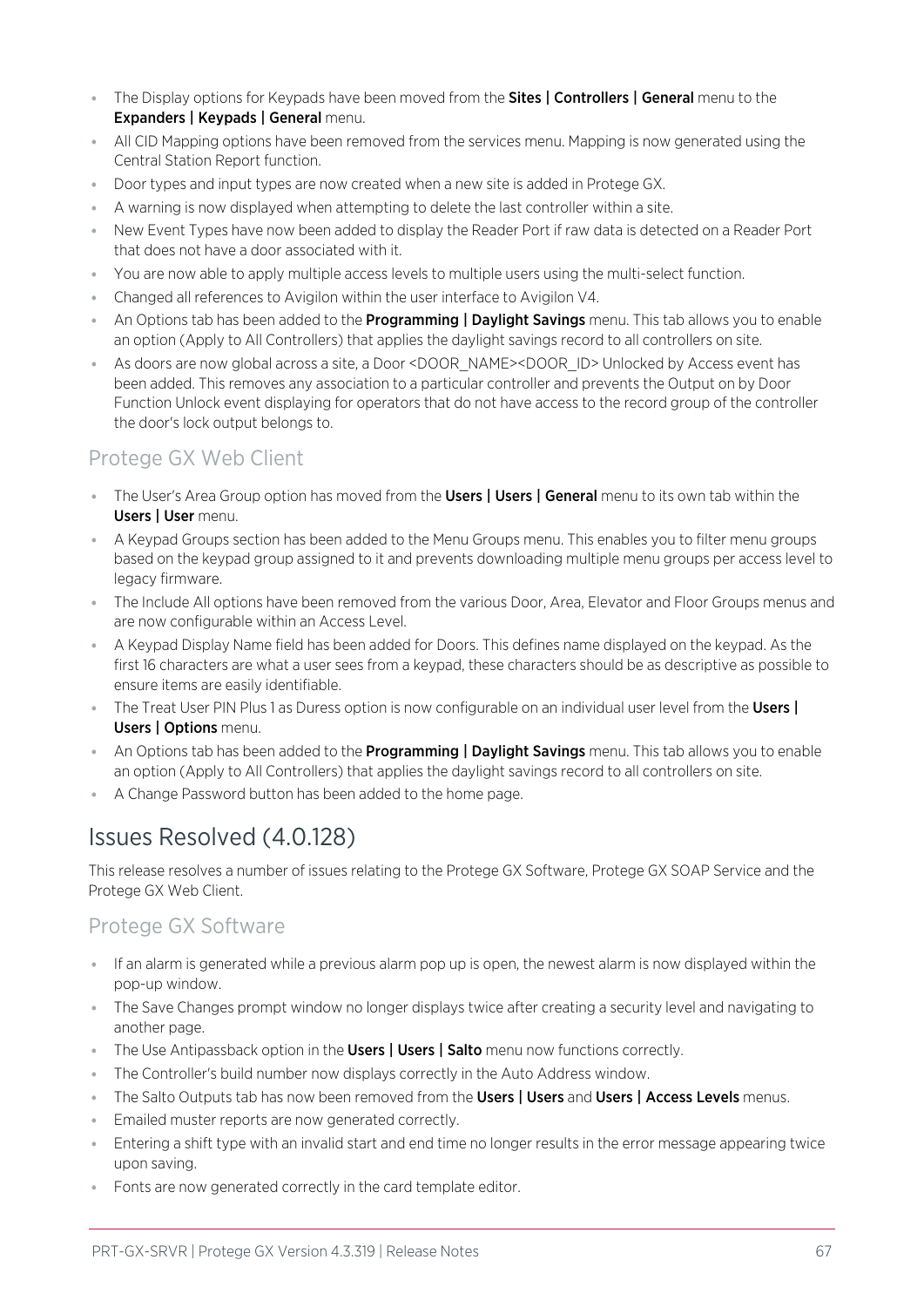- **The Display options for Keypads have been moved from the Sites | Controllers | General menu to the** Expanders | Keypads | General menu.
- ⦁ All CID Mapping options have been removed from the services menu. Mapping is now generated using the Central Station Report function.
- ⦁ Door types and input types are now created when a new site is added in Protege GX.
- ⦁ A warning is now displayed when attempting to delete the last controller within a site.
- ⦁ New Event Types have now been added to display the Reader Port if raw data is detected on a Reader Port that does not have a door associated with it.
- ⦁ You are now able to apply multiple access levels to multiple users using the multi-select function.
- ⦁ Changed all references to Avigilon within the user interface to Avigilon V4.
- An Options tab has been added to the **Programming | Daylight Savings** menu. This tab allows you to enable an option (Apply to All Controllers) that applies the daylight savings record to all controllers on site.
- ⦁ As doors are now global across a site, a Door <DOOR\_NAME><DOOR\_ID> Unlocked by Access event has been added. This removes any association to a particular controller and prevents the Output on by Door Function Unlock event displaying for operators that do not have access to the record group of the controller the door's lock output belongs to.

### Protege GX Web Client

- **The User's Area Group option has moved from the Users | Users | General** menu to its own tab within the Users | User menu.
- ⦁ A Keypad Groups section has been added to the Menu Groups menu. This enables you to filter menu groups based on the keypad group assigned to it and prevents downloading multiple menu groups per access level to legacy firmware.
- ⦁ The Include All options have been removed from the various Door, Area, Elevator and Floor Groups menus and are now configurable within an Access Level.
- ⦁ A Keypad Display Name field has been added for Doors. This defines name displayed on the keypad. As the first 16 characters are what a user sees from a keypad, these characters should be as descriptive as possible to ensure items are easily identifiable.
- The Treat User PIN Plus 1 as Duress option is now configurable on an individual user level from the Users | Users | Options menu.
- An Options tab has been added to the **Programming | Daylight Savings** menu. This tab allows you to enable an option (Apply to All Controllers) that applies the daylight savings record to all controllers on site.
- <span id="page-66-0"></span>⦁ A Change Password button has been added to the home page.

## Issues Resolved (4.0.128)

This release resolves a number of issues relating to the Protege GX Software, Protege GX SOAP Service and the Protege GX Web Client.

### Protege GX Software

- ⦁ If an alarm is generated while a previous alarm pop up is open, the newest alarm is now displayed within the pop-up window.
- ⦁ The Save Changes prompt window no longer displays twice after creating a security level and navigating to another page.
- **The Use Antipassback option in the Users | Users | Salto** menu now functions correctly.
- ⦁ The Controller's build number now displays correctly in the Auto Address window.
- The Salto Outputs tab has now been removed from the Users | Users and Users | Access Levels menus.
- ⦁ Emailed muster reports are now generated correctly.
- ⦁ Entering a shift type with an invalid start and end time no longer results in the error message appearing twice upon saving.
- Fonts are now generated correctly in the card template editor.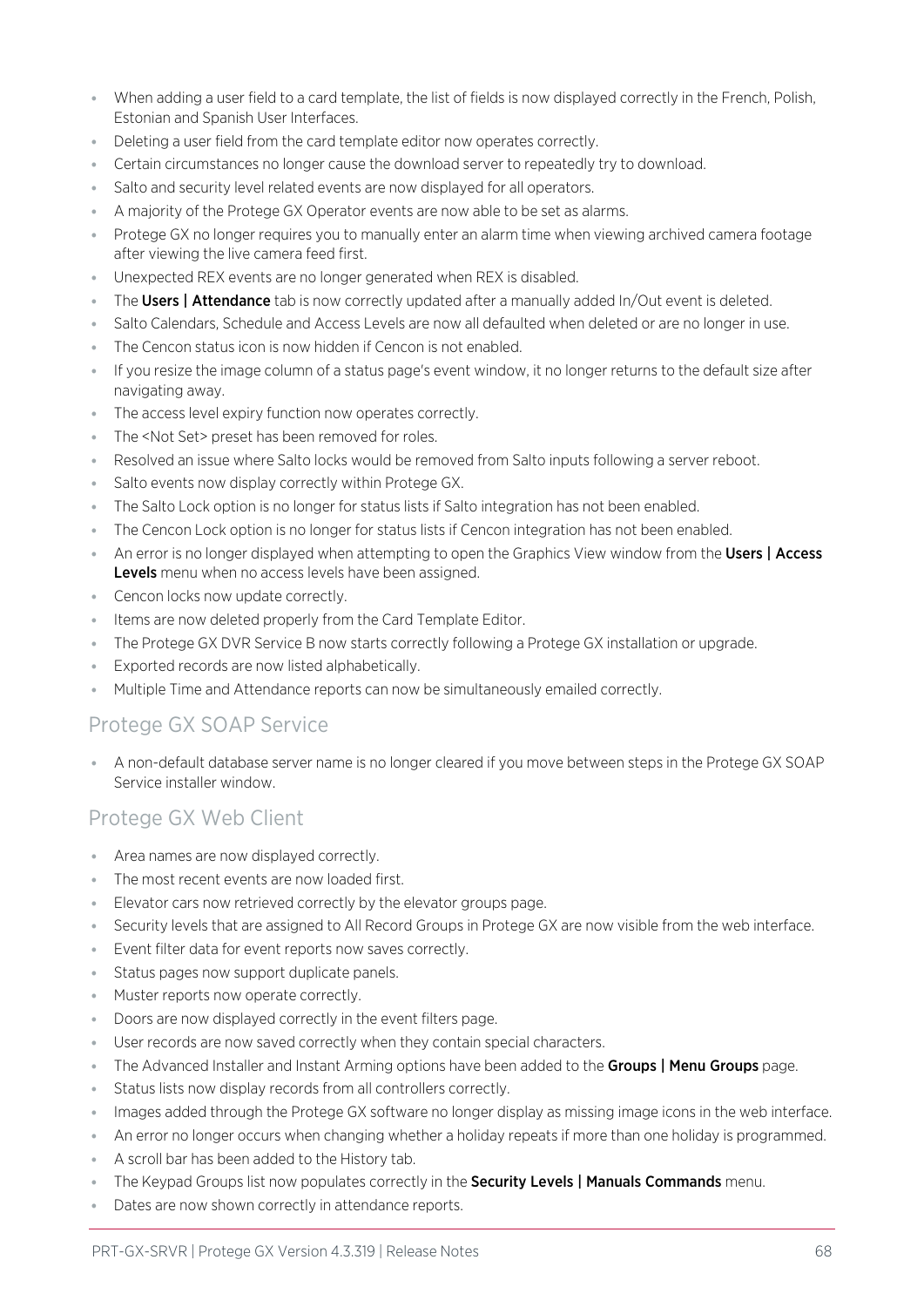- ⦁ When adding a user field to a card template, the list of fields is now displayed correctly in the French, Polish, Estonian and Spanish User Interfaces.
- ⦁ Deleting a user field from the card template editor now operates correctly.
- ⦁ Certain circumstances no longer cause the download server to repeatedly try to download.
- ⦁ Salto and security level related events are now displayed for all operators.
- ⦁ A majority of the Protege GX Operator events are now able to be set as alarms.
- Protege GX no longer requires you to manually enter an alarm time when viewing archived camera footage after viewing the live camera feed first.
- ⦁ Unexpected REX events are no longer generated when REX is disabled.
- The Users | Attendance tab is now correctly updated after a manually added In/Out event is deleted.
- Salto Calendars, Schedule and Access Levels are now all defaulted when deleted or are no longer in use.
- ⦁ The Cencon status icon is now hidden if Cencon is not enabled.
- ⦁ If you resize the image column of a status page's event window, it no longer returns to the default size after navigating away.
- ⦁ The access level expiry function now operates correctly.
- ⦁ The <Not Set> preset has been removed for roles.
- Resolved an issue where Salto locks would be removed from Salto inputs following a server reboot.
- ⦁ Salto events now display correctly within Protege GX.
- ⦁ The Salto Lock option is no longer for status lists if Salto integration has not been enabled.
- ⦁ The Cencon Lock option is no longer for status lists if Cencon integration has not been enabled.
- An error is no longer displayed when attempting to open the Graphics View window from the Users | Access Levels menu when no access levels have been assigned.
- ⦁ Cencon locks now update correctly.
- ⦁ Items are now deleted properly from the Card Template Editor.
- ⦁ The Protege GX DVR Service B now starts correctly following a Protege GX installation or upgrade.
- ⦁ Exported records are now listed alphabetically.
- ⦁ Multiple Time and Attendance reports can now be simultaneously emailed correctly.

### Protege GX SOAP Service

⦁ A non-default database server name is no longer cleared if you move between steps in the Protege GX SOAP Service installer window.

### Protege GX Web Client

- ⦁ Area names are now displayed correctly.
- ⦁ The most recent events are now loaded first.
- Elevator cars now retrieved correctly by the elevator groups page.
- Security levels that are assigned to All Record Groups in Protege GX are now visible from the web interface.
- ⦁ Event filter data for event reports now saves correctly.
- Status pages now support duplicate panels.
- ⦁ Muster reports now operate correctly.
- ⦁ Doors are now displayed correctly in the event filters page.
- ⦁ User records are now saved correctly when they contain special characters.
- **The Advanced Installer and Instant Arming options have been added to the Groups | Menu Groups page.**
- ⦁ Status lists now display records from all controllers correctly.
- ⦁ Images added through the Protege GX software no longer display as missing image icons in the web interface.
- ⦁ An error no longer occurs when changing whether a holiday repeats if more than one holiday is programmed.
- ⦁ A scroll bar has been added to the History tab.
- The Keypad Groups list now populates correctly in the **Security Levels | Manuals Commands** menu.
- ⦁ Dates are now shown correctly in attendance reports.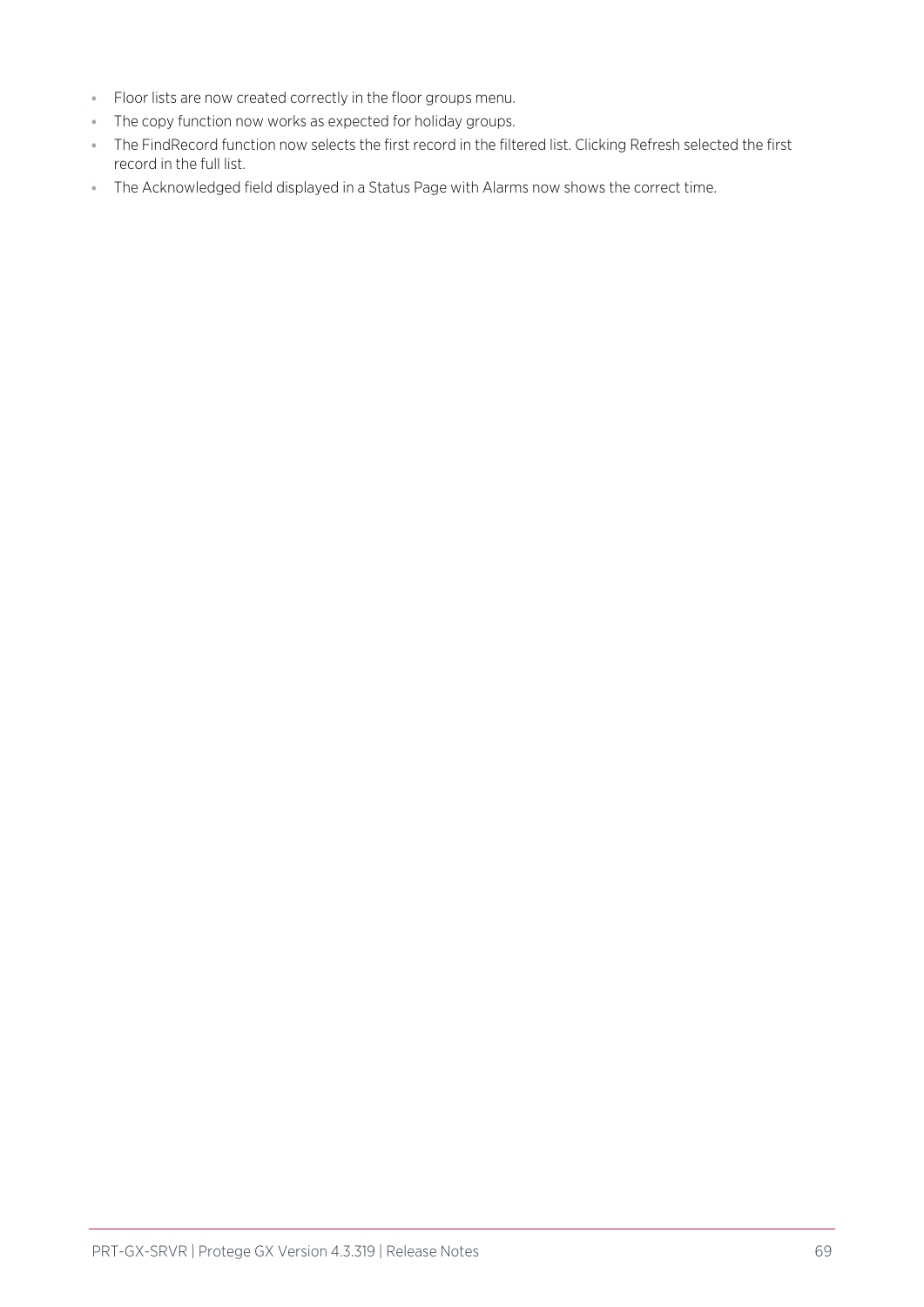- ⦁ Floor lists are now created correctly in the floor groups menu.
- ⦁ The copy function now works as expected for holiday groups.
- ⦁ The FindRecord function now selects the first record in the filtered list. Clicking Refresh selected the first record in the full list.
- ⦁ The Acknowledged field displayed in a Status Page with Alarms now shows the correct time.